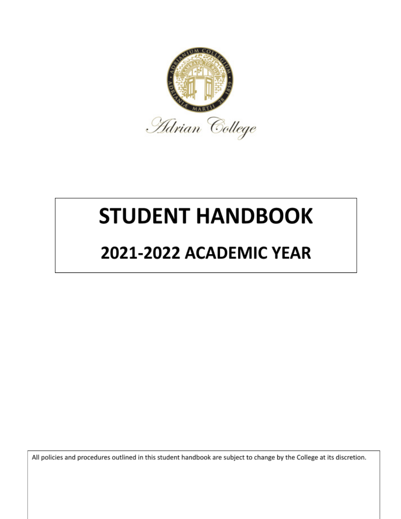

# **STUDENT HANDBOOK**

# 2021-2022 ACADEMIC YEAR

All policies and procedures outlined in this student handbook are subject to change by the College at its discretion.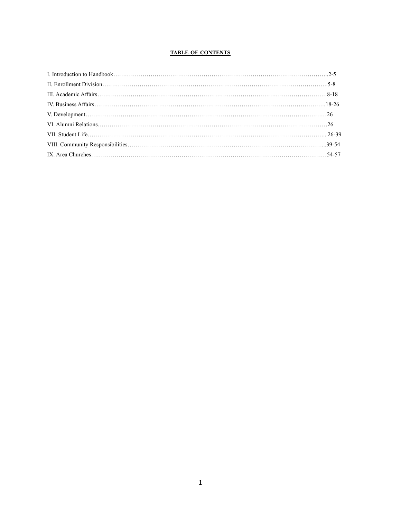## **TABLE OF CONTENTS**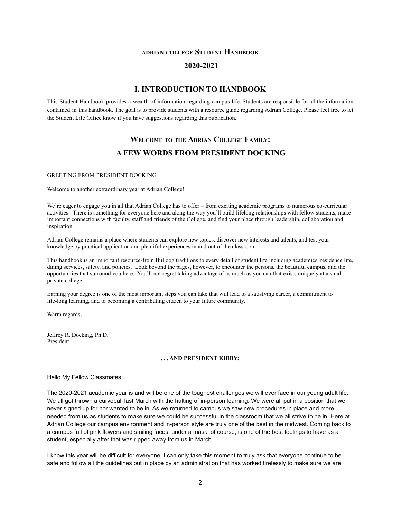## **ADRIAN COLLEGE STUDENT HANDBOOK**

## **2020-2021**

## **I. INTRODUCTION TO HANDBOOK**

This Student Handbook provides a wealth of information regarding campus life. Students are responsible for all the information contained in this handbook. The goal is to provide students with a resource guide regarding Adrian College. Please feel free to let the Student Life Office know if you have suggestions regarding this publication.

# **WELCOME TO THE ADRIAN COLLEGE FAMILY: A FEW WORDS FROM PRESIDENT DOCKING**

#### GREETING FROM PRESIDENT DOCKING

Welcome to another extraordinary year at Adrian College!

We're eager to engage you in all that Adrian College has to offer – from exciting academic programs to numerous co-curricular activities. There is something for everyone here and along the way you'll build lifelong relationships with fellow students, make important connections with faculty, staff and friends of the College, and find your place through leadership, collaboration and inspiration.

Adrian College remains a place where students can explore new topics, discover new interests and talents, and test your knowledge by practical application and plentiful experiences in and out of the classroom.

This handbook is an important resource-from Bulldog traditions to every detail of student life including academics, residence life, dining services, safety, and policies. Look beyond the pages, however, to encounter the persons, the beautiful campus, and the opportunities that surround you here. You'll not regret taking advantage of as much as you can that exists uniquely at a small private college.

Earning your degree is one of the most important steps you can take that will lead to a satisfying career, a commitment to life-long learning, and to becoming a contributing citizen to your future community.

Warm regards,

Jeffrey R. Docking, Ph.D. President

#### **. . . AND PRESIDENT KIBBY:**

#### Hello My Fellow Classmates,

The 2020-2021 academic year is and will be one of the toughest challenges we will ever face in our young adult life. We all got thrown a curveball last March with the halting of in-person learning. We were all put in a position that we never signed up for nor wanted to be in. As we returned to campus we saw new procedures in place and more needed from us as students to make sure we could be successful in the classroom that we all strive to be in. Here at Adrian College our campus environment and in-person style are truly one of the best in the midwest. Coming back to a campus full of pink flowers and smiling faces, under a mask, of course, is one of the best feelings to have as a student, especially after that was ripped away from us in March.

I know this year will be difficult for everyone, I can only take this moment to truly ask that everyone continue to be safe and follow all the guidelines put in place by an administration that has worked tirelessly to make sure we are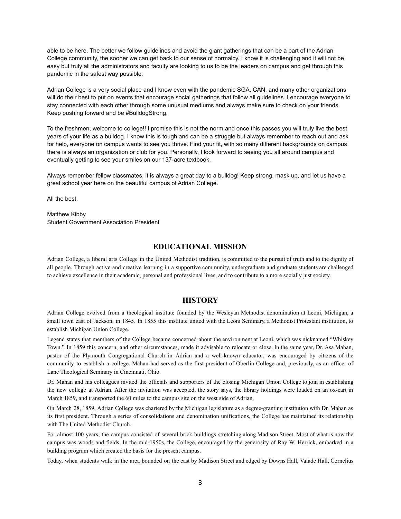able to be here. The better we follow guidelines and avoid the giant gatherings that can be a part of the Adrian College community, the sooner we can get back to our sense of normalcy. I know it is challenging and it will not be easy but truly all the administrators and faculty are looking to us to be the leaders on campus and get through this pandemic in the safest way possible.

Adrian College is a very social place and I know even with the pandemic SGA, CAN, and many other organizations will do their best to put on events that encourage social gatherings that follow all guidelines. I encourage everyone to stay connected with each other through some unusual mediums and always make sure to check on your friends. Keep pushing forward and be #BulldogStrong.

To the freshmen, welcome to college!! I promise this is not the norm and once this passes you will truly live the best years of your life as a bulldog. I know this is tough and can be a struggle but always remember to reach out and ask for help, everyone on campus wants to see you thrive. Find your fit, with so many different backgrounds on campus there is always an organization or club for you. Personally, I look forward to seeing you all around campus and eventually getting to see your smiles on our 137-acre textbook.

Always remember fellow classmates, it is always a great day to a bulldog! Keep strong, mask up, and let us have a great school year here on the beautiful campus of Adrian College.

All the best,

Matthew Kibby Student Government Association President

## **EDUCATIONAL MISSION**

Adrian College, a liberal arts College in the United Methodist tradition, is committed to the pursuit of truth and to the dignity of all people. Through active and creative learning in a supportive community, undergraduate and graduate students are challenged to achieve excellence in their academic, personal and professional lives, and to contribute to a more socially just society.

## **HISTORY**

Adrian College evolved from a theological institute founded by the Wesleyan Methodist denomination at Leoni, Michigan, a small town east of Jackson, in 1845. In 1855 this institute united with the Leoni Seminary, a Methodist Protestant institution, to establish Michigan Union College.

Legend states that members of the College became concerned about the environment at Leoni, which was nicknamed "Whiskey Town." In 1859 this concern, and other circumstances, made it advisable to relocate or close. In the same year, Dr. Asa Mahan, pastor of the Plymouth Congregational Church in Adrian and a well-known educator, was encouraged by citizens of the community to establish a college. Mahan had served as the first president of Oberlin College and, previously, as an officer of Lane Theological Seminary in Cincinnati, Ohio.

Dr. Mahan and his colleagues invited the officials and supporters of the closing Michigan Union College to join in establishing the new college at Adrian. After the invitation was accepted, the story says, the library holdings were loaded on an ox-cart in March 1859, and transported the 60 miles to the campus site on the west side of Adrian.

On March 28, 1859, Adrian College was chartered by the Michigan legislature as a degree-granting institution with Dr. Mahan as its first president. Through a series of consolidations and denomination unifications, the College has maintained its relationship with The United Methodist Church.

For almost 100 years, the campus consisted of several brick buildings stretching along Madison Street. Most of what is now the campus was woods and fields. In the mid-1950s, the College, encouraged by the generosity of Ray W. Herrick, embarked in a building program which created the basis for the present campus.

Today, when students walk in the area bounded on the east by Madison Street and edged by Downs Hall, Valade Hall, Cornelius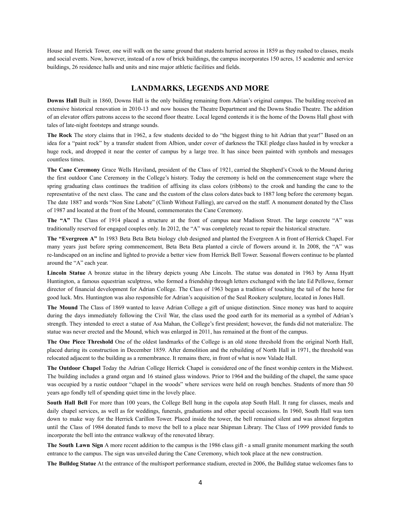House and Herrick Tower, one will walk on the same ground that students hurried across in 1859 as they rushed to classes, meals and social events. Now, however, instead of a row of brick buildings, the campus incorporates 150 acres, 15 academic and service buildings, 26 residence halls and units and nine major athletic facilities and fields.

#### **LANDMARKS, LEGENDS AND MORE**

**Downs Hall** Built in 1860, Downs Hall is the only building remaining from Adrian's original campus. The building received an extensive historical renovation in 2010-13 and now houses the Theatre Department and the Downs Studio Theatre. The addition of an elevator offers patrons access to the second floor theatre. Local legend contends it is the home of the Downs Hall ghost with tales of late-night footsteps and strange sounds.

**The Rock** The story claims that in 1962, a few students decided to do "the biggest thing to hit Adrian that year!" Based on an idea for a "paint rock" by a transfer student from Albion, under cover of darkness the TKE pledge class hauled in by wrecker a huge rock, and dropped it near the center of campus by a large tree. It has since been painted with symbols and messages countless times.

**The Cane Ceremony** Grace Wells Haviland**,** president of the Class of 1921, carried the Shepherd's Crook to the Mound during the first outdoor Cane Ceremony in the College's history. Today the ceremony is held on the commencement stage where the spring graduating class continues the tradition of affixing its class colors (ribbons) to the crook and handing the cane to the representative of the next class. The cane and the custom of the class colors dates back to 1887 long before the ceremony began. The date 1887 and words "Non Sine Labote" (Climb Without Falling), are carved on the staff. A monument donated by the Class of 1987 and located at the front of the Mound, commemorates the Cane Ceremony.

**The "A"** The Class of 1914 placed a structure at the front of campus near Madison Street. The large concrete "A" was traditionally reserved for engaged couples only. In 2012, the "A" was completely recast to repair the historical structure.

**The "Evergreen A"** In 1983 Beta Beta Beta biology club designed and planted the Evergreen A in front of Herrick Chapel. For many years just before spring commencement, Beta Beta Beta planted a circle of flowers around it. In 2008, the "A" was re-landscaped on an incline and lighted to provide a better view from Herrick Bell Tower. Seasonal flowers continue to be planted around the "A" each year.

**Lincoln Statue** A bronze statue in the library depicts young Abe Lincoln. The statue was donated in 1963 by Anna Hyatt Huntington, a famous equestrian sculptress, who formed a friendship through letters exchanged with the late Ed Pellowe, former director of financial development for Adrian College. The Class of 1963 began a tradition of touching the tail of the horse for good luck. Mrs. Huntington was also responsible for Adrian's acquisition of the Seal Rookery sculpture, located in Jones Hall.

**The Mound** The Class of 1869 wanted to leave Adrian College a gift of unique distinction. Since money was hard to acquire during the days immediately following the Civil War, the class used the good earth for its memorial as a symbol of Adrian's strength. They intended to erect a statue of Asa Mahan, the College's first president; however, the funds did not materialize. The statue was never erected and the Mound, which was enlarged in 2011, has remained at the front of the campus.

**The One Piece Threshold** One of the oldest landmarks of the College is an old stone threshold from the original North Hall, placed during its construction in December 1859. After demolition and the rebuilding of North Hall in 1971, the threshold was relocated adjacent to the building as a remembrance. It remains there, in front of what is now Valade Hall.

**The Outdoor Chapel** Today the Adrian College Herrick Chapel is considered one of the finest worship centers in the Midwest. The building includes a grand organ and 16 stained glass windows. Prior to 1964 and the building of the chapel, the same space was occupied by a rustic outdoor "chapel in the woods" where services were held on rough benches. Students of more than 50 years ago fondly tell of spending quiet time in the lovely place.

**South Hall Bell** For more than 100 years, the College Bell hung in the cupola atop South Hall. It rang for classes, meals and daily chapel services, as well as for weddings, funerals, graduations and other special occasions. In 1960, South Hall was torn down to make way for the Herrick Carillon Tower. Placed inside the tower, the bell remained silent and was almost forgotten until the Class of 1984 donated funds to move the bell to a place near Shipman Library. The Class of 1999 provided funds to incorporate the bell into the entrance walkway of the renovated library.

**The South Lawn Sign** A more recent addition to the campus is the 1986 class gift - a small granite monument marking the south entrance to the campus. The sign was unveiled during the Cane Ceremony, which took place at the new construction.

**The Bulldog Statue** At the entrance of the multisport performance stadium, erected in 2006, the Bulldog statue welcomes fans to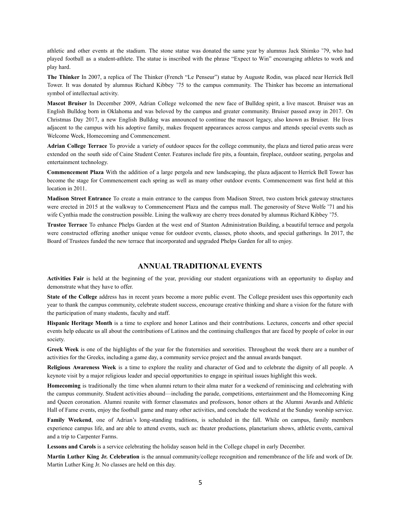athletic and other events at the stadium. The stone statue was donated the same year by alumnus Jack Shimko '79, who had played football as a student-athlete. The statue is inscribed with the phrase "Expect to Win" encouraging athletes to work and play hard.

**The Thinker** In 2007, a replica of The Thinker (French "Le Penseur") statue by Auguste Rodin, was placed near Herrick Bell Tower. It was donated by alumnus Richard Kibbey '75 to the campus community. The Thinker has become an international symbol of intellectual activity.

**Mascot Bruiser** In December 2009, Adrian College welcomed the new face of Bulldog spirit, a live mascot. Bruiser was an English Bulldog born in Oklahoma and was beloved by the campus and greater community. Bruiser passed away in 2017. On Christmas Day 2017, a new English Bulldog was announced to continue the mascot legacy, also known as Bruiser. He lives adjacent to the campus with his adoptive family, makes frequent appearances across campus and attends special events such as Welcome Week, Homecoming and Commencement.

**Adrian College Terrace** To provide a variety of outdoor spaces for the college community, the plaza and tiered patio areas were extended on the south side of Caine Student Center. Features include fire pits, a fountain, fireplace, outdoor seating, pergolas and entertainment technology.

**Commencement Plaza** With the addition of a large pergola and new landscaping, the plaza adjacent to Herrick Bell Tower has become the stage for Commencement each spring as well as many other outdoor events. Commencement was first held at this location in 2011.

**Madison Street Entrance** To create a main entrance to the campus from Madison Street, two custom brick gateway structures were erected in 2015 at the walkway to Commencement Plaza and the campus mall. The generosity of Steve Wolfe '71 and his wife Cynthia made the construction possible. Lining the walkway are cherry trees donated by alumnus Richard Kibbey '75.

**Trustee Terrace** To enhance Phelps Garden at the west end of Stanton Administration Building, a beautiful terrace and pergola were constructed offering another unique venue for outdoor events, classes, photo shoots, and special gatherings. In 2017, the Board of Trustees funded the new terrace that incorporated and upgraded Phelps Garden for all to enjoy.

## **ANNUAL TRADITIONAL EVENTS**

**Activities Fair** is held at the beginning of the year, providing our student organizations with an opportunity to display and demonstrate what they have to offer.

**State of the College** address has in recent years become a more public event. The College president uses this opportunity each year to thank the campus community, celebrate student success, encourage creative thinking and share a vision for the future with the participation of many students, faculty and staff.

**Hispanic Heritage Month** is a time to explore and honor Latinos and their contributions. Lectures, concerts and other special events help educate us all about the contributions of Latinos and the continuing challenges that are faced by people of color in our society.

**Greek Week** is one of the highlights of the year for the fraternities and sororities. Throughout the week there are a number of activities for the Greeks, including a game day, a community service project and the annual awards banquet.

**Religious Awareness Week** is a time to explore the reality and character of God and to celebrate the dignity of all people. A keynote visit by a major religious leader and special opportunities to engage in spiritual issues highlight this week.

**Homecoming** is traditionally the time when alumni return to their alma mater for a weekend of reminiscing and celebrating with the campus community. Student activities abound—including the parade, competitions, entertainment and the Homecoming King and Queen coronation. Alumni reunite with former classmates and professors, honor others at the Alumni Awards and Athletic Hall of Fame events, enjoy the football game and many other activities, and conclude the weekend at the Sunday worship service.

**Family Weekend**, one of Adrian's long-standing traditions, is scheduled in the fall. While on campus, family members experience campus life, and are able to attend events, such as: theater productions, planetarium shows, athletic events, carnival and a trip to Carpenter Farms.

Lessons and Carols is a service celebrating the holiday season held in the College chapel in early December.

**Martin Luther King Jr. Celebration** is the annual community/college recognition and remembrance of the life and work of Dr. Martin Luther King Jr. No classes are held on this day.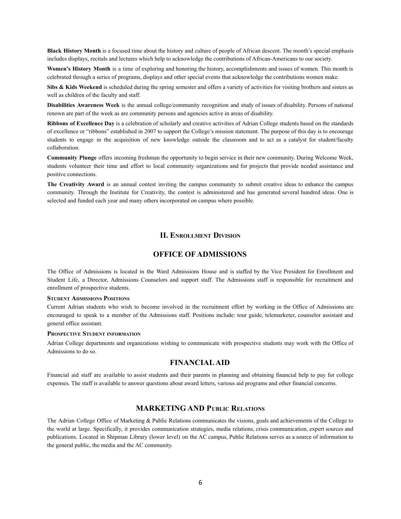**Black History Month** is a focused time about the history and culture of people of African descent. The month's special emphasis includes displays, recitals and lectures which help to acknowledge the contributions of African-Americans to our society.

**Women's History Month** is a time of exploring and honoring the history, accomplishments and issues of women. This month is celebrated through a series of programs, displays and other special events that acknowledge the contributions women make.

**Sibs & Kids Weekend** is scheduled during the spring semester and offers a variety of activities for visiting brothers and sisters as well as children of the faculty and staff.

**Disabilities Awareness Week** is the annual college/community recognition and study of issues of disability. Persons of national renown are part of the week as are community persons and agencies active in areas of disability.

**Ribbons of Excellence Day** is a celebration of scholarly and creative activities of Adrian College students based on the standards of excellence or "ribbons" established in 2007 to support the College's mission statement. The purpose of this day is to encourage students to engage in the acquisition of new knowledge outside the classroom and to act as a catalyst for student/faculty collaboration.

**Community Plunge** offers incoming freshman the opportunity to begin service in their new community. During Welcome Week, students volunteer their time and effort to local community organizations and for projects that provide needed assistance and positive connections.

**The Creativity Award** is an annual contest inviting the campus community to submit creative ideas to enhance the campus community. Through the Institute for Creativity, the contest is administered and has generated several hundred ideas. One is selected and funded each year and many others incorporated on campus where possible.

## **II. ENROLLMENT DIVISION**

## **OFFICE OF ADMISSIONS**

The Office of Admissions is located in the Ward Admissions House and is staffed by the Vice President for Enrollment and Student Life, a Director, Admissions Counselors and support staff. The Admissions staff is responsible for recruitment and enrollment of prospective students.

#### **STUDENT ADMISSIONS POSITIONS**

Current Adrian students who wish to become involved in the recruitment effort by working in the Office of Admissions are encouraged to speak to a member of the Admissions staff. Positions include: tour guide, telemarketer, counselor assistant and general office assistant.

#### **PROSPECTIVE STUDENT INFORMATION**

Adrian College departments and organizations wishing to communicate with prospective students may work with the Office of Admissions to do so.

## **FINANCIALAID**

Financial aid staff are available to assist students and their parents in planning and obtaining financial help to pay for college expenses. The staff is available to answer questions about award letters, various aid programs and other financial concerns.

## **MARKETING AND PUBLIC RELATIONS**

The Adrian College Office of Marketing & Public Relations communicates the visions, goals and achievements of the College to the world at large. Specifically, it provides communication strategies, media relations, crisis communication, expert sources and publications. Located in Shipman Library (lower level) on the AC campus, Public Relations serves as a source of information to the general public, the media and the AC community.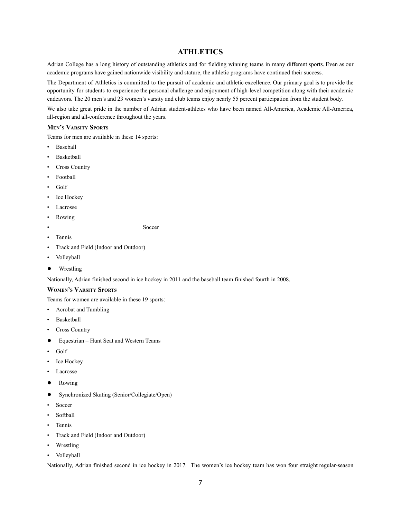## **ATHLETICS**

Adrian College has a long history of outstanding athletics and for fielding winning teams in many different sports. Even as our academic programs have gained nationwide visibility and stature, the athletic programs have continued their success.

The Department of Athletics is committed to the pursuit of academic and athletic excellence. Our primary goal is to provide the opportunity for students to experience the personal challenge and enjoyment of high-level competition along with their academic endeavors. The 20 men's and 23 women's varsity and club teams enjoy nearly 55 percent participation from the student body.

We also take great pride in the number of Adrian student-athletes who have been named All-America, Academic All-America, all-region and all-conference throughout the years.

#### **MEN'<sup>S</sup> VARSITY SPORTS**

Teams for men are available in these 14 sports:

- **Baseball**
- Basketball
- Cross Country
- Football
- Golf
- Ice Hockey
- Lacrosse
- Rowing

• Soccer

• Tennis

- Track and Field (Indoor and Outdoor)
- Volleyball
- Wrestling

Nationally, Adrian finished second in ice hockey in 2011 and the baseball team finished fourth in 2008.

## **WOMEN'<sup>S</sup> VARSITY SPORTS**

Teams for women are available in these 19 sports:

- Acrobat and Tumbling
- Basketball
- Cross Country
- Equestrian Hunt Seat and Western Teams
- Golf
- Ice Hockey
- Lacrosse
- Rowing
- Synchronized Skating (Senior/Collegiate/Open)
- Soccer
- Softball
- Tennis
- Track and Field (Indoor and Outdoor)
- **Wrestling**
- Volleyball

Nationally, Adrian finished second in ice hockey in 2017. The women's ice hockey team has won four straight regular-season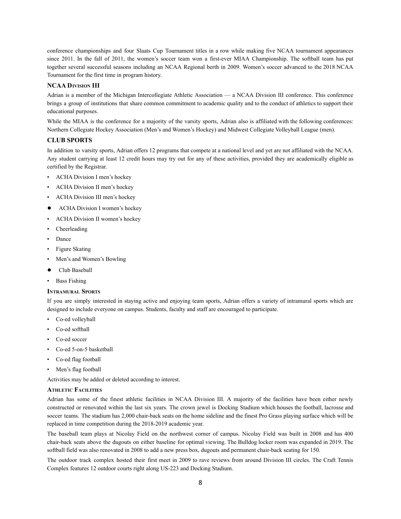conference championships and four Slaats Cup Tournament titles in a row while making five NCAA tournament appearances since 2011. In the fall of 2011, the women's soccer team won a first-ever MIAA Championship. The softball team has put together several successful seasons including an NCAA Regional berth in 2009. Women's soccer advanced to the 2018 NCAA Tournament for the first time in program history.

#### **NCAA DIVISION III**

Adrian is a member of the Michigan Intercollegiate Athletic Association — a NCAA Division III conference. This conference brings a group of institutions that share common commitment to academic quality and to the conduct of athletics to support their educational purposes.

While the MIAA is the conference for a majority of the varsity sports, Adrian also is affiliated with the following conferences: Northern Collegiate Hockey Association (Men's and Women's Hockey) and Midwest Collegiate Volleyball League (men).

#### **CLUB SPORTS**

In addition to varsity sports, Adrian offers 12 programs that compete at a national level and yet are not affiliated with the NCAA. Any student carrying at least 12 credit hours may try out for any of these activities, provided they are academically eligible as certified by the Registrar.

- ACHA Division I men's hockey
- ACHA Division II men's hockey
- ACHA Division III men's hockey
- ACHA Division I women's hockey
- ACHA Division II women's hockey
- Cheerleading
- Dance
- Figure Skating
- Men's and Women's Bowling
- Club Baseball
- **Bass Fishing**

#### **INTRAMURAL SPORTS**

If you are simply interested in staying active and enjoying team sports, Adrian offers a variety of intramural sports which are designed to include everyone on campus. Students, faculty and staff are encouraged to participate.

- Co-ed volleyball
- Co-ed softball
- Co-ed soccer
- Co-ed 5-on-5 basketball
- Co-ed flag football
- Men's flag football

Activities may be added or deleted according to interest.

#### **ATHLETIC FACILITIES**

Adrian has some of the finest athletic facilities in NCAA Division III. A majority of the facilities have been either newly constructed or renovated within the last six years. The crown jewel is Docking Stadium which houses the football, lacrosse and soccer teams. The stadium has 2,000 chair-back seats on the home sideline and the finest Pro Grass playing surface which will be replaced in time competition during the 2018-2019 academic year.

The baseball team plays at Nicolay Field on the northwest corner of campus. Nicolay Field was built in 2008 and has 400 chair-back seats above the dugouts on either baseline for optimal viewing. The Bulldog locker room was expanded in 2019. The softball field was also renovated in 2008 to add a new press box, dugouts and permanent chair-back seating for 150.

The outdoor track complex hosted their first meet in 2009 to rave reviews from around Division III circles. The Craft Tennis Complex features 12 outdoor courts right along US-223 and Docking Stadium.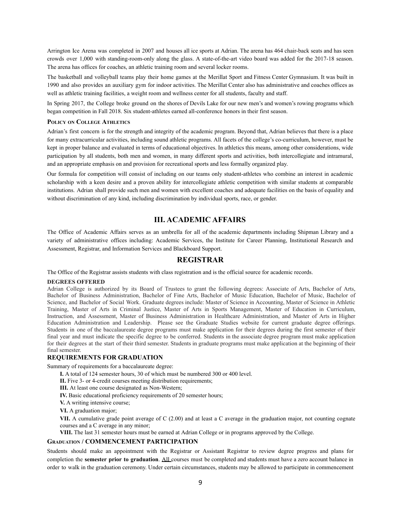Arrington Ice Arena was completed in 2007 and houses all ice sports at Adrian. The arena has 464 chair-back seats and has seen crowds over 1,000 with standing-room-only along the glass. A state-of-the-art video board was added for the 2017-18 season. The arena has offices for coaches, an athletic training room and several locker rooms.

The basketball and volleyball teams play their home games at the Merillat Sport and Fitness Center Gymnasium. It was built in 1990 and also provides an auxiliary gym for indoor activities. The Merillat Center also has administrative and coaches offices as well as athletic training facilities, a weight room and wellness center for all students, faculty and staff.

In Spring 2017, the College broke ground on the shores of Devils Lake for our new men's and women's rowing programs which began competition in Fall 2018. Six student-athletes earned all-conference honors in their first season.

#### **POLICY ON COLLEGE ATHLETICS**

Adrian's first concern is for the strength and integrity of the academic program. Beyond that, Adrian believes that there is a place for many extracurricular activities, including sound athletic programs. All facets of the college's co-curriculum, however, must be kept in proper balance and evaluated in terms of educational objectives. In athletics this means, among other considerations, wide participation by all students, both men and women, in many different sports and activities, both intercollegiate and intramural, and an appropriate emphasis on and provision for recreational sports and less formally organized play.

Our formula for competition will consist of including on our teams only student-athletes who combine an interest in academic scholarship with a keen desire and a proven ability for intercollegiate athletic competition with similar students at comparable institutions. Adrian shall provide such men and women with excellent coaches and adequate facilities on the basis of equality and without discrimination of any kind, including discrimination by individual sports, race, or gender.

## **III. ACADEMIC AFFAIRS**

The Office of Academic Affairs serves as an umbrella for all of the academic departments including Shipman Library and a variety of administrative offices including: Academic Services, the Institute for Career Planning, Institutional Research and Assessment, Registrar, and Information Services and Blackboard Support.

#### **REGISTRAR**

The Office of the Registrar assists students with class registration and is the official source for academic records.

#### **DEGREES OFFERED**

Adrian College is authorized by its Board of Trustees to grant the following degrees: Associate of Arts, Bachelor of Arts, Bachelor of Business Administration, Bachelor of Fine Arts, Bachelor of Music Education, Bachelor of Music, Bachelor of Science, and Bachelor of Social Work. Graduate degrees include: Master of Science in Accounting, Master of Science in Athletic Training, Master of Arts in Criminal Justice, Master of Arts in Sports Management, Master of Education in Curriculum, Instruction, and Assessment, Master of Business Administration in Healthcare Administration, and Master of Arts in Higher Education Administration and Leadership. Please see the Graduate Studies website for current graduate degree offerings. Students in one of the baccalaureate degree programs must make application for their degrees during the first semester of their final year and must indicate the specific degree to be conferred. Students in the associate degree program must make application for their degrees at the start of their third semester. Students in graduate programs must make application at the beginning of their final semester.

#### **REQUIREMENTS FOR GRADUATION**

Summary of requirements for a baccalaureate degree:

**I.** A total of 124 semester hours, 30 of which must be numbered 300 or 400 level.

**II.** Five 3- or 4-credit courses meeting distribution requirements;

**III.** At least one course designated as Non-Western;

**IV.** Basic educational proficiency requirements of 20 semester hours;

**V.** A writing intensive course;

**VI.** A graduation major;

**VII.** A cumulative grade point average of C (2.00) and at least a C average in the graduation major, not counting cognate courses and a C average in any minor;

**VIII.** The last 31 semester hours must be earned at Adrian College or in programs approved by the College.

#### **GRADUATION / COMMENCEMENT PARTICIPATION**

Students should make an appointment with the Registrar or Assistant Registrar to review degree progress and plans for completion the **semester prior to graduation**. All courses must be completed and students must have a zero account balance in order to walk in the graduation ceremony. Under certain circumstances, students may be allowed to participate in commencement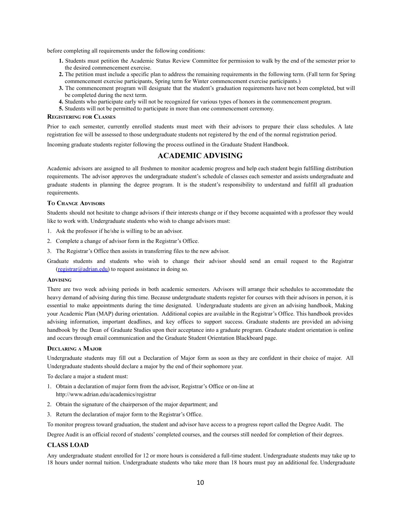before completing all requirements under the following conditions:

- **1.** Students must petition the Academic Status Review Committee for permission to walk by the end of the semester prior to the desired commencement exercise.
- **2.** The petition must include a specific plan to address the remaining requirements in the following term. (Fall term for Spring commencement exercise participants, Spring term for Winter commencement exercise participants.)
- **3.** The commencement program will designate that the student's graduation requirements have not been completed, but will be completed during the next term.
- **4.** Students who participate early will not be recognized for various types of honors in the commencement program.
- **5.** Students will not be permitted to participate in more than one commencement ceremony.

#### **REGISTERING FOR CLASSES**

Prior to each semester, currently enrolled students must meet with their advisors to prepare their class schedules. A late registration fee will be assessed to those undergraduate students not registered by the end of the normal registration period.

Incoming graduate students register following the process outlined in the Graduate Student Handbook.

## **ACADEMIC ADVISING**

Academic advisors are assigned to all freshmen to monitor academic progress and help each student begin fulfilling distribution requirements. The advisor approves the undergraduate student's schedule of classes each semester and assists undergraduate and graduate students in planning the degree program. It is the student's responsibility to understand and fulfill all graduation requirements.

#### **T<sup>O</sup> CHANGE ADVISORS**

Students should not hesitate to change advisors if their interests change or if they become acquainted with a professor they would like to work with. Undergraduate students who wish to change advisors must:

- 1. Ask the professor if he/she is willing to be an advisor.
- 2. Complete a change of advisor form in the Registrar's Office.
- 3. The Registrar's Office then assists in transferring files to the new advisor.

Graduate students and students who wish to change their advisor should send an email request to the Registrar [\(registrar@adrian.edu\)](mailto:registrar@adrian.edu) to request assistance in doing so.

#### **ADVISING**

There are two week advising periods in both academic semesters. Advisors will arrange their schedules to accommodate the heavy demand of advising during this time. Because undergraduate students register for courses with their advisors in person, it is essential to make appointments during the time designated. Undergraduate students are given an advising handbook, Making your Academic Plan (MAP) during orientation. Additional copies are available in the Registrar's Office. This handbook provides advising information, important deadlines, and key offices to support success. Graduate students are provided an advising handbook by the Dean of Graduate Studies upon their acceptance into a graduate program. Graduate student orientation is online and occurs through email communication and the Graduate Student Orientation Blackboard page.

#### **DECLARING A MAJOR**

Undergraduate students may fill out a Declaration of Major form as soon as they are confident in their choice of major. All Undergraduate students should declare a major by the end of their sophomore year.

To declare a major a student must:

- 1. Obtain a declaration of major form from the advisor, Registrar's Office or on-line at http://www.adrian.edu/academics/registrar
- 2. Obtain the signature of the chairperson of the major department; and
- 3. Return the declaration of major form to the Registrar's Office.

To monitor progress toward graduation, the student and advisor have access to a progress report called the Degree Audit. The

Degree Audit is an official record of students' completed courses, and the courses still needed for completion of their degrees.

#### **CLASS LOAD**

Any undergraduate student enrolled for 12 or more hours is considered a full-time student. Undergraduate students may take up to 18 hours under normal tuition. Undergraduate students who take more than 18 hours must pay an additional fee. Undergraduate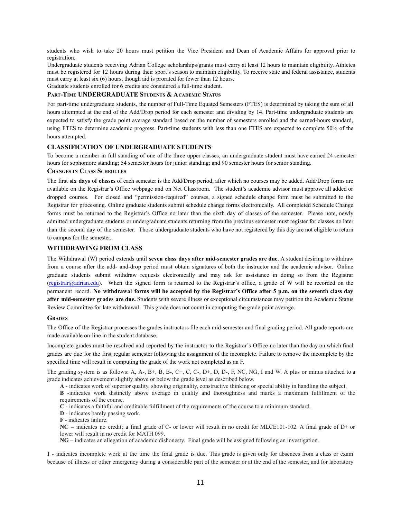students who wish to take 20 hours must petition the Vice President and Dean of Academic Affairs for approval prior to registration.

Undergraduate students receiving Adrian College scholarships/grants must carry at least 12 hours to maintain eligibility. Athletes must be registered for 12 hours during their sport's season to maintain eligibility. To receive state and federal assistance, students must carry at least six (6) hours, though aid is prorated for fewer than 12 hours. Graduate students enrolled for 6 credits are considered a full-time student.

## **PART-TIME UNDERGRADUATE STUDENTS & ACADEMIC STATUS**

For part-time undergraduate students, the number of Full-Time Equated Semesters (FTES) is determined by taking the sum of all hours attempted at the end of the Add/Drop period for each semester and dividing by 14. Part-time undergraduate students are expected to satisfy the grade point average standard based on the number of semesters enrolled and the earned-hours standard, using FTES to determine academic progress. Part-time students with less than one FTES are expected to complete 50% of the hours attempted.

## **CLASSIFICATION OF UNDERGRADUATE STUDENTS**

To become a member in full standing of one of the three upper classes, an undergraduate student must have earned 24 semester hours for sophomore standing; 54 semester hours for junior standing; and 90 semester hours for senior standing.

#### **CHANGES IN CLASS SCHEDULES**

The first **six days of classes** of each semester is the Add/Drop period, after which no courses may be added. Add/Drop forms are available on the Registrar's Office webpage and on Net Classroom. The student's academic advisor must approve all added or dropped courses. For closed and "permission-required" courses, a signed schedule change form must be submitted to the Registrar for processing. Online graduate students submit schedule change forms electronically. All completed Schedule Change forms must be returned to the Registrar's Office no later than the sixth day of classes of the semester. Please note, newly admitted undergraduate students or undergraduate students returning from the previous semester must register for classes no later than the second day of the semester. Those undergraduate students who have not registered by this day are not eligible to return to campus for the semester.

#### **WITHDRAWING FROM CLASS**

The Withdrawal (W) period extends until **seven class days after mid-semester grades are due**. A student desiring to withdraw from a course after the add- and-drop period must obtain signatures of both the instructor and the academic advisor. Online graduate students submit withdraw requests electronically and may ask for assistance in doing so from the Registrar  $(registrar@aadian.edu)$ . When the signed form is returned to the Registrar's office, a grade of W will be recorded on the permanent record. No withdrawal forms will be accepted by the Registrar's Office after 5 p.m. on the seventh class day **after mid-semester grades are due.** Students with severe illness or exceptional circumstances may petition the Academic Status Review Committee for late withdrawal. This grade does not count in computing the grade point average.

#### **GRADES**

The Office of the Registrar processes the grades instructors file each mid-semester and final grading period. All grade reports are made available on-line in the student database.

Incomplete grades must be resolved and reported by the instructor to the Registrar's Office no later than the day on which final grades are due for the first regular semester following the assignment of the incomplete. Failure to remove the incomplete by the specified time will result in computing the grade of the work not completed as an F.

The grading system is as follows: A, A-, B+, B, B-, C+, C, C-, D+, D, D-, F, NC, NG, I and W. A plus or minus attached to a grade indicates achievement slightly above or below the grade level as described below.

**A** - indicates work of superior quality, showing originality, constructive thinking or special ability in handling the subject.

**B** -indicates work distinctly above average in quality and thoroughness and marks a maximum fulfillment of the requirements of the course.

**C** - indicates a faithful and creditable fulfillment of the requirements of the course to a minimum standard.

**D** - indicates barely passing work.

**F** - indicates failure.

**NC –** indicates no credit; a final grade of C- or lower will result in no credit for MLCE101-102. A final grade of D+ or lower will result in no credit for MATH 099.

**NG** – indicates an allegation of academic dishonesty. Final grade will be assigned following an investigation.

**I** - indicates incomplete work at the time the final grade is due. This grade is given only for absences from a class or exam because of illness or other emergency during a considerable part of the semester or at the end of the semester, and for laboratory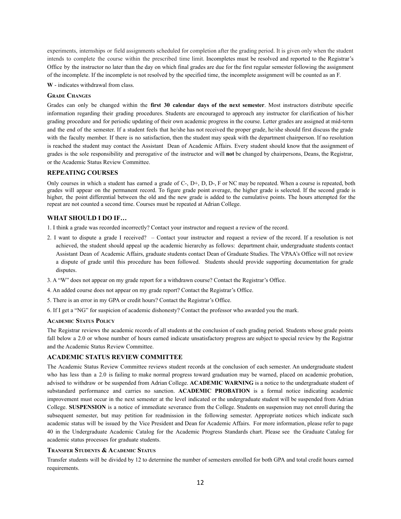experiments, internships or field assignments scheduled for completion after the grading period. It is given only when the student intends to complete the course within the prescribed time limit. Incompletes must be resolved and reported to the Registrar's Office by the instructor no later than the day on which final grades are due for the first regular semester following the assignment of the incomplete. If the incomplete is not resolved by the specified time, the incomplete assignment will be counted as an F.

**W** - indicates withdrawal from class.

#### **GRADE CHANGES**

Grades can only be changed within the **first 30 calendar days of the next semester**. Most instructors distribute specific information regarding their grading procedures. Students are encouraged to approach any instructor for clarification of his/her grading procedure and for periodic updating of their own academic progress in the course. Letter grades are assigned at mid-term and the end of the semester. If a student feels that he/she has not received the proper grade, he/she should first discuss the grade with the faculty member. If there is no satisfaction, then the student may speak with the department chairperson. If no resolution is reached the student may contact the Assistant Dean of Academic Affairs. Every student should know that the assignment of grades is the sole responsibility and prerogative of the instructor and will **not** be changed by chairpersons, Deans, the Registrar, or the Academic Status Review Committee.

#### **REPEATING COURSES**

Only courses in which a student has earned a grade of C-, D+, D, D-, F or NC may be repeated. When a course is repeated, both grades will appear on the permanent record. To figure grade point average, the higher grade is selected. If the second grade is higher, the point differential between the old and the new grade is added to the cumulative points. The hours attempted for the repeat are not counted a second time. Courses must be repeated at Adrian College.

#### **WHAT SHOULD I DO IF…**

1. I think a grade was recorded incorrectly? Contact your instructor and request a review of the record.

- 2. I want to dispute a grade I received? Contact your instructor and request a review of the record. If a resolution is not achieved, the student should appeal up the academic hierarchy as follows: department chair, undergraduate students contact Assistant Dean of Academic Affairs, graduate students contact Dean of Graduate Studies. The VPAA's Office will not review a dispute of grade until this procedure has been followed. Students should provide supporting documentation for grade disputes.
- 3. A "W" does not appear on my grade report for a withdrawn course? Contact the Registrar's Office.
- 4. An added course does not appear on my grade report? Contact the Registrar's Office.
- 5. There is an error in my GPA or credit hours? Contact the Registrar's Office.
- 6. If I get a "NG" for suspicion of academic dishonesty? Contact the professor who awarded you the mark.

#### **ACADEMIC STATUS POLICY**

The Registrar reviews the academic records of all students at the conclusion of each grading period. Students whose grade points fall below a 2.0 or whose number of hours earned indicate unsatisfactory progress are subject to special review by the Registrar and the Academic Status Review Committee.

#### **ACADEMIC STATUS REVIEW COMMITTEE**

The Academic Status Review Committee reviews student records at the conclusion of each semester. An undergraduate student who has less than a 2.0 is failing to make normal progress toward graduation may be warned, placed on academic probation, advised to withdraw or be suspended from Adrian College. **ACADEMIC WARNING** is a notice to the undergraduate student of substandard performance and carries no sanction. **ACADEMIC PROBATION** is a formal notice indicating academic improvement must occur in the next semester at the level indicated or the undergraduate student will be suspended from Adrian College. **SUSPENSION** is a notice of immediate severance from the College. Students on suspension may not enroll during the subsequent semester, but may petition for readmission in the following semester. Appropriate notices which indicate such academic status will be issued by the Vice President and Dean for Academic Affairs. For more information, please refer to page 40 in the Undergraduate Academic Catalog for the Academic Progress Standards chart. Please see the Graduate Catalog for academic status processes for graduate students.

#### **TRANSFER STUDENTS & ACADEMIC STATUS**

Transfer students will be divided by 12 to determine the number of semesters enrolled for both GPA and total credit hours earned requirements.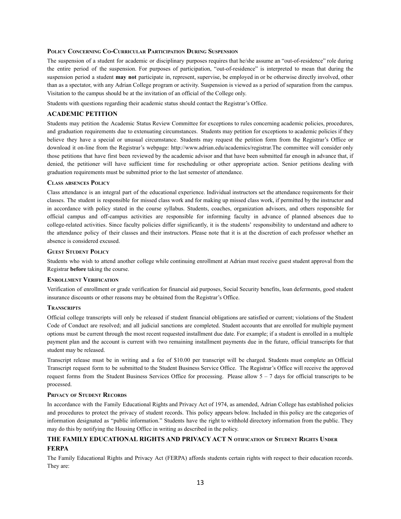#### **POLICY CONCERNING CO-CURRICULAR PARTICIPATION DURING SUSPENSION**

The suspension of a student for academic or disciplinary purposes requires that he/she assume an "out-of-residence" role during the entire period of the suspension. For purposes of participation, "out-of-residence" is interpreted to mean that during the suspension period a student **may not** participate in, represent, supervise, be employed in or be otherwise directly involved, other than as a spectator, with any Adrian College program or activity. Suspension is viewed as a period of separation from the campus. Visitation to the campus should be at the invitation of an official of the College only.

Students with questions regarding their academic status should contact the Registrar's Office.

#### **ACADEMIC PETITION**

Students may petition the Academic Status Review Committee for exceptions to rules concerning academic policies, procedures, and graduation requirements due to extenuating circumstances. Students may petition for exceptions to academic policies if they believe they have a special or unusual circumstance. Students may request the petition form from the Registrar's Office or download it on-line from the Registrar's webpage: http://www.adrian.edu/academics/registrar.The committee will consider only those petitions that have first been reviewed by the academic advisor and that have been submitted far enough in advance that, if denied, the petitioner will have sufficient time for rescheduling or other appropriate action. Senior petitions dealing with graduation requirements must be submitted prior to the last semester of attendance.

#### **CLASS ABSENCES POLICY**

Class attendance is an integral part of the educational experience. Individual instructors set the attendance requirements for their classes. The student is responsible for missed class work and for making up missed class work, if permitted by the instructor and in accordance with policy stated in the course syllabus. Students, coaches, organization advisors, and others responsible for official campus and off-campus activities are responsible for informing faculty in advance of planned absences due to college-related activities. Since faculty policies differ significantly, it is the students' responsibility to understand and adhere to the attendance policy of their classes and their instructors. Please note that it is at the discretion of each professor whether an absence is considered excused.

#### **GUEST STUDENT POLICY**

Students who wish to attend another college while continuing enrollment at Adrian must receive guest student approval from the Registrar **before** taking the course.

#### **ENROLLMENT VERIFICATION**

Verification of enrollment or grade verification for financial aid purposes, Social Security benefits, loan deferments, good student insurance discounts or other reasons may be obtained from the Registrar's Office.

#### **TRANSCRIPTS**

Official college transcripts will only be released if student financial obligations are satisfied or current; violations of the Student Code of Conduct are resolved; and all judicial sanctions are completed. Student accounts that are enrolled for multiple payment options must be current through the most recent requested installment due date. For example; if a student is enrolled in a multiple payment plan and the account is current with two remaining installment payments due in the future, official transcripts for that student may be released.

Transcript release must be in writing and a fee of \$10.00 per transcript will be charged. Students must complete an Official Transcript request form to be submitted to the Student Business Service Office. The Registrar's Office will receive the approved request forms from the Student Business Services Office for processing. Please allow 5 – 7 days for official transcripts to be processed.

#### **PRIVACY OF STUDENT RECORDS**

In accordance with the Family Educational Rights and Privacy Act of 1974, as amended, Adrian College has established policies and procedures to protect the privacy of student records. This policy appears below. Included in this policy are the categories of information designated as "public information." Students have the right to withhold directory information from the public. They may do this by notifying the Housing Office in writing as described in the policy.

## **THE FAMILY EDUCATIONAL RIGHTS AND PRIVACY ACT N OTIFICATION OF STUDENT RIGHTS UNDER FERPA**

The Family Educational Rights and Privacy Act (FERPA) affords students certain rights with respect to their education records. They are: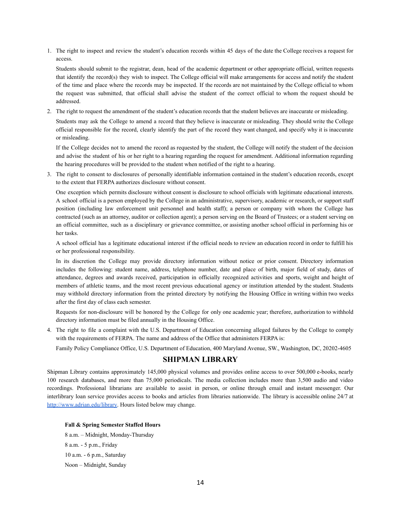1. The right to inspect and review the student's education records within 45 days of the date the College receives a request for access.

Students should submit to the registrar, dean, head of the academic department or other appropriate official, written requests that identify the record(s) they wish to inspect. The College official will make arrangements for access and notify the student of the time and place where the records may be inspected. If the records are not maintained by the College official to whom the request was submitted, that official shall advise the student of the correct official to whom the request should be addressed.

2. The right to request the amendment of the student's education records that the student believes are inaccurate or misleading.

Students may ask the College to amend a record that they believe is inaccurate or misleading. They should write the College official responsible for the record, clearly identify the part of the record they want changed, and specify why it is inaccurate or misleading.

If the College decides not to amend the record as requested by the student, the College will notify the student of the decision and advise the student of his or her right to a hearing regarding the request for amendment. Additional information regarding the hearing procedures will be provided to the student when notified of the right to a hearing.

3. The right to consent to disclosures of personally identifiable information contained in the student's education records, except to the extent that FERPA authorizes disclosure without consent.

One exception which permits disclosure without consent is disclosure to school officials with legitimate educational interests. A school official is a person employed by the College in an administrative, supervisory, academic or research, or support staff position (including law enforcement unit personnel and health staff); a person or company with whom the College has contracted (such as an attorney, auditor or collection agent); a person serving on the Board of Trustees; or a student serving on an official committee, such as a disciplinary or grievance committee, or assisting another school official in performing his or her tasks.

A school official has a legitimate educational interest if the official needs to review an education record in order to fulfill his or her professional responsibility.

In its discretion the College may provide directory information without notice or prior consent. Directory information includes the following: student name, address, telephone number, date and place of birth, major field of study, dates of attendance, degrees and awards received, participation in officially recognized activities and sports, weight and height of members of athletic teams, and the most recent previous educational agency or institution attended by the student. Students may withhold directory information from the printed directory by notifying the Housing Office in writing within two weeks after the first day of class each semester.

Requests for non-disclosure will be honored by the College for only one academic year; therefore, authorization to withhold directory information must be filed annually in the Housing Office.

4. The right to file a complaint with the U.S. Department of Education concerning alleged failures by the College to comply with the requirements of FERPA. The name and address of the Office that administers FERPA is:

Family Policy Compliance Office, U.S. Department of Education, 400 Maryland Avenue, SW., Washington, DC, 20202-4605

## **SHIPMAN LIBRARY**

Shipman Library contains approximately 145,000 physical volumes and provides online access to over 500,000 e-books, nearly 100 research databases, and more than 75,000 periodicals. The media collection includes more than 3,500 audio and video recordings. Professional librarians are available to assist in person, or online through email and instant messenger. Our interlibrary loan service provides access to books and articles from libraries nationwide. The library is accessible online 24/7 at [http://www.adrian.edu/library.](http://www.adrian.edu/library) Hours listed below may change.

#### **Fall & Spring Semester Staffed Hours**

8 a.m. – Midnight, Monday-Thursday 8 a.m. - 5 p.m., Friday 10 a.m. - 6 p.m., Saturday Noon – Midnight, Sunday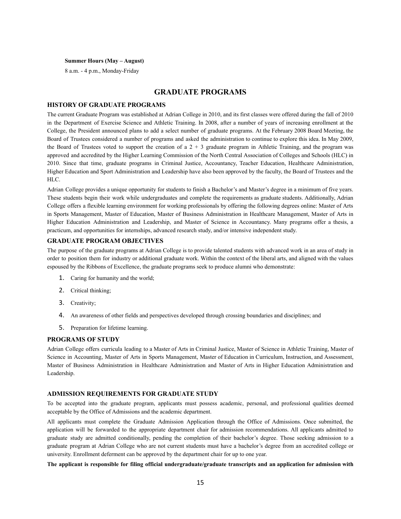#### **Summer Hours (May – August)**

8 a.m. - 4 p.m., Monday-Friday

## **GRADUATE PROGRAMS**

#### **HISTORY OF GRADUATE PROGRAMS**

The current Graduate Program was established at Adrian College in 2010, and its first classes were offered during the fall of 2010 in the Department of Exercise Science and Athletic Training. In 2008, after a number of years of increasing enrollment at the College, the President announced plans to add a select number of graduate programs. At the February 2008 Board Meeting, the Board of Trustees considered a number of programs and asked the administration to continue to explore this idea. In May 2009, the Board of Trustees voted to support the creation of a  $2 + 3$  graduate program in Athletic Training, and the program was approved and accredited by the Higher Learning Commission of the North Central Association of Colleges and Schools (HLC) in 2010. Since that time, graduate programs in Criminal Justice, Accountancy, Teacher Education, Healthcare Administration, Higher Education and Sport Administration and Leadership have also been approved by the faculty, the Board of Trustees and the HLC.

Adrian College provides a unique opportunity for students to finish a Bachelor's and Master's degree in a minimum of five years. These students begin their work while undergraduates and complete the requirements as graduate students. Additionally, Adrian College offers a flexible learning environment for working professionals by offering the following degrees online: Master of Arts in Sports Management, Master of Education, Master of Business Administration in Healthcare Management, Master of Arts in Higher Education Administration and Leadership, and Master of Science in Accountancy. Many programs offer a thesis, a practicum, and opportunities for internships, advanced research study, and/or intensive independent study.

#### **GRADUATE PROGRAM OBJECTIVES**

The purpose of the graduate programs at Adrian College is to provide talented students with advanced work in an area of study in order to position them for industry or additional graduate work. Within the context of the liberal arts, and aligned with the values espoused by the Ribbons of Excellence, the graduate programs seek to produce alumni who demonstrate:

- 1. Caring for humanity and the world;
- 2. Critical thinking;
- 3. Creativity;
- 4. An awareness of other fields and perspectives developed through crossing boundaries and disciplines; and
- 5. Preparation for lifetime learning.

#### **PROGRAMS OF STUDY**

Adrian College offers curricula leading to a Master of Arts in Criminal Justice, Master of Science in Athletic Training, Master of Science in Accounting, Master of Arts in Sports Management, Master of Education in Curriculum, Instruction, and Assessment, Master of Business Administration in Healthcare Administration and Master of Arts in Higher Education Administration and Leadership.

#### **ADMISSION REQUIREMENTS FOR GRADUATE STUDY**

To be accepted into the graduate program, applicants must possess academic, personal, and professional qualities deemed acceptable by the Office of Admissions and the academic department.

All applicants must complete the Graduate Admission Application through the Office of Admissions. Once submitted, the application will be forwarded to the appropriate department chair for admission recommendations. All applicants admitted to graduate study are admitted conditionally, pending the completion of their bachelor's degree. Those seeking admission to a graduate program at Adrian College who are not current students must have a bachelor's degree from an accredited college or university. Enrollment deferment can be approved by the department chair for up to one year.

The applicant is responsible for filing official undergraduate/graduate transcripts and an application for admission with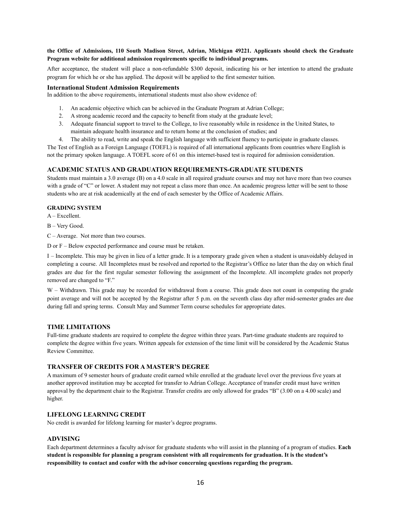## **the Office of Admissions, 110 South Madison Street, Adrian, Michigan 49221. Applicants should check the Graduate Program website for additional admission requirements specific to individual programs.**

After acceptance, the student will place a non-refundable \$300 deposit, indicating his or her intention to attend the graduate program for which he or she has applied. The deposit will be applied to the first semester tuition.

#### **International Student Admission Requirements**

In addition to the above requirements, international students must also show evidence of:

- 1. An academic objective which can be achieved in the Graduate Program at Adrian College;
- 2. A strong academic record and the capacity to benefit from study at the graduate level;
- 3. Adequate financial support to travel to the College, to live reasonably while in residence in the United States, to maintain adequate health insurance and to return home at the conclusion of studies; and
- 4. The ability to read, write and speak the English language with sufficient fluency to participate in graduate classes. The Test of English as a Foreign Language (TOEFL) is required of all international applicants from countries where English is not the primary spoken language. A TOEFL score of 61 on this internet-based test is required for admission consideration.

#### **ACADEMIC STATUS AND GRADUATION REQUIREMENTS-GRADUATE STUDENTS**

Students must maintain a 3.0 average (B) on a 4.0 scale in all required graduate courses and may not have more than two courses with a grade of "C" or lower. A student may not repeat a class more than once. An academic progress letter will be sent to those students who are at risk academically at the end of each semester by the Office of Academic Affairs.

#### **GRADING SYSTEM**

A – Excellent.

B – Very Good.

C – Average. Not more than two courses.

D or F – Below expected performance and course must be retaken.

I – Incomplete. This may be given in lieu of a letter grade. It is a temporary grade given when a student is unavoidably delayed in completing a course. All Incompletes must be resolved and reported to the Registrar's Office no later than the day on which final grades are due for the first regular semester following the assignment of the Incomplete. All incomplete grades not properly removed are changed to "F."

W – Withdrawn. This grade may be recorded for withdrawal from a course. This grade does not count in computing the grade point average and will not be accepted by the Registrar after 5 p.m. on the seventh class day after mid-semester grades are due during fall and spring terms. Consult May and Summer Term course schedules for appropriate dates.

#### **TIME LIMITATIONS**

Full-time graduate students are required to complete the degree within three years. Part-time graduate students are required to complete the degree within five years. Written appeals for extension of the time limit will be considered by the Academic Status Review Committee.

## **TRANSFER OF CREDITS FOR A MASTER'S DEGREE**

A maximum of 9 semester hours of graduate credit earned while enrolled at the graduate level over the previous five years at another approved institution may be accepted for transfer to Adrian College. Acceptance of transfer credit must have written approval by the department chair to the Registrar. Transfer credits are only allowed for grades "B" (3.00 on a 4.00 scale) and higher.

## **LIFELONG LEARNING CREDIT**

No credit is awarded for lifelong learning for master's degree programs.

#### **ADVISING**

Each department determines a faculty advisor for graduate students who will assist in the planning of a program of studies. **Each student is responsible for planning a program consistent with all requirements for graduation. It is the student's responsibility to contact and confer with the advisor concerning questions regarding the program.**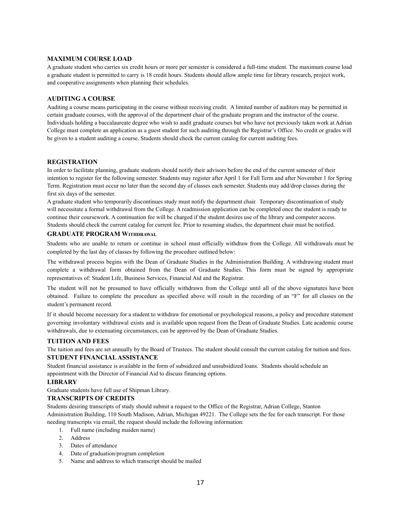#### **MAXIMUM COURSE LOAD**

A graduate student who carries six credit hours or more per semester is considered a full-time student. The maximum course load a graduate student is permitted to carry is 18 credit hours. Students should allow ample time for library research, project work, and cooperative assignments when planning their schedules.

#### **AUDITING A COURSE**

Auditing a course means participating in the course without receiving credit. A limited number of auditors may be permitted in certain graduate courses, with the approval of the department chair of the graduate program and the instructor of the course. Individuals holding a baccalaureate degree who wish to audit graduate courses but who have not previously taken work at Adrian College must complete an application as a guest student for such auditing through the Registrar's Office. No credit or grades will be given to a student auditing a course. Students should check the current catalog for current auditing fees.

## **REGISTRATION**

In order to facilitate planning, graduate students should notify their advisors before the end of the current semester of their intention to register for the following semester. Students may register after April 1 for Fall Term and after November 1 for Spring Term. Registration must occur no later than the second day of classes each semester. Students may add/drop classes during the first six days of the semester.

A graduate student who temporarily discontinues study must notify the department chair. Temporary discontinuation of study will necessitate a formal withdrawal from the College. A readmission application can be completed once the student is ready to continue their coursework. A continuation fee will be charged if the student desires use of the library and computer access. Students should check the current catalog for current fee. Prior to resuming studies, the department chair must be notified.

#### **GRADUATE PROGRAM WITHDRAWAL**

Students who are unable to return or continue in school must officially withdraw from the College. All withdrawals must be completed by the last day of classes by following the procedure outlined below:

The withdrawal process begins with the Dean of Graduate Studies in the Administration Building. A withdrawing student must complete a withdrawal form obtained from the Dean of Graduate Studies. This form must be signed by appropriate representatives of: Student Life, Business Services, Financial Aid and the Registrar.

The student will not be presumed to have officially withdrawn from the College until all of the above signatures have been obtained. Failure to complete the procedure as specified above will result in the recording of an "F" for all classes on the student's permanent record.

If it should become necessary for a student to withdraw for emotional or psychological reasons, a policy and procedure statement governing involuntary withdrawal exists and is available upon request from the Dean of Graduate Studies. Late academic course withdrawals, due to extenuating circumstances, can be approved by the Dean of Graduate Studies.

#### **TUITION AND FEES**

The tuition and fees are set annually by the Board of Trustees. The student should consult the current catalog for tuition and fees. **STUDENT FINANCIALASSISTANCE**

Student financial assistance is available in the form of subsidized and unsubsidized loans. Students should schedule an appointment with the Director of Financial Aid to discuss financing options.

#### **LIBRARY**

Graduate students have full use of Shipman Library.

## **TRANSCRIPTS OF CREDITS**

Students desiring transcripts of study should submit a request to the Office of the Registrar, Adrian College, Stanton Administration Building, 110 South Madison, Adrian, Michigan 49221. The College sets the fee for each transcript. For those needing transcripts via email, the request should include the following information:

- 1. Full name (including maiden name)
- 2. Address
- 3. Dates of attendance
- 4. Date of graduation/program completion
- 5. Name and address to which transcript should be mailed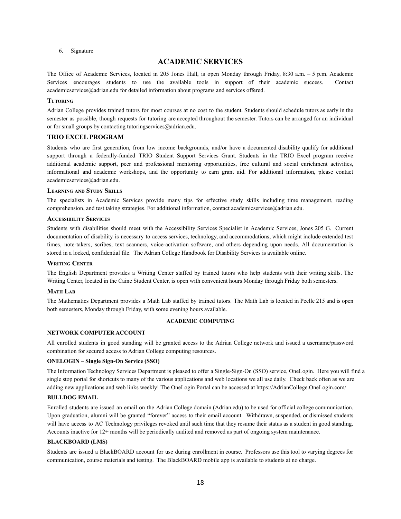6. Signature

## **ACADEMIC SERVICES**

The Office of Academic Services, located in 205 Jones Hall, is open Monday through Friday, 8:30 a.m. – 5 p.m. Academic Services encourages students to use the available tools in support of their academic success. Contact academicservices@adrian.edu for detailed information about programs and services offered.

#### **TUTORING**

Adrian College provides trained tutors for most courses at no cost to the student. Students should schedule tutors as early in the semester as possible, though requests for tutoring are accepted throughout the semester. Tutors can be arranged for an individual or for small groups by contacting tutoringservices@adrian.edu.

#### **TRIO EXCEL PROGRAM**

Students who are first generation, from low income backgrounds, and/or have a documented disability qualify for additional support through a federally-funded TRIO Student Support Services Grant. Students in the TRIO Excel program receive additional academic support, peer and professional mentoring opportunities, free cultural and social enrichment activities, informational and academic workshops, and the opportunity to earn grant aid. For additional information, please contact academicservices@adrian.edu.

#### **LEARNING AND STUDY SKILLS**

The specialists in Academic Services provide many tips for effective study skills including time management, reading comprehension, and test taking strategies. For additional information, contact academicservices@adrian.edu.

#### **ACCESSIBILITY SERVICES**

Students with disabilities should meet with the Accessibility Services Specialist in Academic Services, Jones 205 G. Current documentation of disability is necessary to access services, technology, and accommodations, which might include extended test times, note-takers, scribes, text scanners, voice-activation software, and others depending upon needs. All documentation is stored in a locked, confidential file. The Adrian College Handbook for Disability Services is available online.

#### **WRITING CENTER**

The English Department provides a Writing Center staffed by trained tutors who help students with their writing skills. The Writing Center, located in the Caine Student Center, is open with convenient hours Monday through Friday both semesters.

#### **MATH LAB**

The Mathematics Department provides a Math Lab staffed by trained tutors. The Math Lab is located in Peelle 215 and is open both semesters, Monday through Friday, with some evening hours available.

#### **ACADEMIC COMPUTING**

#### **NETWORK COMPUTER ACCOUNT**

All enrolled students in good standing will be granted access to the Adrian College network and issued a username/password combination for secured access to Adrian College computing resources.

#### **ONELOGIN – Single Sign-On Service (SSO)**

The Information Technology Services Department is pleased to offer a Single-Sign-On (SSO) service, OneLogin. Here you will find a single stop portal for shortcuts to many of the various applications and web locations we all use daily. Check back often as we are adding new applications and web links weekly! The OneLogin Portal can be accessed at https://AdrianCollege.OneLogin.com/

#### **BULLDOG EMAIL**

Enrolled students are issued an email on the Adrian College domain (Adrian.edu) to be used for official college communication. Upon graduation, alumni will be granted "forever" access to their email account. Withdrawn, suspended, or dismissed students will have access to AC Technology privileges revoked until such time that they resume their status as a student in good standing. Accounts inactive for 12+ months will be periodically audited and removed as part of ongoing system maintenance.

#### **BLACKBOARD (LMS)**

Students are issued a BlackBOARD account for use during enrollment in course. Professors use this tool to varying degrees for communication, course materials and testing. The BlackBOARD mobile app is available to students at no charge.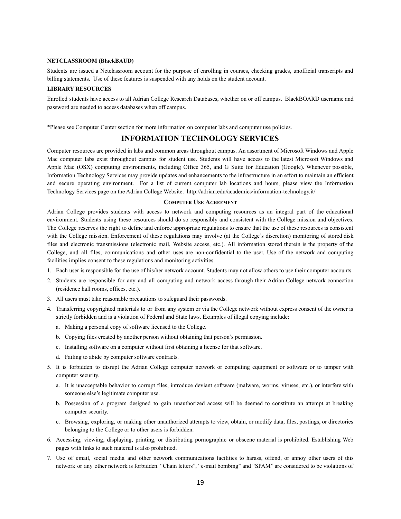#### **NETCLASSROOM (BlackBAUD)**

Students are issued a Netclassroom account for the purpose of enrolling in courses, checking grades, unofficial transcripts and billing statements. Use of these features is suspended with any holds on the student account.

#### **LIBRARY RESOURCES**

Enrolled students have access to all Adrian College Research Databases, whether on or off campus. BlackBOARD username and password are needed to access databases when off campus.

\*Please see Computer Center section for more information on computer labs and computer use policies.

## **INFORMATION TECHNOLOGY SERVICES**

Computer resources are provided in labs and common areas throughout campus. An assortment of Microsoft Windows and Apple Mac computer labs exist throughout campus for student use. Students will have access to the latest Microsoft Windows and Apple Mac (OSX) computing environments, including Office 365, and G Suite for Education (Google). Whenever possible, Information Technology Services may provide updates and enhancements to the infrastructure in an effort to maintain an efficient and secure operating environment. For a list of current computer lab locations and hours, please view the Information Technology Services page on the Adrian College Website. http://adrian.edu/academics/information-technology.it/

#### **COMPUTER USE AGREEMENT**

Adrian College provides students with access to network and computing resources as an integral part of the educational environment. Students using these resources should do so responsibly and consistent with the College mission and objectives. The College reserves the right to define and enforce appropriate regulations to ensure that the use of these resources is consistent with the College mission. Enforcement of these regulations may involve (at the College's discretion) monitoring of stored disk files and electronic transmissions (electronic mail, Website access, etc.). All information stored therein is the property of the College, and all files, communications and other uses are non-confidential to the user. Use of the network and computing facilities implies consent to these regulations and monitoring activities.

- 1. Each user is responsible for the use of his/her network account. Students may not allow others to use their computer accounts.
- 2. Students are responsible for any and all computing and network access through their Adrian College network connection (residence hall rooms, offices, etc.).
- 3. All users must take reasonable precautions to safeguard their passwords.
- 4. Transferring copyrighted materials to or from any system or via the College network without express consent of the owner is strictly forbidden and is a violation of Federal and State laws. Examples of illegal copying include:
	- a. Making a personal copy of software licensed to the College.
	- b. Copying files created by another person without obtaining that person's permission.
	- c. Installing software on a computer without first obtaining a license for that software.
	- d. Failing to abide by computer software contracts.
- 5. It is forbidden to disrupt the Adrian College computer network or computing equipment or software or to tamper with computer security.
	- a. It is unacceptable behavior to corrupt files, introduce deviant software (malware, worms, viruses, etc.), or interfere with someone else's legitimate computer use.
	- b. Possession of a program designed to gain unauthorized access will be deemed to constitute an attempt at breaking computer security.
	- c. Browsing, exploring, or making other unauthorized attempts to view, obtain, or modify data, files, postings, or directories belonging to the College or to other users is forbidden.
- 6. Accessing, viewing, displaying, printing, or distributing pornographic or obscene material is prohibited. Establishing Web pages with links to such material is also prohibited.
- 7. Use of email, social media and other network communications facilities to harass, offend, or annoy other users of this network or any other network is forbidden. "Chain letters", "e-mail bombing" and "SPAM" are considered to be violations of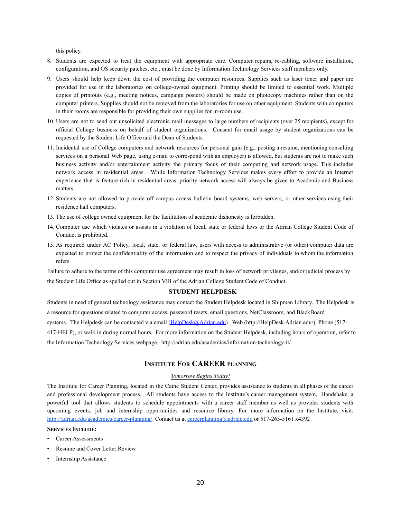this policy.

- 8. Students are expected to treat the equipment with appropriate care. Computer repairs, re-cabling, software installation, configuration, and OS security patches, etc., must be done by Information Technology Services staff members only.
- 9. Users should help keep down the cost of providing the computer resources. Supplies such as laser toner and paper are provided for use in the laboratories on college-owned equipment. Printing should be limited to essential work. Multiple copies of printouts (e.g., meeting notices, campaign posters) should be made on photocopy machines rather than on the computer printers. Supplies should not be removed from the laboratories for use on other equipment. Students with computers in their rooms are responsible for providing their own supplies for in-room use.
- 10. Users are not to send out unsolicited electronic mail messages to large numbers of recipients (over 25 recipients), except for official College business on behalf of student organizations. Consent for email usage by student organizations can be requested by the Student Life Office and the Dean of Students.
- 11. Incidental use of College computers and network resources for personal gain (e.g., posting a resume, mentioning consulting services on a personal Web page, using e-mail to correspond with an employer) is allowed, but students are not to make such business activity and/or entertainment activity the primary focus of their computing and network usage. This includes network access in residential areas. While Information Technology Services makes every effort to provide an Internet experience that is feature rich in residential areas, priority network access will always be given to Academic and Business matters.
- 12. Students are not allowed to provide off-campus access bulletin board systems, web servers, or other services using their residence hall computers.
- 13. The use of college owned equipment for the facilitation of academic dishonesty is forbidden.
- 14. Computer use which violates or assists in a violation of local, state or federal laws or the Adrian College Student Code of Conduct is prohibited.
- 15. As required under AC Policy, local, state, or federal law, users with access to administrative (or other) computer data are expected to protect the confidentiality of the information and to respect the privacy of individuals to whom the information refers.

Failure to adhere to the terms of this computer use agreement may result in loss of network privileges, and/or judicial process by the Student Life Office as spelled out in Section VIII of the Adrian College Student Code of Conduct.

#### **STUDENT HELPDESK**

Students in need of general technology assistance may contact the Student Helpdesk located in Shipman Library. The Helpdesk is a resource for questions related to computer access, password resets, email questions, NetClassroom, and BlackBoard

systems. The Helpdesk can be contacted via email [\(HelpDesk@Adrian.edu\)](mailto:HelpDesk@Adrian.edu), Web (http://HelpDesk.Adrian.edu/), Phone (517-

417-HELP), or walk in during normal hours. For more information on the Student Helpdesk, including hours of operation, refer to the Information Technology Services webpage. http://adrian.edu/academics/information-technology-it/

## **INSTITUTE FOR CAREER PLANNING**

## *Tomorrow Begins Today!*

The Institute for Career Planning, located in the Caine Student Center, provides assistance to students in all phases of the career and professional development process. All students have access to the Institute's career management system, Handshake, a powerful tool that allows students to schedule appointments with a career staff member as well as provides students with upcoming events, job and internship opportunities and resource library. For more information on the Institute, visit: <http://adrian.edu/academics/career-planning/>. Contact us at [careerplanning@adrian.edu](mailto:careerplanning@adrian.edu) or 517-265-5161 x4392

#### **SERVICES INCLUDE:**

- Career Assessments
- Resume and Cover Letter Review
- Internship Assistance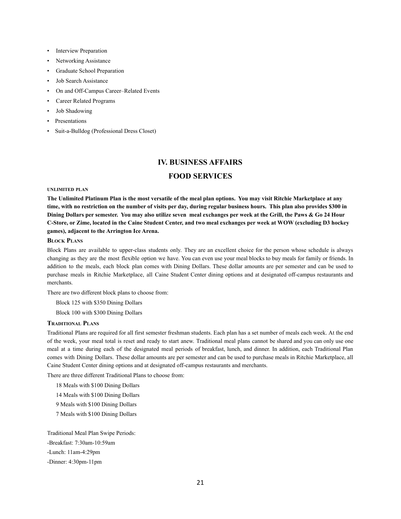- Interview Preparation
- Networking Assistance
- Graduate School Preparation
- Job Search Assistance
- On and Off-Campus Career–Related Events
- Career Related Programs
- Job Shadowing
- **Presentations**
- Suit-a-Bulldog (Professional Dress Closet)

## **IV. BUSINESS AFFAIRS**

## **FOOD SERVICES**

#### **UNLIMITED PLAN**

**The Unlimited Platinum Plan is the most versatile of the meal plan options. You may visit Ritchie Marketplace at any time, with no restriction on the number of visits per day, during regular business hours. This plan also provides \$300 in Dining Dollars per semester. You may also utilize seven meal exchanges per week at the Grill, the Paws & Go 24 Hour C-Store, or Zime, located in the Caine Student Center, and two meal exchanges per week at WOW (excluding D3 hockey games), adjacent to the Arrington Ice Arena.**

#### **BLOCK PLANS**

Block Plans are available to upper-class students only. They are an excellent choice for the person whose schedule is always changing as they are the most flexible option we have. You can even use your meal blocks to buy meals for family or friends. In addition to the meals, each block plan comes with Dining Dollars. These dollar amounts are per semester and can be used to purchase meals in Ritchie Marketplace, all Caine Student Center dining options and at designated off-campus restaurants and merchants.

There are two different block plans to choose from:

Block 125 with \$350 Dining Dollars

Block 100 with \$300 Dining Dollars

#### **TRADITIONAL PLANS**

Traditional Plans are required for all first semester freshman students. Each plan has a set number of meals each week. At the end of the week, your meal total is reset and ready to start anew. Traditional meal plans cannot be shared and you can only use one meal at a time during each of the designated meal periods of breakfast, lunch, and dinner. In addition, each Traditional Plan comes with Dining Dollars. These dollar amounts are per semester and can be used to purchase meals in Ritchie Marketplace, all Caine Student Center dining options and at designated off-campus restaurants and merchants.

There are three different Traditional Plans to choose from:

18 Meals with \$100 Dining Dollars 14 Meals with \$100 Dining Dollars 9 Meals with \$100 Dining Dollars 7 Meals with \$100 Dining Dollars

Traditional Meal Plan Swipe Periods: -Breakfast: 7:30am-10:59am -Lunch: 11am-4:29pm -Dinner: 4:30pm-11pm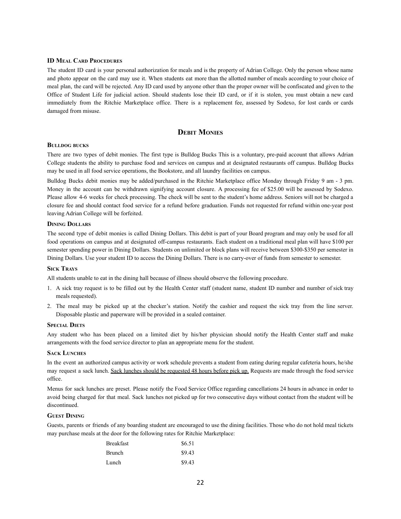#### **ID MEAL CARD PROCEDURES**

The student ID card is your personal authorization for meals and is the property of Adrian College. Only the person whose name and photo appear on the card may use it. When students eat more than the allotted number of meals according to your choice of meal plan, the card will be rejected. Any ID card used by anyone other than the proper owner will be confiscated and given to the Office of Student Life for judicial action. Should students lose their ID card, or if it is stolen, you must obtain a new card immediately from the Ritchie Marketplace office. There is a replacement fee, assessed by Sodexo, for lost cards or cards damaged from misuse.

## **DEBIT MONIES**

#### **BULLDOG BUCKS**

There are two types of debit monies. The first type is Bulldog Bucks This is a voluntary, pre-paid account that allows Adrian College students the ability to purchase food and services on campus and at designated restaurants off campus. Bulldog Bucks may be used in all food service operations, the Bookstore, and all laundry facilities on campus.

Bulldog Bucks debit monies may be added/purchased in the Ritchie Marketplace office Monday through Friday 9 am - 3 pm. Money in the account can be withdrawn signifying account closure. A processing fee of \$25.00 will be assessed by Sodexo. Please allow 4-6 weeks for check processing. The check will be sent to the student's home address. Seniors will not be charged a closure fee and should contact food service for a refund before graduation. Funds not requested for refund within one-year post leaving Adrian College will be forfeited.

#### **DINING DOLLARS**

The second type of debit monies is called Dining Dollars. This debit is part of your Board program and may only be used for all food operations on campus and at designated off-campus restaurants. Each student on a traditional meal plan will have \$100 per semester spending power in Dining Dollars. Students on unlimited or block plans will receive between \$300-\$350 per semester in Dining Dollars. Use your student ID to access the Dining Dollars. There is no carry-over of funds from semester to semester.

#### **SICK TRAYS**

All students unable to eat in the dining hall because of illness should observe the following procedure.

- 1. A sick tray request is to be filled out by the Health Center staff (student name, student ID number and number of sick tray meals requested).
- 2. The meal may be picked up at the checker's station. Notify the cashier and request the sick tray from the line server. Disposable plastic and paperware will be provided in a sealed container.

#### **SPECIAL DIETS**

Any student who has been placed on a limited diet by his/her physician should notify the Health Center staff and make arrangements with the food service director to plan an appropriate menu for the student.

#### **SACK LUNCHES**

In the event an authorized campus activity or work schedule prevents a student from eating during regular cafeteria hours, he/she may request a sack lunch. Sack lunches should be requested 48 hours before pick up. Requests are made through the food service office.

Menus for sack lunches are preset. Please notify the Food Service Office regarding cancellations 24 hours in advance in order to avoid being charged for that meal. Sack lunches not picked up for two consecutive days without contact from the student will be discontinued.

#### **GUEST DINING**

Guests, parents or friends of any boarding student are encouraged to use the dining facilities. Those who do not hold meal tickets may purchase meals at the door for the following rates for Ritchie Marketplace:

| <b>Breakfast</b> | \$6.51 |
|------------------|--------|
| <b>Brunch</b>    | \$9.43 |
| Lunch            | \$9.43 |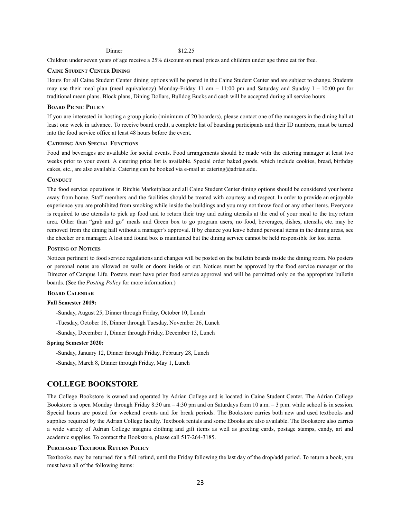Children under seven years of age receive a 25% discount on meal prices and children under age three eat for free.

#### **CAINE STUDENT CENTER DINING**

Hours for all Caine Student Center dining options will be posted in the Caine Student Center and are subject to change. Students may use their meal plan (meal equivalency) Monday-Friday 11 am – 11:00 pm and Saturday and Sunday 1 – 10:00 pm for traditional mean plans. Block plans, Dining Dollars, Bulldog Bucks and cash will be accepted during all service hours.

#### **BOARD PICNIC POLICY**

If you are interested in hosting a group picnic (minimum of 20 boarders), please contact one of the managers in the dining hall at least one week in advance. To receive board credit, a complete list of boarding participants and their ID numbers, must be turned into the food service office at least 48 hours before the event.

#### **CATERING AND SPECIAL FUNCTIONS**

Food and beverages are available for social events. Food arrangements should be made with the catering manager at least two weeks prior to your event. A catering price list is available. Special order baked goods, which include cookies, bread, birthday cakes, etc., are also available. Catering can be booked via e-mail at catering@adrian.edu.

#### **CONDUCT**

The food service operations in Ritchie Marketplace and all Caine Student Center dining options should be considered your home away from home. Staff members and the facilities should be treated with courtesy and respect. In order to provide an enjoyable experience you are prohibited from smoking while inside the buildings and you may not throw food or any other items. Everyone is required to use utensils to pick up food and to return their tray and eating utensils at the end of your meal to the tray return area. Other than "grab and go" meals and Green box to go program users, no food, beverages, dishes, utensils, etc. may be removed from the dining hall without a manager's approval. If by chance you leave behind personal items in the dining areas, see the checker or a manager. A lost and found box is maintained but the dining service cannot be held responsible for lost items.

#### **POSTING OF NOTICES**

Notices pertinent to food service regulations and changes will be posted on the bulletin boards inside the dining room. No posters or personal notes are allowed on walls or doors inside or out. Notices must be approved by the food service manager or the Director of Campus Life. Posters must have prior food service approval and will be permitted only on the appropriate bulletin boards. (See the *Posting Policy* for more information.)

## **BOARD CALENDAR**

#### **Fall Semester 2019:**

-Sunday, August 25, Dinner through Friday, October 10, Lunch

-Tuesday, October 16, Dinner through Tuesday, November 26, Lunch

-Sunday, December 1, Dinner through Friday, December 13, Lunch

#### **Spring Semester 2020:**

-Sunday, January 12, Dinner through Friday, February 28, Lunch

-Sunday, March 8, Dinner through Friday, May 1, Lunch

#### **COLLEGE BOOKSTORE**

The College Bookstore is owned and operated by Adrian College and is located in Caine Student Center. The Adrian College Bookstore is open Monday through Friday 8:30 am – 4:30 pm and on Saturdays from 10 a.m. – 3 p.m. while school is in session. Special hours are posted for weekend events and for break periods. The Bookstore carries both new and used textbooks and supplies required by the Adrian College faculty. Textbook rentals and some Ebooks are also available. The Bookstore also carries a wide variety of Adrian College insignia clothing and gift items as well as greeting cards, postage stamps, candy, art and academic supplies. To contact the Bookstore, please call 517-264-3185.

#### **PURCHASED TEXTBOOK RETURN POLICY**

Textbooks may be returned for a full refund, until the Friday following the last day of the drop/add period. To return a book, you must have all of the following items: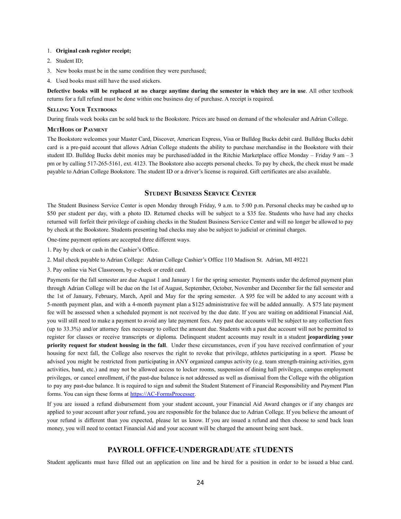#### 1. **Original cash register receipt;**

- 2. Student ID;
- 3. New books must be in the same condition they were purchased;
- 4. Used books must still have the used stickers.

Defective books will be replaced at no charge anytime during the semester in which they are in use. All other textbook returns for a full refund must be done within one business day of purchase. A receipt is required.

#### **SELLING YOUR TEXTBOOKS**

During finals week books can be sold back to the Bookstore. Prices are based on demand of the wholesaler and Adrian College.

#### **METHODS OF PAYMENT**

The Bookstore welcomes your Master Card, Discover, American Express, Visa or Bulldog Bucks debit card. Bulldog Bucks debit card is a pre-paid account that allows Adrian College students the ability to purchase merchandise in the Bookstore with their student ID. Bulldog Bucks debit monies may be purchased/added in the Ritchie Marketplace office Monday – Friday 9 am – 3 pm or by calling 517-265-5161, ext. 4123. The Bookstore also accepts personal checks. To pay by check, the check must be made payable to Adrian College Bookstore. The student ID or a driver's license is required. Gift certificates are also available.

## **STUDENT BUSINESS SERVICE CENTER**

The Student Business Service Center is open Monday through Friday, 9 a.m. to 5:00 p.m. Personal checks may be cashed up to \$50 per student per day, with a photo ID. Returned checks will be subject to a \$35 fee. Students who have had any checks returned will forfeit their privilege of cashing checks in the Student Business Service Center and will no longer be allowed to pay by check at the Bookstore. Students presenting bad checks may also be subject to judicial or criminal charges.

One-time payment options are accepted three different ways.

- 1. Pay by check or cash in the Cashier's Office.
- 2. Mail check payable to Adrian College: Adrian College Cashier's Office 110 Madison St. Adrian, MI 49221
- 3. Pay online via Net Classroom, by e-check or credit card.

Payments for the fall semester are due August 1 and January 1 for the spring semester. Payments under the deferred payment plan through Adrian College will be due on the 1st of August, September, October, November and December for the fall semester and the 1st of January, February, March, April and May for the spring semester. A \$95 fee will be added to any account with a 5-month payment plan, and with a 4-month payment plan a \$125 administrative fee will be added annually. A \$75 late payment fee will be assessed when a scheduled payment is not received by the due date. If you are waiting on additional Financial Aid, you will still need to make a payment to avoid any late payment fees. Any past due accounts will be subject to any collection fees (up to 33.3%) and/or attorney fees necessary to collect the amount due. Students with a past due account will not be permitted to register for classes or receive transcripts or diploma. Delinquent student accounts may result in a student **jeopardizing your priority request for student housing in the fall**. Under these circumstances, even if you have received confirmation of your housing for next fall, the College also reserves the right to revoke that privilege, athletes participating in a sport. Please be advised you might be restricted from participating in ANY organized campus activity (e.g. team strength-training activities, gym activities, band, etc.) and may not be allowed access to locker rooms, suspension of dining hall privileges, campus employment privileges, or cancel enrollment, if the past-due balance is not addressed as well as dismissal from the College with the obligation to pay any past-due balance. It is required to sign and submit the Student Statement of Financial Responsibility and Payment Plan forms. You can sign these forms at [https://AC-FormsProcesser](https://ac-formsprocesser).

If you are issued a refund disbursement from your student account, your Financial Aid Award changes or if any changes are applied to your account after your refund, you are responsible for the balance due to Adrian College. If you believe the amount of your refund is different than you expected, please let us know. If you are issued a refund and then choose to send back loan money, you will need to contact Financial Aid and your account will be charged the amount being sent back.

## **PAYROLL OFFICE-UNDERGRADUATE STUDENTS**

Student applicants must have filled out an application on line and be hired for a position in order to be issued a blue card.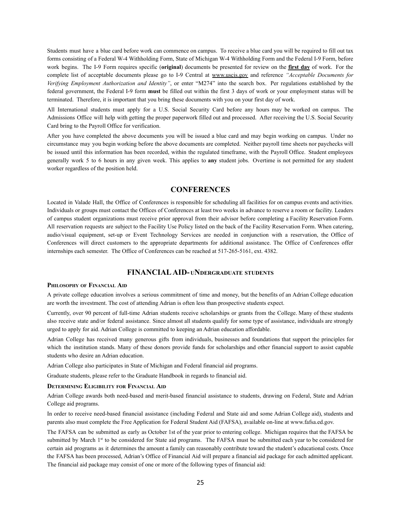Students must have a blue card before work can commence on campus. To receive a blue card you will be required to fill out tax forms consisting of a Federal W-4 Withholding Form, State of Michigan W-4 Withholding Form and the Federal I-9 Form, before work begins. The I-9 Form requires specific (**original**) documents be presented for review on the **first day** of work. For the complete list of acceptable documents please go to I-9 Central at [www.uscis.gov](http://www.uscis.gov) and reference *"Acceptable Documents for Verifying Employment Authorization and Identity"*, or enter "M274" into the search box. Per regulations established by the federal government, the Federal I-9 form **must** be filled out within the first 3 days of work or your employment status will be terminated. Therefore, it is important that you bring these documents with you on your first day of work.

All International students must apply for a U.S. Social Security Card before any hours may be worked on campus. The Admissions Office will help with getting the proper paperwork filled out and processed. After receiving the U.S. Social Security Card bring to the Payroll Office for verification.

After you have completed the above documents you will be issued a blue card and may begin working on campus. Under no circumstance may you begin working before the above documents are completed. Neither payroll time sheets nor paychecks will be issued until this information has been recorded, within the regulated timeframe, with the Payroll Office. Student employees generally work 5 to 6 hours in any given week. This applies to **any** student jobs. Overtime is not permitted for any student worker regardless of the position held.

## **CONFERENCES**

Located in Valade Hall, the Office of Conferences is responsible for scheduling all facilities for on campus events and activities. Individuals or groups must contact the Offices of Conferences at least two weeks in advance to reserve a room or facility. Leaders of campus student organizations must receive prior approval from their advisor before completing a Facility Reservation Form. All reservation requests are subject to the Facility Use Policy listed on the back of the Facility Reservation Form. When catering, audio/visual equipment, set-up or Event Technology Services are needed in conjunction with a reservation, the Office of Conferences will direct customers to the appropriate departments for additional assistance. The Office of Conferences offer internships each semester. The Office of Conferences can be reached at 517-265-5161, ext. 4382.

## **FINANCIALAID- UNDERGRADUATE STUDENTS**

#### **PHILOSOPHY OF FINANCIAL AID**

A private college education involves a serious commitment of time and money, but the benefits of an Adrian College education are worth the investment. The cost of attending Adrian is often less than prospective students expect.

Currently, over 90 percent of full-time Adrian students receive scholarships or grants from the College. Many of these students also receive state and/or federal assistance. Since almost all students qualify for some type of assistance, individuals are strongly urged to apply for aid. Adrian College is committed to keeping an Adrian education affordable.

Adrian College has received many generous gifts from individuals, businesses and foundations that support the principles for which the institution stands. Many of these donors provide funds for scholarships and other financial support to assist capable students who desire an Adrian education.

Adrian College also participates in State of Michigan and Federal financial aid programs.

Graduate students, please refer to the Graduate Handbook in regards to financial aid.

#### **DETERMINING ELIGIBILITY FOR FINANCIAL AID**

Adrian College awards both need-based and merit-based financial assistance to students, drawing on Federal, State and Adrian College aid programs.

In order to receive need-based financial assistance (including Federal and State aid and some Adrian College aid), students and parents also must complete the Free Application for Federal Student Aid (FAFSA), available on-line at www.fafsa.ed.gov.

The FAFSA can be submitted as early as October 1st of the year prior to entering college. Michigan requires that the FAFSA be submitted by March 1<sup>st</sup> to be considered for State aid programs. The FAFSA must be submitted each year to be considered for certain aid programs as it determines the amount a family can reasonably contribute toward the student's educational costs. Once the FAFSA has been processed, Adrian's Office of Financial Aid will prepare a financial aid package for each admitted applicant. The financial aid package may consist of one or more of the following types of financial aid: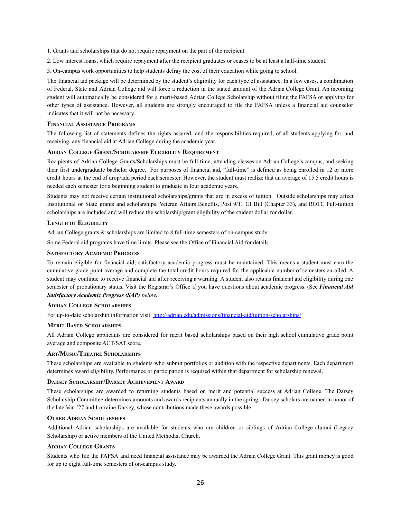1. Grants and scholarships that do not require repayment on the part of the recipient.

2. Low interest loans, which require repayment after the recipient graduates or ceases to be at least a half-time student.

3. On-campus work opportunities to help students defray the cost of their education while going to school.

The financial aid package will be determined by the student's eligibility for each type of assistance. In a few cases, a combination of Federal, State and Adrian College aid will force a reduction in the stated amount of the Adrian College Grant. An incoming student will automatically be considered for a merit-based Adrian College Scholarship without filing the FAFSA or applying for other types of assistance. However, all students are strongly encouraged to file the FAFSA unless a financial aid counselor indicates that it will not be necessary.

#### **FINANCIAL ASSISTANCE PROGRAMS**

The following list of statements defines the rights assured, and the responsibilities required, of all students applying for, and receiving, any financial aid at Adrian College during the academic year.

#### **ADRIAN COLLEGE GRANT/SCHOLARSHIP ELIGIBILITY REQUIREMENT**

Recipients of Adrian College Grants/Scholarships must be full-time, attending classes on Adrian College's campus, and seeking their first undergraduate bachelor degree. For purposes of financial aid, "full-time" is defined as being enrolled in 12 or more credit hours at the end of drop/add period each semester. However, the student must realize that an average of 15.5 credit hours is needed each semester for a beginning student to graduate in four academic years.

Students may not receive certain institutional scholarships/grants that are in excess of tuition. Outside scholarships may affect Institutional or State grants and scholarships. Veteran Affairs Benefits, Post 9/11 GI Bill (Chapter 33), and ROTC Full-tuition scholarships are included and will reduce the scholarship/grant eligibility of the student dollar for dollar.

#### **LENGTH OF ELIGIBILITY**

Adrian College grants & scholarships are limited to 8 full-time semesters of on-campus study.

Some Federal aid programs have time limits. Please see the Office of Financial Aid for details.

#### **SATISFACTORY ACADEMIC PROGRESS**

To remain eligible for financial aid, satisfactory academic progress must be maintained. This means a student must earn the cumulative grade point average and complete the total credit hours required for the applicable number of semesters enrolled. A student may continue to receive financial aid after receiving a warning. A student also retains financial aid eligibility during one semester of probationary status. Visit the Registrar's Office if you have questions about academic progress. (See *Financial Aid Satisfactory Academic Progress (SAP) below)*

#### **ADRIAN COLLEGE SCHOLARSHIPS**

For up-to-date scholarship information visit: <http://adrian.edu/admissions/financial-aid/tuition-scholarships/>

#### **MERIT BASED SCHOLARSHIPS**

All Adrian College applicants are considered for merit based scholarships based on their high school cumulative grade point average and composite ACT/SAT score.

#### **ART/MUSIC/THEATRE SCHOLARSHIPS**

These scholarships are available to students who submit portfolios or audition with the respective departments. Each department determines award eligibility. Performance or participation is required within that department for scholarship renewal.

#### **DARSEY SCHOLARSHIP/DARSEY ACHIEVEMENT AWARD**

These scholarships are awarded to returning students based on merit and potential success at Adrian College. The Darsey Scholarship Committee determines amounts and awards recipients annually in the spring. Darsey scholars are named in honor of the late Van '27 and Lorraine Darsey, whose contributions made these awards possible.

#### **OTHER ADRIAN SCHOLARSHIPS**

Additional Adrian scholarships are available for students who are children or siblings of Adrian College alumni (Legacy Scholarship) or active members of the United Methodist Church.

#### **ADRIAN COLLEGE GRANTS**

Students who file the FAFSA and need financial assistance may be awarded the Adrian College Grant. This grant money is good for up to eight full-time semesters of on-campus study.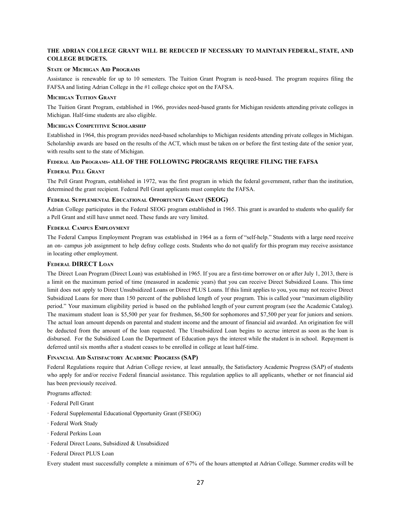## **THE ADRIAN COLLEGE GRANT WILL BE REDUCED IF NECESSARY TO MAINTAIN FEDERAL, STATE, AND COLLEGE BUDGETS.**

#### **STATE OF MICHIGAN AID PROGRAMS**

Assistance is renewable for up to 10 semesters. The Tuition Grant Program is need-based. The program requires filing the FAFSA and listing Adrian College in the #1 college choice spot on the FAFSA.

#### **MICHIGAN TUITION GRANT**

The Tuition Grant Program, established in 1966, provides need-based grants for Michigan residents attending private colleges in Michigan. Half-time students are also eligible.

#### **MICHIGAN COMPETITIVE SCHOLARSHIP**

Established in 1964, this program provides need-based scholarships to Michigan residents attending private colleges in Michigan. Scholarship awards are based on the results of the ACT, which must be taken on or before the first testing date of the senior year, with results sent to the state of Michigan.

#### **FEDERAL AID PROGRAMS- ALL OF THE FOLLOWING PROGRAMS REQUIRE FILING THE FAFSA**

#### **FEDERAL PELL GRANT**

The Pell Grant Program, established in 1972, was the first program in which the federal government, rather than the institution, determined the grant recipient. Federal Pell Grant applicants must complete the FAFSA.

#### **FEDERAL SUPPLEMENTAL EDUCATIONAL OPPORTUNITY GRANT (SEOG)**

Adrian College participates in the Federal SEOG program established in 1965. This grant is awarded to students who qualify for a Pell Grant and still have unmet need. These funds are very limited.

#### **FEDERAL CAMPUS EMPLOYMENT**

The Federal Campus Employment Program was established in 1964 as a form of "self-help." Students with a large need receive an on- campus job assignment to help defray college costs. Students who do not qualify for this program may receive assistance in locating other employment.

#### **FEDERAL DIRECT LOAN**

The Direct Loan Program (Direct Loan) was established in 1965. If you are a first-time borrower on or after July 1, 2013, there is a limit on the maximum period of time (measured in academic years) that you can receive Direct Subsidized Loans. This time limit does not apply to Direct Unsubsidized Loans or Direct PLUS Loans. If this limit applies to you, you may not receive Direct Subsidized Loans for more than 150 percent of the published length of your program. This is called your "maximum eligibility period." Your maximum eligibility period is based on the published length of your current program (see the Academic Catalog). The maximum student loan is \$5,500 per year for freshmen, \$6,500 for sophomores and \$7,500 per year for juniors and seniors. The actual loan amount depends on parental and student income and the amount of financial aid awarded. An origination fee will be deducted from the amount of the loan requested. The Unsubsidized Loan begins to accrue interest as soon as the loan is disbursed. For the Subsidized Loan the Department of Education pays the interest while the student is in school. Repayment is deferred until six months after a student ceases to be enrolled in college at least half-time.

#### **FINANCIAL AID SATISFACTORY ACADEMIC PROGRESS (SAP)**

Federal Regulations require that Adrian College review, at least annually, the Satisfactory Academic Progress (SAP) of students who apply for and/or receive Federal financial assistance. This regulation applies to all applicants, whether or not financial aid has been previously received.

Programs affected:

- · Federal Pell Grant
- · Federal Supplemental Educational Opportunity Grant (FSEOG)
- · Federal Work Study
- · Federal Perkins Loan
- · Federal Direct Loans, Subsidized & Unsubsidized
- · Federal Direct PLUS Loan

Every student must successfully complete a minimum of 67% of the hours attempted at Adrian College. Summer credits will be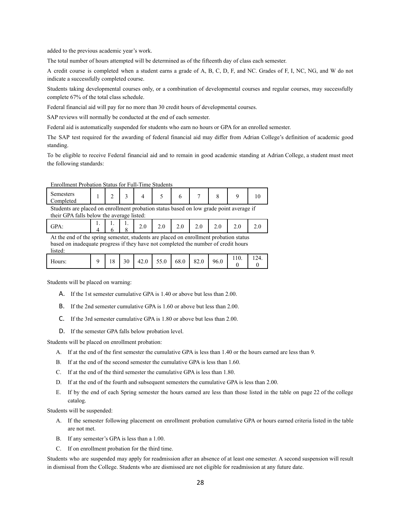added to the previous academic year's work.

The total number of hours attempted will be determined as of the fifteenth day of class each semester.

A credit course is completed when a student earns a grade of A, B, C, D, F, and NC. Grades of F, I, NC, NG, and W do not indicate a successfully completed course.

Students taking developmental courses only, or a combination of developmental courses and regular courses, may successfully complete 67% of the total class schedule.

Federal financial aid will pay for no more than 30 credit hours of developmental courses.

SAP reviews will normally be conducted at the end of each semester.

Federal aid is automatically suspended for students who earn no hours or GPA for an enrolled semester.

The SAP test required for the awarding of federal financial aid may differ from Adrian College's definition of academic good standing.

To be eligible to receive Federal financial aid and to remain in good academic standing at Adrian College, a student must meet the following standards:

| Enrollment Probation Status for Full-Time Students                                     |  |  |  |  |  |
|----------------------------------------------------------------------------------------|--|--|--|--|--|
| Semesters<br><b>Completed</b>                                                          |  |  |  |  |  |
| Students are placed on enrollment probation status based on low grade point average if |  |  |  |  |  |

Enrollment Probation Status for Full-Time Students

Students are placed on enrollment probation status based on low grade point average if their GPA falls below the average listed:

| <b>GPA</b> |                   |  |  |  |  | $\begin{array}{ c c c c c c c c c } \hline 1. & 1. & 1. & 2.0 & 2.0 & 2.0 & 2.0 & 2.0 & 2.0 & 2.0 \ \hline \end{array}$ |  |
|------------|-------------------|--|--|--|--|-------------------------------------------------------------------------------------------------------------------------|--|
| $\cdots$   | $\sim$ 1 $\sim$ 1 |  |  |  |  |                                                                                                                         |  |

At the end of the spring semester, students are placed on enrollment probation status based on inadequate progress if they have not completed the number of credit hours listed:

| 82.0<br>68.0<br>96.0<br>30<br>55.0<br>42.0<br>$\circ$<br>Hours:<br>o |  |  |  |  |  |  | 110. | 14 |
|----------------------------------------------------------------------|--|--|--|--|--|--|------|----|
|----------------------------------------------------------------------|--|--|--|--|--|--|------|----|

Students will be placed on warning:

- A. If the 1st semester cumulative GPA is 1.40 or above but less than 2.00.
- B. If the 2nd semester cumulative GPA is 1.60 or above but less than 2.00.
- C. If the 3rd semester cumulative GPA is 1.80 or above but less than 2.00.
- D. If the semester GPA falls below probation level.

Students will be placed on enrollment probation:

- A. If at the end of the first semester the cumulative GPA is less than 1.40 or the hours earned are less than 9.
- B. If at the end of the second semester the cumulative GPA is less than 1.60.
- C. If at the end of the third semester the cumulative GPA is less than 1.80.
- D. If at the end of the fourth and subsequent semesters the cumulative GPA is less than 2.00.
- E. If by the end of each Spring semester the hours earned are less than those listed in the table on page 22 of the college catalog.

Students will be suspended:

- A. If the semester following placement on enrollment probation cumulative GPA or hours earned criteria listed in the table are not met.
- B. If any semester's GPA is less than a 1.00.
- C. If on enrollment probation for the third time.

Students who are suspended may apply for readmission after an absence of at least one semester. A second suspension will result in dismissal from the College. Students who are dismissed are not eligible for readmission at any future date.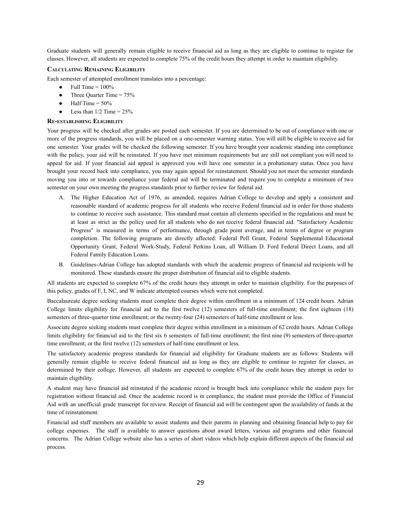Graduate students will generally remain eligible to receive financial aid as long as they are eligible to continue to register for classes. However, all students are expected to complete 75% of the credit hours they attempt in order to maintain eligibility.

#### **CALCULATING REMAINING ELIGIBILITY**

Each semester of attempted enrollment translates into a percentage:

- $\bullet$  Full Time =  $100\%$
- Three Ouarter Time  $= 75\%$
- $\bullet$  Half Time = 50%
- Less than  $1/2$  Time =  $25\%$

#### **RE-ESTABLISHING ELIGIBILITY**

Your progress will be checked after grades are posted each semester. If you are determined to be out of compliance with one or more of the progress standards, you will be placed on a one-semester warning status. You will still be eligible to receive aid for one semester. Your grades will be checked the following semester. If you have brought your academic standing into compliance with the policy, your aid will be reinstated. If you have met minimum requirements but are still not compliant you will need to appeal for aid. If your financial aid appeal is approved you will have one semester in a probationary status. Once you have brought your record back into compliance, you may again appeal for reinstatement. Should you not meet the semester standards moving you into or towards compliance your federal aid will be terminated and require you to complete a minimum of two semester on your own meeting the progress standards prior to further review for federal aid.

- A. The Higher Education Act of 1976, as amended, requires Adrian College to develop and apply a consistent and reasonable standard of academic progress for all students who receive Federal financial aid in order for those students to continue to receive such assistance. This standard must contain all elements specified in the regulations and must be at least as strict as the policy used for all students who do not receive federal financial aid. "Satisfactory Academic Progress" is measured in terms of performance, through grade point average, and in terms of degree or program completion. The following programs are directly affected: Federal Pell Grant, Federal Supplemental Educational Opportunity Grant, Federal Work-Study, Federal Perkins Loan, all William D. Ford Federal Direct Loans, and all Federal Family Education Loans.
- B. Guidelines-Adrian College has adopted standards with which the academic progress of financial aid recipients will be monitored. These standards ensure the proper distribution of financial aid to eligible students.

All students are expected to complete 67% of the credit hours they attempt in order to maintain eligibility. For the purposes of this policy, grades of F, I, NC, and W indicate attempted courses which were not completed.

Baccalaureate degree seeking students must complete their degree within enrollment in a minimum of 124 credit hours. Adrian College limits eligibility for financial aid to the first twelve (12) semesters of full-time enrollment; the first eighteen (18) semesters of three-quarter time enrollment; or the twenty-four (24) semesters of half-time enrollment or less.

Associate degree seeking students must complete their degree within enrollment in a minimum of 62 credit hours. Adrian College limits eligibility for financial aid to the first six 6 semesters of full-time enrollment; the first nine (9) semesters of three-quarter time enrollment; or the first twelve (12) semesters of half-time enrollment or less.

The satisfactory academic progress standards for financial aid eligibility for Graduate students are as follows: Students will generally remain eligible to receive federal financial aid as long as they are eligible to continue to register for classes, as determined by their college. However, all students are expected to complete 67% of the credit hours they attempt in order to maintain eligibility.

A student may have financial aid reinstated if the academic record is brought back into compliance while the student pays for registration without financial aid. Once the academic record is in compliance, the student must provide the Office of Financial Aid with an unofficial grade transcript for review. Receipt of financial aid will be contingent upon the availability of funds at the time of reinstatement.

Financial aid staff members are available to assist students and their parents in planning and obtaining financial help to pay for college expenses. The staff is available to answer questions about award letters, various aid programs and other financial concerns. The Adrian College website also has a series of short videos which help explain different aspects of the financial aid process.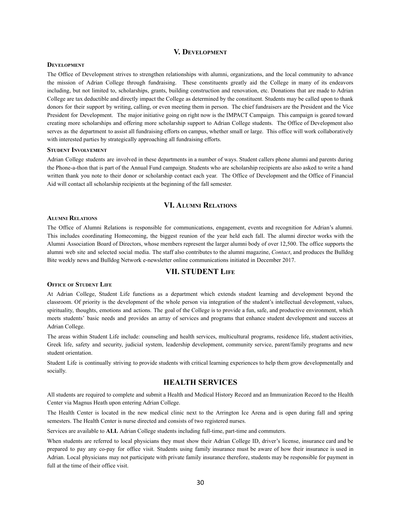#### **V. DEVELOPMENT**

## **DEVELOPMENT**

The Office of Development strives to strengthen relationships with alumni, organizations, and the local community to advance the mission of Adrian College through fundraising. These constituents greatly aid the College in many of its endeavors including, but not limited to, scholarships, grants, building construction and renovation, etc. Donations that are made to Adrian College are tax deductible and directly impact the College as determined by the constituent. Students may be called upon to thank donors for their support by writing, calling, or even meeting them in person. The chief fundraisers are the President and the Vice President for Development. The major initiative going on right now is the IMPACT Campaign. This campaign is geared toward creating more scholarships and offering more scholarship support to Adrian College students. The Office of Development also serves as the department to assist all fundraising efforts on campus, whether small or large. This office will work collaboratively with interested parties by strategically approaching all fundraising efforts.

#### **STUDENT INVOLVEMENT**

Adrian College students are involved in these departments in a number of ways. Student callers phone alumni and parents during the Phone-a-thon that is part of the Annual Fund campaign. Students who are scholarship recipients are also asked to write a hand written thank you note to their donor or scholarship contact each year. The Office of Development and the Office of Financial Aid will contact all scholarship recipients at the beginning of the fall semester.

## **VI. ALUMNI RELATIONS**

#### **ALUMNI RELATIONS**

The Office of Alumni Relations is responsible for communications, engagement, events and recognition for Adrian's alumni. This includes coordinating Homecoming, the biggest reunion of the year held each fall. The alumni director works with the Alumni Association Board of Directors, whose members represent the larger alumni body of over 12,500. The office supports the alumni web site and selected social media. The staff also contributes to the alumni magazine, *Contact*, and produces the Bulldog Bite weekly news and Bulldog Network e-newsletter online communications initiated in December 2017.

## **VII. STUDENT LIFE**

#### **OFFICE OF STUDENT LIFE**

At Adrian College, Student Life functions as a department which extends student learning and development beyond the classroom. Of priority is the development of the whole person via integration of the student's intellectual development, values, spirituality, thoughts, emotions and actions. The goal of the College is to provide a fun, safe, and productive environment, which meets students' basic needs and provides an array of services and programs that enhance student development and success at Adrian College.

The areas within Student Life include: counseling and health services, multicultural programs, residence life, student activities, Greek life, safety and security, judicial system, leadership development, community service, parent/family programs and new student orientation.

Student Life is continually striving to provide students with critical learning experiences to help them grow developmentally and socially.

## **HEALTH SERVICES**

All students are required to complete and submit a Health and Medical History Record and an Immunization Record to the Health Center via Magnus Heath upon entering Adrian College.

The Health Center is located in the new medical clinic next to the Arrington Ice Arena and is open during fall and spring semesters. The Health Center is nurse directed and consists of two registered nurses.

Services are available to **ALL** Adrian College students including full-time, part-time and commuters.

When students are referred to local physicians they must show their Adrian College ID, driver's license, insurance card and be prepared to pay any co-pay for office visit. Students using family insurance must be aware of how their insurance is used in Adrian. Local physicians may not participate with private family insurance therefore, students may be responsible for payment in full at the time of their office visit.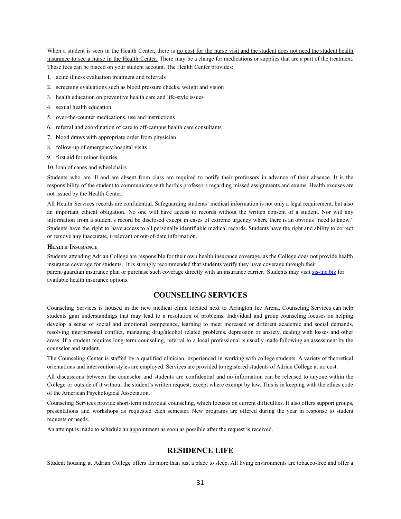When a student is seen in the Health Center, there is no cost for the nurse visit and the student does not need the student health insurance to see a nurse in the Health Center*.* There may be a charge for medications or supplies that are a part of the treatment. These fees can be placed on your student account. The Health Center provides:

- 1. acute illness evaluation treatment and referrals
- 2. screening evaluations such as blood pressure checks, weight and vision
- 3. health education on preventive health care and life-style issues
- 4. sexual health education
- 5. over-the-counter medications, use and instructions
- 6. referral and coordination of care to off-campus health care consultants
- 7. blood draws with appropriate order from physician
- 8. follow-up of emergency hospital visits
- 9. first aid for minor injuries
- 10. loan of canes and wheelchairs

Students who are ill and are absent from class are required to notify their professors in advance of their absence. It is the responsibility of the student to communicate with her/his professors regarding missed assignments and exams. Health excuses are not issued by the Health Center.

All Health Services records are confidential. Safeguarding students' medical information is not only a legal requirement, but also an important ethical obligation. No one will have access to records without the written consent of a student. Nor will any information from a student's record be disclosed except in cases of extreme urgency where there is an obvious "need to know." Students have the right to have access to all personally identifiable medical records. Students have the right and ability to correct or remove any inaccurate, irrelevant or out-of-date information.

#### **HEALTH INSURANCE**

Students attending Adrian College are responsible for their own health insurance coverage, as the College does not provide health insurance coverage for students. It is strongly recommended that students verify they have coverage through their parent/guardian insurance plan or purchase such coverage directly with an insurance carrier. Students may visit [sis-inc.biz](https://console.mxlogic.com/redir/?kTT7D7xNEVdFLIL8Topdw0WiEnB2T1gTvAXTLuZXTKrKrwHV7j_1mEhBIeZ1ISOej76Qmmn64ShOqpJCVIoCSxY9Cy0bX10xmFn1aGGHs9mSsGMdPYfDwedECQjqrXbOdQkjtAEDJTeVxNNd) for available health insurance options.

## **COUNSELING SERVICES**

Counseling Services is housed in the new medical clinic located next to Arrington Ice Arena. Counseling Services can help students gain understandings that may lead to a resolution of problems. Individual and group counseling focuses on helping develop a sense of social and emotional competence, learning to meet increased or different academic and social demands, resolving interpersonal conflict, managing drug/alcohol related problems, depression or anxiety, dealing with losses and other areas. If a student requires long-term counseling, referral to a local professional is usually made following an assessment by the counselor and student.

The Counseling Center is staffed by a qualified clinician, experienced in working with college students. A variety of theoretical orientations and intervention styles are employed. Services are provided to registered students of Adrian College at no cost.

All discussions between the counselor and students are confidential and no information can be released to anyone within the College or outside of it without the student's written request, except where exempt by law. This is in keeping with the ethics code of the American Psychological Association.

Counseling Services provide short-term individual counseling, which focuses on current difficulties. It also offers support groups, presentations and workshops as requested each semester. New programs are offered during the year in response to student requests or needs.

An attempt is made to schedule an appointment as soon as possible after the request is received.

## **RESIDENCE LIFE**

Student housing at Adrian College offers far more than just a place to sleep. All living environments are tobacco-free and offer a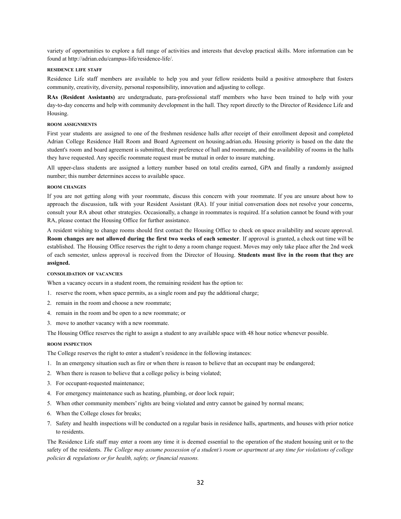variety of opportunities to explore a full range of activities and interests that develop practical skills. More information can be found at http://adrian.edu/campus-life/residence-life/.

#### **RESIDENCE LIFE STAFF**

Residence Life staff members are available to help you and your fellow residents build a positive atmosphere that fosters community, creativity, diversity, personal responsibility, innovation and adjusting to college.

**RAs (Resident Assistants)** are undergraduate, para-professional staff members who have been trained to help with your day-to-day concerns and help with community development in the hall. They report directly to the Director of Residence Life and Housing.

#### **ROOM ASSIGNMENTS**

First year students are assigned to one of the freshmen residence halls after receipt of their enrollment deposit and completed Adrian College Residence Hall Room and Board Agreement on [housing.adrian.edu](https://housing.adrian.edu). Housing priority is based on the date the student's room and board agreement is submitted, their preference of hall and roommate, and the availability of rooms in the halls they have requested. Any specific roommate request must be mutual in order to insure matching.

All upper-class students are assigned a lottery number based on total credits earned, GPA and finally a randomly assigned number; this number determines access to available space.

#### **ROOM CHANGES**

If you are not getting along with your roommate, discuss this concern with your roommate. If you are unsure about how to approach the discussion, talk with your Resident Assistant (RA). If your initial conversation does not resolve your concerns, consult your RA about other strategies. Occasionally, a change in roommates is required. If a solution cannot be found with your RA, please contact the Housing Office for further assistance.

A resident wishing to change rooms should first contact the Housing Office to check on space availability and secure approval. **Room changes are not allowed during the first two weeks of each semester**. If approval is granted, a check out time will be established. The Housing Office reserves the right to deny a room change request. Moves may only take place after the 2nd week of each semester, unless approval is received from the Director of Housing. **Students must live in the room that they are assigned.**

#### **CONSOLIDATION OF VACANCIES**

When a vacancy occurs in a student room, the remaining resident has the option to:

- 1. reserve the room, when space permits, as a single room and pay the additional charge;
- 2. remain in the room and choose a new roommate;
- 4. remain in the room and be open to a new roommate; or
- 3. move to another vacancy with a new roommate.

The Housing Office reserves the right to assign a student to any available space with 48 hour notice whenever possible.

#### **ROOM INSPECTION**

The College reserves the right to enter a student's residence in the following instances:

- 1. In an emergency situation such as fire or when there is reason to believe that an occupant may be endangered;
- 2. When there is reason to believe that a college policy is being violated;
- 3. For occupant-requested maintenance;
- 4. For emergency maintenance such as heating, plumbing, or door lock repair;
- 5. When other community members' rights are being violated and entry cannot be gained by normal means;
- 6. When the College closes for breaks;
- 7. Safety and health inspections will be conducted on a regular basis in residence halls, apartments, and houses with prior notice to residents.

The Residence Life staff may enter a room any time it is deemed essential to the operation of the student housing unit or to the safety of the residents. The College may assume possession of a student's room or apartment at any time for violations of college *policies & regulations or for health, safety, or financial reasons.*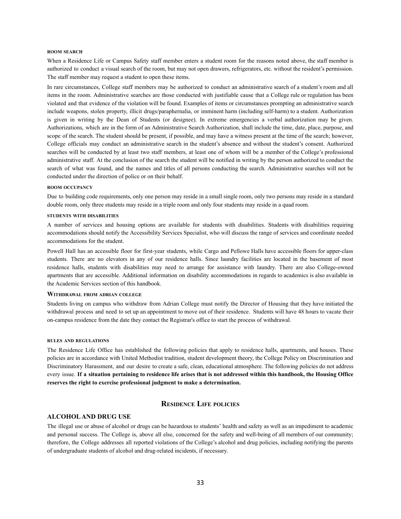#### **ROOM SEARCH**

When a Residence Life or Campus Safety staff member enters a student room for the reasons noted above, the staff member is authorized to conduct a visual search of the room, but may not open drawers, refrigerators, etc. without the resident's permission. The staff member may request a student to open these items.

In rare circumstances, College staff members may be authorized to conduct an administrative search of a student's room and all items in the room. Administrative searches are those conducted with justifiable cause that a College rule or regulation has been violated and that evidence of the violation will be found. Examples of items or circumstances prompting an administrative search include weapons, stolen property, illicit drugs/paraphernalia, or imminent harm (including self-harm) to a student. Authorization is given in writing by the Dean of Students (or designee). In extreme emergencies a verbal authorization may be given. Authorizations, which are in the form of an Administrative Search Authorization, shall include the time, date, place, purpose, and scope of the search. The student should be present, if possible, and may have a witness present at the time of the search; however, College officials may conduct an administrative search in the student's absence and without the student's consent. Authorized searches will be conducted by at least two staff members, at least one of whom will be a member of the College's professional administrative staff. At the conclusion of the search the student will be notified in writing by the person authorized to conduct the search of what was found, and the names and titles of all persons conducting the search. Administrative searches will not be conducted under the direction of police or on their behalf.

#### **ROOM OCCUPANCY**

Due to building code requirements, only one person may reside in a small single room, only two persons may reside in a standard double room, only three students may reside in a triple room and only four students may reside in a quad room.

#### **STUDENTS WITH DISABILITIES**

A number of services and housing options are available for students with disabilities. Students with disabilities requiring accommodations should notify the Accessibility Services Specialist, who will discuss the range of services and coordinate needed accommodations for the student.

Powell Hall has an accessible floor for first-year students, while Cargo and Pellowe Halls have accessible floors for upper-class students. There are no elevators in any of our residence halls. Since laundry facilities are located in the basement of most residence halls, students with disabilities may need to arrange for assistance with laundry. There are also College-owned apartments that are accessible. Additional information on disability accommodations in regards to academics is also available in the Academic Services section of this handbook.

#### **WITHDRAWAL FROM ADRIAN COLLEGE**

Students living on campus who withdraw from Adrian College must notify the Director of Housing that they have initiated the withdrawal process and need to set up an appointment to move out of their residence. Students will have 48 hours to vacate their on-campus residence from the date they contact the Registrar's office to start the process of withdrawal.

#### **RULES AND REGULATIONS**

The Residence Life Office has established the following policies that apply to residence halls, apartments, and houses. These policies are in accordance with United Methodist tradition, student development theory, the College Policy on Discrimination and Discriminatory Harassment, and our desire to create a safe, clean, educational atmosphere. The following policies do not address every issue. If a situation pertaining to residence life arises that is not addressed within this handbook, the Housing Office **reserves the right to exercise professional judgment to make a determination.**

## **RESIDENCE LIFE POLICIES**

#### **ALCOHOLAND DRUG USE**

The illegal use or abuse of alcohol or drugs can be hazardous to students' health and safety as well as an impediment to academic and personal success. The College is, above all else, concerned for the safety and well-being of all members of our community; therefore, the College addresses all reported violations of the College's alcohol and drug policies, including notifying the parents of undergraduate students of alcohol and drug-related incidents, if necessary.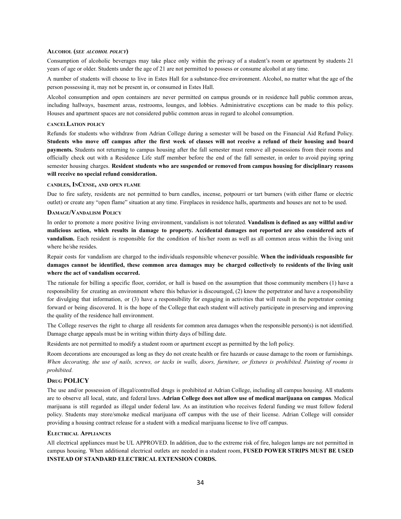#### **ALCOHOL (***SEE ALCOHOL POLICY***)**

Consumption of alcoholic beverages may take place only within the privacy of a student's room or apartment by students 21 years of age or older. Students under the age of 21 are not permitted to possess or consume alcohol at any time.

A number of students will choose to live in Estes Hall for a substance-free environment. Alcohol, no matter what the age of the person possessing it, may not be present in, or consumed in Estes Hall.

Alcohol consumption and open containers are never permitted on campus grounds or in residence hall public common areas, including hallways, basement areas, restrooms, lounges, and lobbies. Administrative exceptions can be made to this policy. Houses and apartment spaces are not considered public common areas in regard to alcohol consumption.

#### **CANCELLATION POLICY**

Refunds for students who withdraw from Adrian College during a semester will be based on the Financial Aid Refund Policy. Students who move off campus after the first week of classes will not receive a refund of their housing and board **payments.** Students not returning to campus housing after the fall semester must remove all possessions from their rooms and officially check out with a Residence Life staff member before the end of the fall semester, in order to avoid paying spring semester housing charges. **Resident students who are suspended or removed from campus housing for disciplinary reasons will receive no special refund consideration.**

#### **CANDLES, INCENSE, AND OPEN FLAME**

Due to fire safety, residents are not permitted to burn candles, incense, potpourri or tart burners (with either flame or electric outlet) or create any "open flame" situation at any time. Fireplaces in residence halls, apartments and houses are not to be used.

#### **DAMAGE/VANDALISM POLICY**

In order to promote a more positive living environment, vandalism is not tolerated. **Vandalism is defined as any willful and/or** malicious action, which results in damage to property. Accidental damages not reported are also considered acts of **vandalism.** Each resident is responsible for the condition of his/her room as well as all common areas within the living unit where he/she resides.

Repair costs for vandalism are charged to the individuals responsible whenever possible. **When the individuals responsible for** damages cannot be identified, these common area damages may be charged collectively to residents of the living unit **where the act of vandalism occurred.**

The rationale for billing a specific floor, corridor, or hall is based on the assumption that those community members (1) have a responsibility for creating an environment where this behavior is discouraged, (2) know the perpetrator and have a responsibility for divulging that information, or (3) have a responsibility for engaging in activities that will result in the perpetrator coming forward or being discovered. It is the hope of the College that each student will actively participate in preserving and improving the quality of the residence hall environment.

The College reserves the right to charge all residents for common area damages when the responsible person(s) is not identified. Damage charge appeals must be in writing within thirty days of billing date.

Residents are not permitted to modify a student room or apartment except as permitted by the loft policy.

Room decorations are encouraged as long as they do not create health or fire hazards or cause damage to the room or furnishings. When decorating, the use of nails, screws, or tacks in walls, doors, furniture, or fixtures is prohibited. Painting of rooms is *prohibited.*

#### **DRUG POLICY**

The use and/or possession of illegal/controlled drugs is prohibited at Adrian College, including all campus housing. All students are to observe all local, state, and federal laws. **Adrian College does not allow use of medical marijuana on campus**. Medical marijuana is still regarded as illegal under federal law. As an institution who receives federal funding we must follow federal policy. Students may store/smoke medical marijuana off campus with the use of their license. Adrian College will consider providing a housing contract release for a student with a medical marijuana license to live off campus.

#### **ELECTRICAL APPLIANCES**

All electrical appliances must be UL APPROVED. In addition, due to the extreme risk of fire, halogen lamps are not permitted in campus housing. When additional electrical outlets are needed in a student room, **FUSED POWER STRIPS MUST BE USED INSTEAD OF STANDARD ELECTRICAL EXTENSION CORDS.**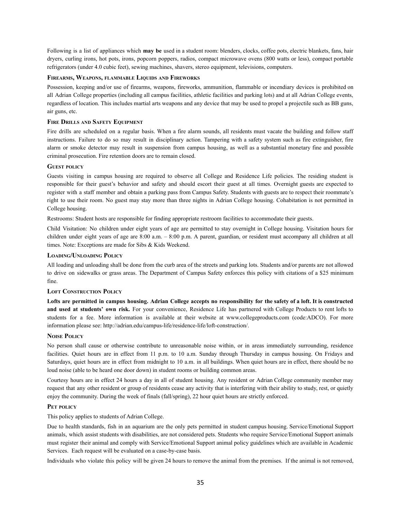Following is a list of appliances which **may be** used in a student room: blenders, clocks, coffee pots, electric blankets, fans, hair dryers, curling irons, hot pots, irons, popcorn poppers, radios, compact microwave ovens (800 watts or less), compact portable refrigerators (under 4.0 cubic feet), sewing machines, shavers, stereo equipment, televisions, computers.

#### **FIREARMS, WEAPONS, FLAMMABLE LIQUIDS AND FIREWORKS**

Possession, keeping and/or use of firearms, weapons, fireworks, ammunition, flammable or incendiary devices is prohibited on all Adrian College properties (including all campus facilities, athletic facilities and parking lots) and at all Adrian College events, regardless of location. This includes martial arts weapons and any device that may be used to propel a projectile such as BB guns, air guns, etc.

#### **FIRE DRILLS AND SAFETY EQUIPMENT**

Fire drills are scheduled on a regular basis. When a fire alarm sounds, all residents must vacate the building and follow staff instructions. Failure to do so may result in disciplinary action. Tampering with a safety system such as fire extinguisher, fire alarm or smoke detector may result in suspension from campus housing, as well as a substantial monetary fine and possible criminal prosecution. Fire retention doors are to remain closed.

#### **GUEST POLICY**

Guests visiting in campus housing are required to observe all College and Residence Life policies. The residing student is responsible for their guest's behavior and safety and should escort their guest at all times. Overnight guests are expected to register with a staff member and obtain a parking pass from Campus Safety. Students with guests are to respect their roommate's right to use their room. No guest may stay more than three nights in Adrian College housing. Cohabitation is not permitted in College housing.

Restrooms: Student hosts are responsible for finding appropriate restroom facilities to accommodate their guests.

Child Visitation: No children under eight years of age are permitted to stay overnight in College housing. Visitation hours for children under eight years of age are 8:00 a.m. – 8:00 p.m. A parent, guardian, or resident must accompany all children at all times. Note: Exceptions are made for Sibs & Kids Weekend.

#### **LOADING/UNLOADING POLICY**

All loading and unloading shall be done from the curb area of the streets and parking lots. Students and/or parents are not allowed to drive on sidewalks or grass areas. The Department of Campus Safety enforces this policy with citations of a \$25 minimum fine.

#### **LOFT CONSTRUCTION POLICY**

Lofts are permitted in campus housing. Adrian College accepts no responsibility for the safety of a loft. It is constructed **and used at students' own risk.** For your convenience, Residence Life has partnered with College Products to rent lofts to students for a fee. More information is available at their website at www.collegeproducts.com (code:ADCO). For more information please see: http://adrian.edu/campus-life/residence-life/loft-construction/.

#### **NOISE POLICY**

No person shall cause or otherwise contribute to unreasonable noise within, or in areas immediately surrounding, residence facilities. Quiet hours are in effect from 11 p.m. to 10 a.m. Sunday through Thursday in campus housing. On Fridays and Saturdays, quiet hours are in effect from midnight to 10 a.m. in all buildings. When quiet hours are in effect, there should be no loud noise (able to be heard one door down) in student rooms or building common areas.

Courtesy hours are in effect 24 hours a day in all of student housing. Any resident or Adrian College community member may request that any other resident or group of residents cease any activity that is interfering with their ability to study, rest, or quietly enjoy the community. During the week of finals (fall/spring), 22 hour quiet hours are strictly enforced.

#### **PET POLICY**

This policy applies to students of Adrian College.

Due to health standards, fish in an aquarium are the only pets permitted in student campus housing. Service/Emotional Support animals, which assist students with disabilities, are not considered pets. Students who require Service/Emotional Support animals must register their animal and comply with Service/Emotional Support animal policy guidelines which are available in Academic Services. Each request will be evaluated on a case-by-case basis.

Individuals who violate this policy will be given 24 hours to remove the animal from the premises. If the animal is not removed,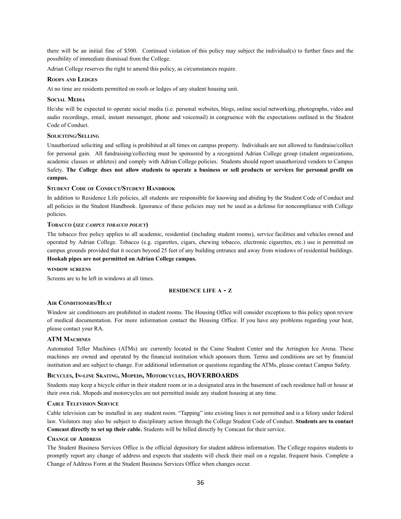there will be an initial fine of \$500. Continued violation of this policy may subject the individual(s) to further fines and the possibility of immediate dismissal from the College.

Adrian College reserves the right to amend this policy, as circumstances require.

#### **ROOFS AND LEDGES**

At no time are residents permitted on roofs or ledges of any student housing unit.

#### **SOCIAL MEDIA**

He/she will be expected to operate social media (i.e. personal websites, blogs, online social networking, photographs, video and audio recordings, email, instant messenger, phone and voicemail) in congruence with the expectations outlined in the Student Code of Conduct.

#### **SOLICITING/SELLING**

Unauthorized soliciting and selling is prohibited at all times on campus property. Individuals are not allowed to fundraise/collect for personal gain. All fundraising/collecting must be sponsored by a recognized Adrian College group (student organizations, academic classes or athletes) and comply with Adrian College policies. Students should report unauthorized vendors to Campus Safety. The College does not allow students to operate a business or sell products or services for personal profit on **campus.**

#### **STUDENT CODE OF CONDUCT/STUDENT HANDBOOK**

In addition to Residence Life policies, all students are responsible for knowing and abiding by the Student Code of Conduct and all policies in the Student Handbook. Ignorance of these policies may not be used as a defense for noncompliance with College policies.

#### **TOBACCO (***SEE CAMPUS TOBACCO POLICY***)**

The tobacco free policy applies to all academic, residential (including student rooms), service facilities and vehicles owned and operated by Adrian College. Tobacco (e.g. cigarettes, cigars, chewing tobacco, electronic cigarettes, etc.) use is permitted on campus grounds provided that it occurs beyond 25 feet of any building entrance and away from windows of residential buildings. **Hookah pipes are not permitted on Adrian College campus.**

#### **WINDOW SCREENS**

Screens are to be left in windows at all times.

#### **RESIDENCE LIFE A - Z**

#### **AIR CONDITIONERS/HEAT**

Window air conditioners are prohibited in student rooms. The Housing Office will consider exceptions to this policy upon review of medical documentation. For more information contact the Housing Office. If you have any problems regarding your heat, please contact your RA.

#### **ATM MACHINES**

Automated Teller Machines (ATMs) are currently located in the Caine Student Center and the Arrington Ice Arena. These machines are owned and operated by the financial institution which sponsors them. Terms and conditions are set by financial institution and are subject to change. For additional information or questions regarding the ATMs, please contact Campus Safety.

#### **BICYCLES, IN-LINE SKATING, MOPEDS, MOTORCYCLES, HOVERBOARDS**

Students may keep a bicycle either in their student room or in a designated area in the basement of each residence hall or house at their own risk. Mopeds and motorcycles are not permitted inside any student housing at any time.

#### **CABLE TELEVISION SERVICE**

Cable television can be installed in any student room. "Tapping" into existing lines is not permitted and is a felony under federal law. Violators may also be subject to disciplinary action through the College Student Code of Conduct. **Students are to contact Comcast directly to set up their cable.** Students will be billed directly by Comcast for their service.

#### **CHANGE OF ADDRESS**

The Student Business Services Office is the official depository for student address information. The College requires students to promptly report any change of address and expects that students will check their mail on a regular, frequent basis. Complete a Change of Address Form at the Student Business Services Office when changes occur.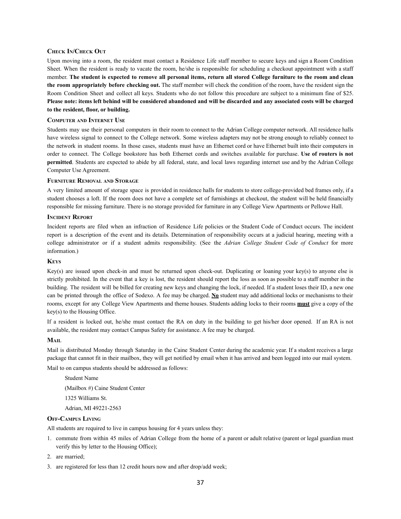#### **CHECK IN/CHECK OUT**

Upon moving into a room, the resident must contact a Residence Life staff member to secure keys and sign a Room Condition Sheet. When the resident is ready to vacate the room, he/she is responsible for scheduling a checkout appointment with a staff member. The student is expected to remove all personal items, return all stored College furniture to the room and clean **the room appropriately before checking out.** The staff member will check the condition of the room, have the resident sign the Room Condition Sheet and collect all keys. Students who do not follow this procedure are subject to a minimum fine of \$25. Please note: items left behind will be considered abandoned and will be discarded and any associated costs will be charged **to the resident, floor, or building.**

#### **COMPUTER AND INTERNET USE**

Students may use their personal computers in their room to connect to the Adrian College computer network. All residence halls have wireless signal to connect to the College network. Some wireless adapters may not be strong enough to reliably connect to the network in student rooms. In those cases, students must have an Ethernet cord or have Ethernet built into their computers in order to connect. The College bookstore has both Ethernet cords and switches available for purchase. **Use of routers is not permitted**. Students are expected to abide by all federal, state, and local laws regarding internet use and by the Adrian College Computer Use Agreement.

#### **FURNITURE REMOVAL AND STORAGE**

A very limited amount of storage space is provided in residence halls for students to store college-provided bed frames only, if a student chooses a loft. If the room does not have a complete set of furnishings at checkout, the student will be held financially responsible for missing furniture. There is no storage provided for furniture in any College View Apartments or Pellowe Hall.

#### **INCIDENT REPORT**

Incident reports are filed when an infraction of Residence Life policies or the Student Code of Conduct occurs. The incident report is a description of the event and its details. Determination of responsibility occurs at a judicial hearing, meeting with a college administrator or if a student admits responsibility. (See the *Adrian College Student Code of Conduct* for more information.)

#### **KEYS**

Key(s) are issued upon check-in and must be returned upon check-out. Duplicating or loaning your key(s) to anyone else is strictly prohibited. In the event that a key is lost, the resident should report the loss as soon as possible to a staff member in the building. The resident will be billed for creating new keys and changing the lock, if needed. If a student loses their ID, a new one can be printed through the office of Sodexo. A fee may be charged. **No** student may add additional locks or mechanisms to their rooms, except for any College View Apartments and theme houses. Students adding locks to their rooms **must** give a copy of the key(s) to the Housing Office.

If a resident is locked out, he/she must contact the RA on duty in the building to get his/her door opened. If an RA is not available, the resident may contact Campus Safety for assistance. A fee may be charged.

#### **MAIL**

Mail is distributed Monday through Saturday in the Caine Student Center during the academic year. If a student receives a large package that cannot fit in their mailbox, they will get notified by email when it has arrived and been logged into our mail system.

Mail to on campus students should be addressed as follows:

Student Name (Mailbox #) Caine Student Center 1325 Williams St. Adrian, MI 49221-2563

## **OFF-CAMPUS LIVING**

All students are required to live in campus housing for 4 years unless they:

- 1. commute from within 45 miles of Adrian College from the home of a parent or adult relative (parent or legal guardian must verify this by letter to the Housing Office);
- 2. are married;
- 3. are registered for less than 12 credit hours now and after drop/add week;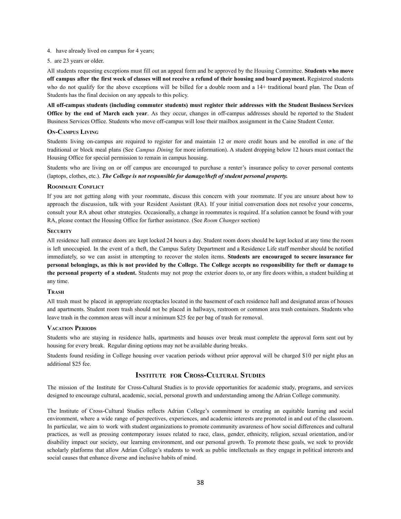- 4. have already lived on campus for 4 years;
- 5. are 23 years or older.

All students requesting exceptions must fill out an appeal form and be approved by the Housing Committee. **Students who move** off campus after the first week of classes will not receive a refund of their housing and board payment. Registered students who do not qualify for the above exceptions will be billed for a double room and a 14+ traditional board plan. The Dean of Students has the final decision on any appeals to this policy.

**All off-campus students (including commuter students) must register their addresses with the Student Business Services Office by the end of March each year**. As they occur, changes in off-campus addresses should be reported to the Student Business Services Office. Students who move off-campus will lose their mailbox assignment in the Caine Student Center.

#### **ON-CAMPUS LIVING**

Students living on-campus are required to register for and maintain 12 or more credit hours and be enrolled in one of the traditional or block meal plans (See *Campus Dining* for more information). A student dropping below 12 hours must contact the Housing Office for special permission to remain in campus housing.

Students who are living on or off campus are encouraged to purchase a renter's insurance policy to cover personal contents (laptops, clothes, etc.). *The College is not responsible for damage/theft of student personal property.*

#### **ROOMMATE CONFLICT**

If you are not getting along with your roommate, discuss this concern with your roommate. If you are unsure about how to approach the discussion, talk with your Resident Assistant (RA). If your initial conversation does not resolve your concerns, consult your RA about other strategies. Occasionally, a change in roommates is required. If a solution cannot be found with your RA, please contact the Housing Office for further assistance. (See *Room Changes* section)

#### **SECURITY**

All residence hall entrance doors are kept locked 24 hours a day. Student room doors should be kept locked at any time the room is left unoccupied. In the event of a theft, the Campus Safety Department and a Residence Life staff member should be notified immediately, so we can assist in attempting to recover the stolen items. **Students are encouraged to secure insurance for** personal belongings, as this is not provided by the College. The College accepts no responsibility for theft or damage to **the personal property of a student.** Students may not prop the exterior doors to, or any fire doors within, a student building at any time.

#### **TRASH**

All trash must be placed in appropriate receptacles located in the basement of each residence hall and designated areas of houses and apartments. Student room trash should not be placed in hallways, restroom or common area trash containers. Students who leave trash in the common areas will incur a minimum \$25 fee per bag of trash for removal.

#### **VACATION PERIODS**

Students who are staying in residence halls, apartments and houses over break must complete the approval form sent out by housing for every break. Regular dining options may not be available during breaks.

Students found residing in College housing over vacation periods without prior approval will be charged \$10 per night plus an additional \$25 fee.

## **INSTITUTE FOR CROSS-CULTURAL STUDIES**

The mission of the Institute for Cross-Cultural Studies is to provide opportunities for academic study, programs, and services designed to encourage cultural, academic, social, personal growth and understanding among the Adrian College community.

The Institute of Cross-Cultural Studies reflects Adrian College's commitment to creating an equitable learning and social environment, where a wide range of perspectives, experiences, and academic interests are promoted in and out of the classroom. In particular, we aim to work with student organizations to promote community awareness of how social differences and cultural practices, as well as pressing contemporary issues related to race, class, gender, ethnicity, religion, sexual orientation, and/or disability impact our society, our learning environment, and our personal growth. To promote these goals, we seek to provide scholarly platforms that allow Adrian College's students to work as public intellectuals as they engage in political interests and social causes that enhance diverse and inclusive habits of mind.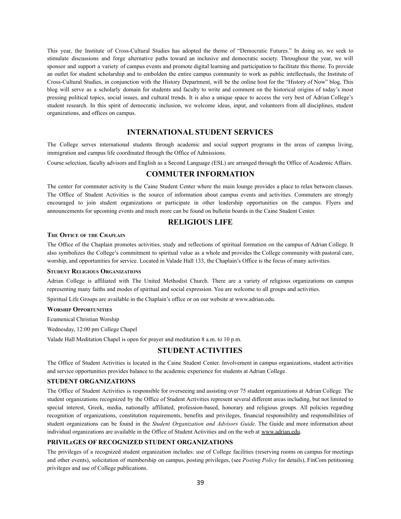This year, the Institute of Cross-Cultural Studies has adopted the theme of "Democratic Futures." In doing so, we seek to stimulate discussions and forge alternative paths toward an inclusive and democratic society. Throughout the year, we will sponsor and support a variety of campus events and promote digital learning and participation to facilitate this theme. To provide an outlet for student scholarship and to embolden the entire campus community to work as public intellectuals, the Institute of Cross-Cultural Studies, in conjunction with the History Department, will be the online host for the "History of Now" blog. This blog will serve as a scholarly domain for students and faculty to write and comment on the historical origins of today's most pressing political topics, social issues, and cultural trends. It is also a unique space to access the very best of Adrian College's student research. In this spirit of democratic inclusion, we welcome ideas, input, and volunteers from all disciplines, student organizations, and offices on campus.

## **INTERNATIONAL STUDENT SERVICES**

The College serves international students through academic and social support programs in the areas of campus living, immigration and campus life coordinated through the Office of Admissions.

Course selection, faculty advisors and English as a Second Language (ESL) are arranged through the Office of Academic Affairs.

## **COMMUTER INFORMATION**

The center for commuter activity is the Caine Student Center where the main lounge provides a place to relax between classes. The Office of Student Activities is the source of information about campus events and activities. Commuters are strongly encouraged to join student organizations or participate in other leadership opportunities on the campus. Flyers and announcements for upcoming events and much more can be found on bulletin boards in the Caine Student Center.

## **RELIGIOUS LIFE**

#### **THE OFFICE OF THE CHAPLAIN**

The Office of the Chaplain promotes activities, study and reflections of spiritual formation on the campus of Adrian College. It also symbolizes the College's commitment to spiritual value as a whole and provides the College community with pastoral care, worship, and opportunities for service. Located in Valade Hall 133, the Chaplain's Office is the focus of many activities.

#### **STUDENT RELIGIOUS ORGANIZATIONS**

Adrian College is affiliated with The United Methodist Church. There are a variety of religious organizations on campus representing many faiths and modes of spiritual and social expression. You are welcome to all groups and activities.

Spiritual Life Groups are available in the Chaplain's office or on our website at www.adrian.edu.

#### **WORSHIP OPPORTUNITIES**

Ecumenical Christian Worship

Wednesday, 12:00 pm College Chapel

Valade Hall Meditation Chapel is open for prayer and meditation 8 a.m. to 10 p.m.

## **STUDENT ACTIVITIES**

The Office of Student Activities is located in the Caine Student Center. Involvement in campus organizations, student activities and service opportunities provides balance to the academic experience for students at Adrian College.

#### **STUDENT ORGANIZATIONS**

The Office of Student Activities is responsible for overseeing and assisting over 75 student organizations at Adrian College. The student organizations recognized by the Office of Student Activities represent several different areas including, but not limited to special interest, Greek, media, nationally affiliated, profession-based, honorary and religious groups. All policies regarding recognition of organizations, constitution requirements, benefits and privileges, financial responsibility and responsibilities of student organizations can be found in the *Student Organization and Advisors Guide*. The Guide and more information about individual organizations are available in the Office of Student Activities and on the web at www.adrian.edu.

#### **PRIVILEGES OF RECOGNIZED STUDENT ORGANIZATIONS**

The privileges of a recognized student organization includes: use of College facilities (reserving rooms on campus for meetings and other events), solicitation of membership on campus, posting privileges, (see *Posting Policy* for details), FinCom petitioning privileges and use of College publications.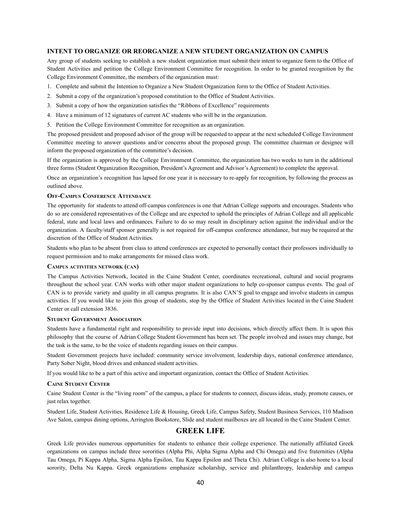#### **INTENT TO ORGANIZE OR REORGANIZE A NEW STUDENT ORGANIZATION ON CAMPUS**

Any group of students seeking to establish a new student organization must submit their intent to organize form to the Office of Student Activities and petition the College Environment Committee for recognition. In order to be granted recognition by the College Environment Committee, the members of the organization must:

- 1. Complete and submit the Intention to Organize a New Student Organization form to the Office of Student Activities.
- 2. Submit a copy of the organization's proposed constitution to the Office of Student Activities.
- 3. Submit a copy of how the organization satisfies the "Ribbons of Excellence" requirements
- 4. Have a minimum of 12 signatures of current AC students who will be in the organization.
- 5. Petition the College Environment Committee for recognition as an organization.

The proposed president and proposed advisor of the group will be requested to appear at the next scheduled College Environment Committee meeting to answer questions and/or concerns about the proposed group. The committee chairman or designee will inform the proposed organization of the committee's decision.

If the organization is approved by the College Environment Committee, the organization has two weeks to turn in the additional three forms (Student Organization Recognition, President's Agreement and Advisor's Agreement) to complete the approval.

Once an organization's recognition has lapsed for one year it is necessary to re-apply for recognition, by following the process as outlined above.

#### **OFF-CAMPUS CONFERENCE ATTENDANCE**

The opportunity for students to attend off-campus conferences is one that Adrian College supports and encourages. Students who do so are considered representatives of the College and are expected to uphold the principles of Adrian College and all applicable federal, state and local laws and ordinances. Failure to do so may result in disciplinary action against the individual and/or the organization. A faculty/staff sponsor generally is not required for off-campus conference attendance, but may be required at the discretion of the Office of Student Activities.

Students who plan to be absent from class to attend conferences are expected to personally contact their professors individually to request permission and to make arrangements for missed class work.

#### **CAMPUS ACTIVITIES NETWORK (CAN)**

The Campus Activities Network, located in the Caine Student Center, coordinates recreational, cultural and social programs throughout the school year. CAN works with other major student organizations to help co-sponsor campus events. The goal of CAN is to provide variety and quality in all campus programs. It is also CAN'S goal to engage and involve students in campus activities. If you would like to join this group of students, stop by the Office of Student Activities located in the Caine Student Center or call extension 3836.

#### **STUDENT GOVERNMENT ASSOCIATION**

Students have a fundamental right and responsibility to provide input into decisions, which directly affect them. It is upon this philosophy that the course of Adrian College Student Government has been set. The people involved and issues may change, but the task is the same, to be the voice of students regarding issues on their campus.

Student Government projects have included: community service involvement, leadership days, national conference attendance, Party Sober Night, blood drives and enhanced student activities.

If you would like to be a part of this active and important organization, contact the Office of Student Activities.

#### **CAINE STUDENT CENTER**

Caine Student Center is the "living room" of the campus, a place for students to connect, discuss ideas, study, promote causes, or just relax together.

Student Life, Student Activities, Residence Life & Housing, Greek Life, Campus Safety, Student Business Services, 110 Madison Ave Salon, campus dining options, Arrington Bookstore, Slide and student mailboxes are all located in the Caine Student Center.

#### **GREEK LIFE**

Greek Life provides numerous opportunities for students to enhance their college experience. The nationally affiliated Greek organizations on campus include three sororities (Alpha Phi, Alpha Sigma Alpha and Chi Omega) and five fraternities (Alpha Tau Omega, Pi Kappa Alpha, Sigma Alpha Epsilon, Tau Kappa Epsilon and Theta Chi). Adrian College is also home to a local sorority, Delta Nu Kappa. Greek organizations emphasize scholarship, service and philanthropy, leadership and campus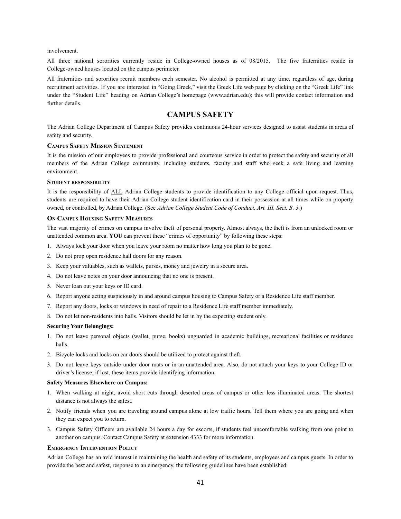involvement.

All three national sororities currently reside in College-owned houses as of 08/2015. The five fraternities reside in College-owned houses located on the campus perimeter.

All fraternities and sororities recruit members each semester. No alcohol is permitted at any time, regardless of age, during recruitment activities. If you are interested in "Going Greek," visit the Greek Life web page by clicking on the "Greek Life" link under the "Student Life" heading on Adrian College's homepage (www.adrian.edu); this will provide contact information and further details.

## **CAMPUS SAFETY**

The Adrian College Department of Campus Safety provides continuous 24-hour services designed to assist students in areas of safety and security.

#### **CAMPUS SAFETY MISSION STATEMENT**

It is the mission of our employees to provide professional and courteous service in order to protect the safety and security of all members of the Adrian College community, including students, faculty and staff who seek a safe living and learning environment.

#### **STUDENT RESPONSIBILITY**

It is the responsibility of ALL Adrian College students to provide identification to any College official upon request. Thus, students are required to have their Adrian College student identification card in their possession at all times while on property owned, or controlled, by Adrian College. (See *Adrian College Student Code of Conduct, Art. III, Sect. B. 3.*)

#### **O<sup>N</sup> CAMPUS HOUSING SAFETY MEASURES**

The vast majority of crimes on campus involve theft of personal property. Almost always, the theft is from an unlocked room or unattended common area. **YOU** can prevent these "crimes of opportunity" by following these steps:

- 1. Always lock your door when you leave your room no matter how long you plan to be gone.
- 2. Do not prop open residence hall doors for any reason.
- 3. Keep your valuables, such as wallets, purses, money and jewelry in a secure area.
- 4. Do not leave notes on your door announcing that no one is present.
- 5. Never loan out your keys or ID card.
- 6. Report anyone acting suspiciously in and around campus housing to Campus Safety or a Residence Life staff member.
- 7. Report any doors, locks or windows in need of repair to a Residence Life staff member immediately.
- 8. Do not let non-residents into halls. Visitors should be let in by the expecting student only.

#### **Securing Your Belongings:**

- 1. Do not leave personal objects (wallet, purse, books) unguarded in academic buildings, recreational facilities or residence halls.
- 2. Bicycle locks and locks on car doors should be utilized to protect against theft.
- 3. Do not leave keys outside under door mats or in an unattended area. Also, do not attach your keys to your College ID or driver's license; if lost, these items provide identifying information.

#### **Safety Measures Elsewhere on Campus:**

- 1. When walking at night, avoid short cuts through deserted areas of campus or other less illuminated areas. The shortest distance is not always the safest.
- 2. Notify friends when you are traveling around campus alone at low traffic hours. Tell them where you are going and when they can expect you to return.
- 3. Campus Safety Officers are available 24 hours a day for escorts, if students feel uncomfortable walking from one point to another on campus. Contact Campus Safety at extension 4333 for more information.

#### **EMERGENCY INTERVENTION POLICY**

Adrian College has an avid interest in maintaining the health and safety of its students, employees and campus guests. In order to provide the best and safest, response to an emergency, the following guidelines have been established: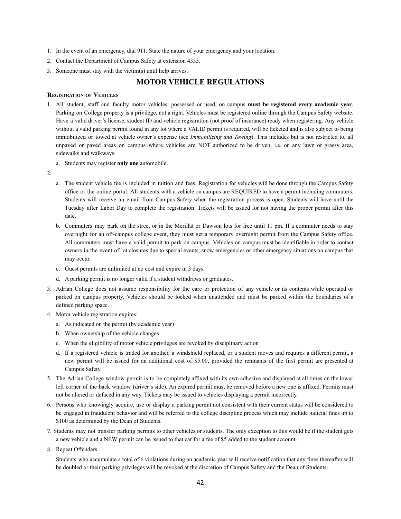- 1. In the event of an emergency, dial 911. State the nature of your emergency and your location.
- 2. Contact the Department of Campus Safety at extension 4333.
- 3. Someone must stay with the victim(s) until help arrives.

## **MOTOR VEHICLE REGULATIONS**

#### **REGISTRATION OF VEHICLES**

- 1. All student, staff and faculty motor vehicles, possessed or used, on campus **must be registered every academic year**. Parking on College property is a privilege, not a right. Vehicles must be registered online through the Campus Safety website. Have a valid driver's license, student ID and vehicle registration (not proof of insurance) ready when registering. Any vehicle without a valid parking permit found in any lot where a VALID permit is required, will be ticketed and is also subject to being immobilized or towed at vehicle owner's expense (see *Immobilizing and Towing*). This includes but is not restricted to, all unpaved or paved areas on campus where vehicles are NOT authorized to be driven, i.e. on any lawn or grassy area, sidewalks and walkways.
	- a. Students may register **only one** automobile.
- 2.
- a. The student vehicle fee is included in tuition and fees. Registration for vehicles will be done through the Campus Safety office or the online portal. All students with a vehicle on campus are REQUIRED to have a permit including commuters. Students will receive an email from Campus Safety when the registration process is open. Students will have until the Tuesday after Labor Day to complete the registration. Tickets will be issued for not having the proper permit after this date.
- b. Commuters may park on the street or in the Merillat or Dawson lots for free until 11 pm. If a commuter needs to stay overnight for an off-campus college event, they must get a temporary overnight permit from the Campus Safety office. All commuters must have a valid permit to park on campus. Vehicles on campus must be identifiable in order to contact owners in the event of lot closures due to special events, snow emergencies or other emergency situations on campus that may occur.
- c. Guest permits are unlimited at no cost and expire in 3 days.
- d. A parking permit is no longer valid if a student withdraws or graduates.
- 3. Adrian College does not assume responsibility for the care or protection of any vehicle or its contents while operated or parked on campus property. Vehicles should be locked when unattended and must be parked within the boundaries of a defined parking space.
- 4. Motor vehicle registration expires:
	- a. As indicated on the permit (by academic year)
	- b. When ownership of the vehicle changes
	- c. When the eligibility of motor vehicle privileges are revoked by disciplinary action
	- d. If a registered vehicle is traded for another, a windshield replaced, or a student moves and requires a different permit, a new permit will be issued for an additional cost of \$5.00, provided the remnants of the first permit are presented at Campus Safety.
- 5. The Adrian College window permit is to be completely affixed with its own adhesive and displayed at all times on the lower left corner of the back window (driver's side). An expired permit must be removed before a new one is affixed. Permits must not be altered or defaced in any way. Tickets may be issued to vehicles displaying a permit incorrectly.
- 6. Persons who knowingly acquire, use or display a parking permit not consistent with their current status will be considered to be engaged in fraudulent behavior and will be referred to the college discipline process which may include judicial fines up to \$100 as determined by the Dean of Students.
- 7. Students may not transfer parking permits to other vehicles or students. The only exception to this would be if the student gets a new vehicle and a NEW permit can be issued to that car for a fee of \$5 added to the student account.
- 8. Repeat Offenders

Students who accumulate a total of 6 violations during an academic year will receive notification that any fines thereafter will be doubled or their parking privileges will be revoked at the discretion of Campus Safety and the Dean of Students.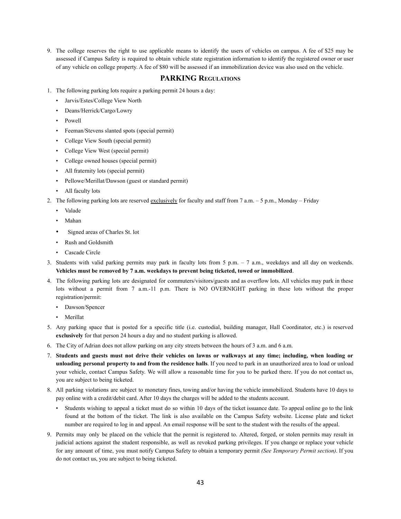9. The college reserves the right to use applicable means to identify the users of vehicles on campus. A fee of \$25 may be assessed if Campus Safety is required to obtain vehicle state registration information to identify the registered owner or user of any vehicle on college property. A fee of \$80 will be assessed if an immobilization device was also used on the vehicle.

## **PARKING REGULATIONS**

- 1. The following parking lots require a parking permit 24 hours a day:
	- Jarvis/Estes/College View North
	- Deans/Herrick/Cargo/Lowry
	- Powell
	- Feeman/Stevens slanted spots (special permit)
	- College View South (special permit)
	- College View West (special permit)
	- College owned houses (special permit)
	- All fraternity lots (special permit)
	- Pellowe/Merillat/Dawson (guest or standard permit)
	- All faculty lots
- 2. The following parking lots are reserved exclusively for faculty and staff from 7 a.m. 5 p.m., Monday Friday
	- Valade
	- Mahan
	- Signed areas of Charles St. lot
	- Rush and Goldsmith
	- Cascade Circle
- 3. Students with valid parking permits may park in faculty lots from 5 p.m. 7 a.m., weekdays and all day on weekends. **Vehicles must be removed by 7 a.m. weekdays to prevent being ticketed, towed or immobilized**.
- 4. The following parking lots are designated for commuters/visitors/guests and as overflow lots. All vehicles may park in these lots without a permit from 7 a.m.-11 p.m. There is NO OVERNIGHT parking in these lots without the proper registration/permit:
	- Dawson/Spencer
	- Merillat
- 5. Any parking space that is posted for a specific title (i.e. custodial, building manager, Hall Coordinator, etc.) is reserved **exclusively** for that person 24 hours a day and no student parking is allowed.
- 6. The City of Adrian does not allow parking on any city streets between the hours of 3 a.m. and 6 a.m.
- 7. Students and guests must not drive their vehicles on lawns or walkways at any time; including, when loading or **unloading personal property to and from the residence halls**. If you need to park in an unauthorized area to load or unload your vehicle, contact Campus Safety. We will allow a reasonable time for you to be parked there. If you do not contact us, you are subject to being ticketed.
- 8. All parking violations are subject to monetary fines, towing and/or having the vehicle immobilized. Students have 10 days to pay online with a credit/debit card. After 10 days the charges will be added to the students account.
	- Students wishing to appeal a ticket must do so within 10 days of the ticket issuance date. To appeal online go to the link found at the bottom of the ticket. The link is also available on the Campus Safety website. License plate and ticket number are required to log in and appeal. An email response will be sent to the student with the results of the appeal.
- 9. Permits may only be placed on the vehicle that the permit is registered to. Altered, forged, or stolen permits may result in judicial actions against the student responsible, as well as revoked parking privileges. If you change or replace your vehicle for any amount of time, you must notify Campus Safety to obtain a temporary permit *(See Temporary Permit section)*. If you do not contact us, you are subject to being ticketed.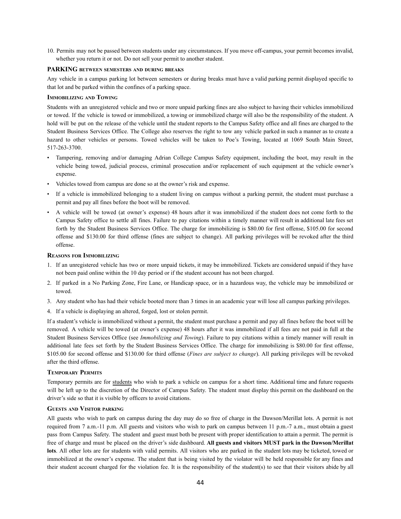10. Permits may not be passed between students under any circumstances. If you move off-campus, your permit becomes invalid, whether you return it or not. Do not sell your permit to another student.

#### **PARKING BETWEEN SEMESTERS AND DURING BREAKS**

Any vehicle in a campus parking lot between semesters or during breaks must have a valid parking permit displayed specific to that lot and be parked within the confines of a parking space.

#### **IMMOBILIZING AND TOWING**

Students with an unregistered vehicle and two or more unpaid parking fines are also subject to having their vehicles immobilized or towed. If the vehicle is towed or immobilized, a towing or immobilized charge will also be the responsibility of the student. A hold will be put on the release of the vehicle until the student reports to the Campus Safety office and all fines are charged to the Student Business Services Office. The College also reserves the right to tow any vehicle parked in such a manner as to create a hazard to other vehicles or persons. Towed vehicles will be taken to Poe's Towing, located at 1069 South Main Street, 517-263-3700.

- Tampering, removing and/or damaging Adrian College Campus Safety equipment, including the boot, may result in the vehicle being towed, judicial process, criminal prosecution and/or replacement of such equipment at the vehicle owner's expense.
- Vehicles towed from campus are done so at the owner's risk and expense.
- If a vehicle is immobilized belonging to a student living on campus without a parking permit, the student must purchase a permit and pay all fines before the boot will be removed.
- A vehicle will be towed (at owner's expense) 48 hours after it was immobilized if the student does not come forth to the Campus Safety office to settle all fines. Failure to pay citations within a timely manner will result in additional late fees set forth by the Student Business Services Office. The charge for immobilizing is \$80.00 for first offense, \$105.00 for second offense and \$130.00 for third offense (fines are subject to change). All parking privileges will be revoked after the third offense.

#### **REASONS FOR IMMOBILIZING**

- 1. If an unregistered vehicle has two or more unpaid tickets, it may be immobilized. Tickets are considered unpaid if they have not been paid online within the 10 day period or if the student account has not been charged.
- 2. If parked in a No Parking Zone, Fire Lane, or Handicap space, or in a hazardous way, the vehicle may be immobilized or towed.
- 3. Any student who has had their vehicle booted more than 3 times in an academic year will lose all campus parking privileges.
- 4. If a vehicle is displaying an altered, forged, lost or stolen permit.

If a student's vehicle is immobilized without a permit, the student must purchase a permit and pay all fines before the boot will be removed. A vehicle will be towed (at owner's expense) 48 hours after it was immobilized if all fees are not paid in full at the Student Business Services Office (see *Immobilizing and Towing*). Failure to pay citations within a timely manner will result in additional late fees set forth by the Student Business Services Office. The charge for immobilizing is \$80.00 for first offense, \$105.00 for second offense and \$130.00 for third offense (*Fines are subject to change*). All parking privileges will be revoked after the third offense.

#### **TEMPORARY PERMITS**

Temporary permits are for students who wish to park a vehicle on campus for a short time. Additional time and future requests will be left up to the discretion of the Director of Campus Safety. The student must display this permit on the dashboard on the driver's side so that it is visible by officers to avoid citations.

#### **GUESTS AND VISITOR PARKING**

All guests who wish to park on campus during the day may do so free of charge in the Dawson/Merillat lots. A permit is not required from 7 a.m.-11 p.m. All guests and visitors who wish to park on campus between 11 p.m.-7 a.m., must obtain a guest pass from Campus Safety. The student and guest must both be present with proper identification to attain a permit. The permit is free of charge and must be placed on the driver's side dashboard. **All guests and visitors MUST park in the Dawson/Merillat lots**. All other lots are for students with valid permits. All visitors who are parked in the student lots may be ticketed, towed or immobilized at the owner's expense. The student that is being visited by the violator will be held responsible for any fines and their student account charged for the violation fee. It is the responsibility of the student(s) to see that their visitors abide by all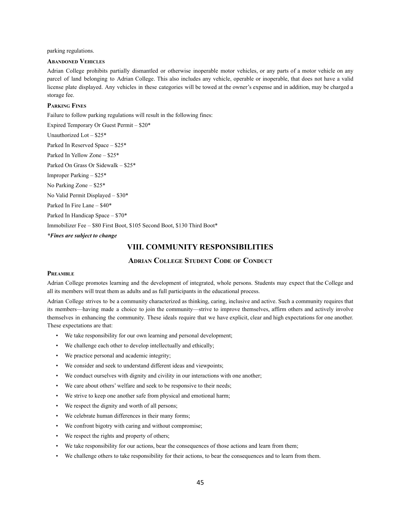parking regulations.

#### **ABANDONED VEHICLES**

Adrian College prohibits partially dismantled or otherwise inoperable motor vehicles, or any parts of a motor vehicle on any parcel of land belonging to Adrian College. This also includes any vehicle, operable or inoperable, that does not have a valid license plate displayed. Any vehicles in these categories will be towed at the owner's expense and in addition, may be charged a storage fee.

#### **PARKING FINES**

Failure to follow parking regulations will result in the following fines:

Expired Temporary Or Guest Permit – \$20\* Unauthorized Lot – \$25\* Parked In Reserved Space – \$25\* Parked In Yellow Zone – \$25\* Parked On Grass Or Sidewalk – \$25\* Improper Parking – \$25\* No Parking Zone – \$25\* No Valid Permit Displayed – \$30\* Parked In Fire Lane – \$40\* Parked In Handicap Space – \$70\* Immobilizer Fee – \$80 First Boot, \$105 Second Boot, \$130 Third Boot\*

*\*Fines are subject to change*

## **VIII. COMMUNITY RESPONSIBILITIES**

#### **ADRIAN COLLEGE STUDENT CODE OF CONDUCT**

#### **PREAMBLE**

Adrian College promotes learning and the development of integrated, whole persons. Students may expect that the College and all its members will treat them as adults and as full participants in the educational process.

Adrian College strives to be a community characterized as thinking, caring, inclusive and active. Such a community requires that its members—having made a choice to join the community—strive to improve themselves, affirm others and actively involve themselves in enhancing the community. These ideals require that we have explicit, clear and high expectations for one another. These expectations are that:

- We take responsibility for our own learning and personal development;
- We challenge each other to develop intellectually and ethically;
- We practice personal and academic integrity;
- We consider and seek to understand different ideas and viewpoints;
- We conduct ourselves with dignity and civility in our interactions with one another;
- We care about others' welfare and seek to be responsive to their needs;
- We strive to keep one another safe from physical and emotional harm;
- We respect the dignity and worth of all persons;
- We celebrate human differences in their many forms;
- We confront bigotry with caring and without compromise;
- We respect the rights and property of others;
- We take responsibility for our actions, bear the consequences of those actions and learn from them;
- We challenge others to take responsibility for their actions, to bear the consequences and to learn from them.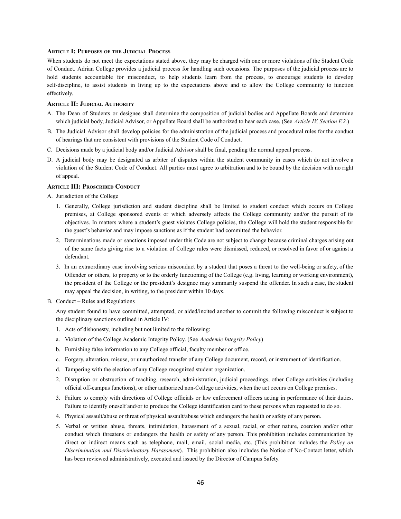#### **ARTICLE I: PURPOSES OF THE JUDICIAL PROCESS**

When students do not meet the expectations stated above, they may be charged with one or more violations of the Student Code of Conduct. Adrian College provides a judicial process for handling such occasions. The purposes of the judicial process are to hold students accountable for misconduct, to help students learn from the process, to encourage students to develop self-discipline, to assist students in living up to the expectations above and to allow the College community to function effectively.

#### **ARTICLE II: JUDICIAL AUTHORITY**

- A. The Dean of Students or designee shall determine the composition of judicial bodies and Appellate Boards and determine which judicial body, Judicial Advisor, or Appellate Board shall be authorized to hear each case. (See *Article IV, Section F.2.*)
- B. The Judicial Advisor shall develop policies for the administration of the judicial process and procedural rules for the conduct of hearings that are consistent with provisions of the Student Code of Conduct.
- C. Decisions made by a judicial body and/or Judicial Advisor shall be final, pending the normal appeal process.
- D. A judicial body may be designated as arbiter of disputes within the student community in cases which do not involve a violation of the Student Code of Conduct. All parties must agree to arbitration and to be bound by the decision with no right of appeal.

#### **ARTICLE III: PROSCRIBED CONDUCT**

- A. Jurisdiction of the College
	- 1. Generally, College jurisdiction and student discipline shall be limited to student conduct which occurs on College premises, at College sponsored events or which adversely affects the College community and/or the pursuit of its objectives. In matters where a student's guest violates College policies, the College will hold the student responsible for the guest's behavior and may impose sanctions as if the student had committed the behavior.
	- 2. Determinations made or sanctions imposed under this Code are not subject to change because criminal charges arising out of the same facts giving rise to a violation of College rules were dismissed, reduced, or resolved in favor of or against a defendant.
	- 3. In an extraordinary case involving serious misconduct by a student that poses a threat to the well-being or safety, of the Offender or others, to property or to the orderly functioning of the College (e.g. living, learning or working environment), the president of the College or the president's designee may summarily suspend the offender. In such a case, the student may appeal the decision, in writing, to the president within 10 days.
- B. Conduct Rules and Regulations

Any student found to have committed, attempted, or aided/incited another to commit the following misconduct is subject to the disciplinary sanctions outlined in Article IV:

- 1. Acts of dishonesty, including but not limited to the following:
- a. Violation of the College Academic Integrity Policy. (See *Academic Integrity Policy*)
- b. Furnishing false information to any College official, faculty member or office.
- c. Forgery, alteration, misuse, or unauthorized transfer of any College document, record, or instrument of identification.
- d. Tampering with the election of any College recognized student organization.
- 2. Disruption or obstruction of teaching, research, administration, judicial proceedings, other College activities (including official off-campus functions), or other authorized non-College activities, when the act occurs on College premises.
- 3. Failure to comply with directions of College officials or law enforcement officers acting in performance of their duties. Failure to identify oneself and/or to produce the College identification card to these persons when requested to do so.
- 4. Physical assault/abuse or threat of physical assault/abuse which endangers the health or safety of any person.
- 5. Verbal or written abuse, threats, intimidation, harassment of a sexual, racial, or other nature, coercion and/or other conduct which threatens or endangers the health or safety of any person. This prohibition includes communication by direct or indirect means such as telephone, mail, email, social media, etc. (This prohibition includes the *Policy on Discrimination and Discriminatory Harassment*). This prohibition also includes the Notice of No-Contact letter, which has been reviewed administratively, executed and issued by the Director of Campus Safety.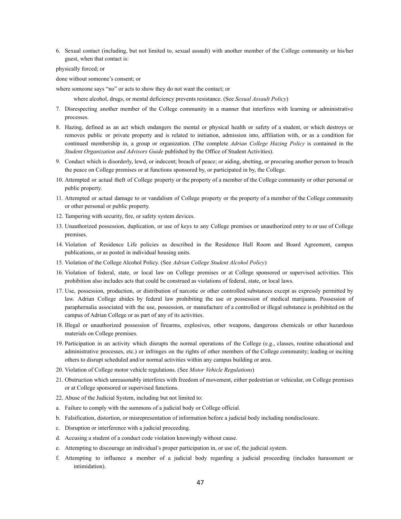6. Sexual contact (including, but not limited to, sexual assault) with another member of the College community or his/her guest, when that contact is:

physically forced; or

done without someone's consent; or

where someone says "no" or acts to show they do not want the contact; or

where alcohol, drugs, or mental deficiency prevents resistance. (See *Sexual Assault Policy*)

- 7. Disrespecting another member of the College community in a manner that interferes with learning or administrative processes.
- 8. Hazing, defined as an act which endangers the mental or physical health or safety of a student, or which destroys or removes public or private property and is related to initiation, admission into, affiliation with, or as a condition for continued membership in, a group or organization. (The complete *Adrian College Hazing Policy* is contained in the *Student Organization and Advisors Guide* published by the Office of Student Activities).
- 9. Conduct which is disorderly, lewd, or indecent; breach of peace; or aiding, abetting, or procuring another person to breach the peace on College premises or at functions sponsored by, or participated in by, the College.
- 10. Attempted or actual theft of College property or the property of a member of the College community or other personal or public property.
- 11. Attempted or actual damage to or vandalism of College property or the property of a member of the College community or other personal or public property.
- 12. Tampering with security, fire, or safety system devices.
- 13. Unauthorized possession, duplication, or use of keys to any College premises or unauthorized entry to or use of College premises.
- 14. Violation of Residence Life policies as described in the Residence Hall Room and Board Agreement, campus publications, or as posted in individual housing units.
- 15. Violation of the College Alcohol Policy. (See *Adrian College Student Alcohol Policy*)
- 16. Violation of federal, state, or local law on College premises or at College sponsored or supervised activities. This prohibition also includes acts that could be construed as violations of federal, state, or local laws.
- 17. Use, possession, production, or distribution of narcotic or other controlled substances except as expressly permitted by law. Adrian College abides by federal law prohibiting the use or possession of medical marijuana. Possession of paraphernalia associated with the use, possession, or manufacture of a controlled or illegal substance is prohibited on the campus of Adrian College or as part of any of its activities.
- 18. Illegal or unauthorized possession of firearms, explosives, other weapons, dangerous chemicals or other hazardous materials on College premises.
- 19. Participation in an activity which disrupts the normal operations of the College (e.g., classes, routine educational and administrative processes, etc.) or infringes on the rights of other members of the College community; leading or inciting others to disrupt scheduled and/or normal activities within any campus building or area.
- 20. Violation of College motor vehicle regulations. (See *Motor Vehicle Regulations*)
- 21. Obstruction which unreasonably interferes with freedom of movement, either pedestrian or vehicular, on College premises or at College sponsored or supervised functions.
- 22. Abuse of the Judicial System, including but not limited to:
- a. Failure to comply with the summons of a judicial body or College official.
- b. Falsification, distortion, or misrepresentation of information before a judicial body including nondisclosure.
- c. Disruption or interference with a judicial proceeding.
- d. Accusing a student of a conduct code violation knowingly without cause.
- e. Attempting to discourage an individual's proper participation in, or use of, the judicial system.
- f. Attempting to influence a member of a judicial body regarding a judicial proceeding (includes harassment or intimidation).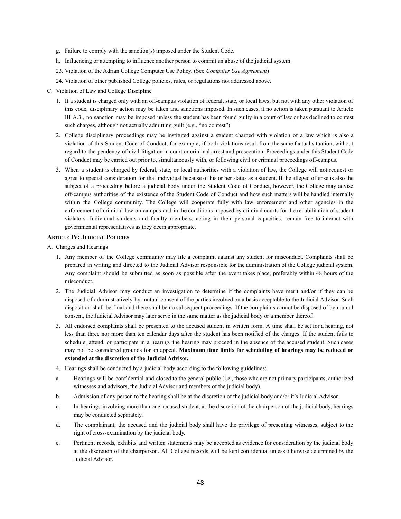- g. Failure to comply with the sanction(s) imposed under the Student Code.
- h. Influencing or attempting to influence another person to commit an abuse of the judicial system.
- 23. Violation of the Adrian College Computer Use Policy. (See *Computer Use Agreement*)
- 24. Violation of other published College policies, rules, or regulations not addressed above.
- C. Violation of Law and College Discipline
	- 1. If a student is charged only with an off-campus violation of federal, state, or local laws, but not with any other violation of this code, disciplinary action may be taken and sanctions imposed. In such cases, if no action is taken pursuant to Article III A.3., no sanction may be imposed unless the student has been found guilty in a court of law or has declined to contest such charges, although not actually admitting guilt (e.g., "no contest").
	- 2. College disciplinary proceedings may be instituted against a student charged with violation of a law which is also a violation of this Student Code of Conduct, for example, if both violations result from the same factual situation, without regard to the pendency of civil litigation in court or criminal arrest and prosecution. Proceedings under this Student Code of Conduct may be carried out prior to, simultaneously with, or following civil or criminal proceedings off-campus.
	- 3. When a student is charged by federal, state, or local authorities with a violation of law, the College will not request or agree to special consideration for that individual because of his or her status as a student. If the alleged offense is also the subject of a proceeding before a judicial body under the Student Code of Conduct, however, the College may advise off-campus authorities of the existence of the Student Code of Conduct and how such matters will be handled internally within the College community. The College will cooperate fully with law enforcement and other agencies in the enforcement of criminal law on campus and in the conditions imposed by criminal courts for the rehabilitation of student violators. Individual students and faculty members, acting in their personal capacities, remain free to interact with governmental representatives as they deem appropriate.

## **ARTICLE IV: JUDICIAL POLICIES**

A. Charges and Hearings

- 1. Any member of the College community may file a complaint against any student for misconduct. Complaints shall be prepared in writing and directed to the Judicial Advisor responsible for the administration of the College judicial system. Any complaint should be submitted as soon as possible after the event takes place, preferably within 48 hours of the misconduct.
- 2. The Judicial Advisor may conduct an investigation to determine if the complaints have merit and/or if they can be disposed of administratively by mutual consent of the parties involved on a basis acceptable to the Judicial Advisor. Such disposition shall be final and there shall be no subsequent proceedings. If the complaints cannot be disposed of by mutual consent, the Judicial Advisor may later serve in the same matter as the judicial body or a member thereof.
- 3. All endorsed complaints shall be presented to the accused student in written form. A time shall be set for a hearing, not less than three nor more than ten calendar days after the student has been notified of the charges. If the student fails to schedule, attend, or participate in a hearing, the hearing may proceed in the absence of the accused student. Such cases may not be considered grounds for an appeal. **Maximum time limits for scheduling of hearings may be reduced or extended at the discretion of the Judicial Advisor.**
- 4. Hearings shall be conducted by a judicial body according to the following guidelines:
- a. Hearings will be confidential and closed to the general public (i.e., those who are not primary participants, authorized witnesses and advisors, the Judicial Advisor and members of the judicial body).
- b. Admission of any person to the hearing shall be at the discretion of the judicial body and/or it's Judicial Advisor.
- c. In hearings involving more than one accused student, at the discretion of the chairperson of the judicial body, hearings may be conducted separately.
- d. The complainant, the accused and the judicial body shall have the privilege of presenting witnesses, subject to the right of cross-examination by the judicial body.
- e. Pertinent records, exhibits and written statements may be accepted as evidence for consideration by the judicial body at the discretion of the chairperson. All College records will be kept confidential unless otherwise determined by the Judicial Advisor.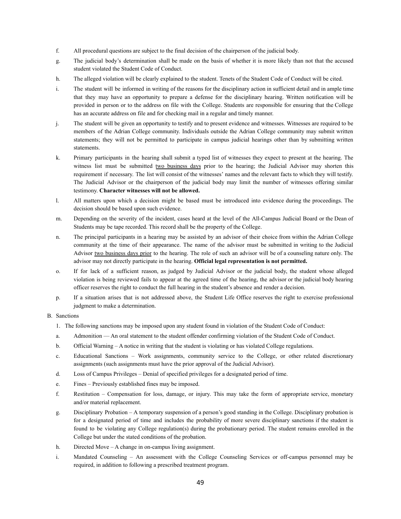- f. All procedural questions are subject to the final decision of the chairperson of the judicial body.
- g. The judicial body's determination shall be made on the basis of whether it is more likely than not that the accused student violated the Student Code of Conduct.
- h. The alleged violation will be clearly explained to the student. Tenets of the Student Code of Conduct will be cited.
- i. The student will be informed in writing of the reasons for the disciplinary action in sufficient detail and in ample time that they may have an opportunity to prepare a defense for the disciplinary hearing. Written notification will be provided in person or to the address on file with the College. Students are responsible for ensuring that the College has an accurate address on file and for checking mail in a regular and timely manner.
- j. The student will be given an opportunity to testify and to present evidence and witnesses. Witnesses are required to be members of the Adrian College community. Individuals outside the Adrian College community may submit written statements; they will not be permitted to participate in campus judicial hearings other than by submitting written statements.
- k. Primary participants in the hearing shall submit a typed list of witnesses they expect to present at the hearing. The witness list must be submitted two business days prior to the hearing; the Judicial Advisor may shorten this requirement if necessary. The list will consist of the witnesses' names and the relevant facts to which they will testify. The Judicial Advisor or the chairperson of the judicial body may limit the number of witnesses offering similar testimony. **Character witnesses will not be allowed.**
- l. All matters upon which a decision might be based must be introduced into evidence during the proceedings. The decision should be based upon such evidence.
- m. Depending on the severity of the incident, cases heard at the level of the All-Campus Judicial Board or the Dean of Students may be tape recorded. This record shall be the property of the College.
- n. The principal participants in a hearing may be assisted by an advisor of their choice from within the Adrian College community at the time of their appearance. The name of the advisor must be submitted in writing to the Judicial Advisor two business days prior to the hearing. The role of such an advisor will be of a counseling nature only. The advisor may not directly participate in the hearing. **Official legal representation is not permitted.**
- o. If for lack of a sufficient reason, as judged by Judicial Advisor or the judicial body, the student whose alleged violation is being reviewed fails to appear at the agreed time of the hearing, the advisor or the judicial body hearing officer reserves the right to conduct the full hearing in the student's absence and render a decision.
- p. If a situation arises that is not addressed above, the Student Life Office reserves the right to exercise professional judgment to make a determination.

#### B. Sanctions

- 1. The following sanctions may be imposed upon any student found in violation of the Student Code of Conduct:
- a. Admonition An oral statement to the student offender confirming violation of the Student Code of Conduct.
- b. Official Warning A notice in writing that the student is violating or has violated College regulations.
- c. Educational Sanctions Work assignments, community service to the College, or other related discretionary assignments (such assignments must have the prior approval of the Judicial Advisor).
- d. Loss of Campus Privileges Denial of specified privileges for a designated period of time.
- e. Fines Previously established fines may be imposed.
- f. Restitution Compensation for loss, damage, or injury. This may take the form of appropriate service, monetary and/or material replacement.
- g. Disciplinary Probation A temporary suspension of a person's good standing in the College. Disciplinary probation is for a designated period of time and includes the probability of more severe disciplinary sanctions if the student is found to be violating any College regulation(s) during the probationary period. The student remains enrolled in the College but under the stated conditions of the probation.
- h. Directed Move A change in on-campus living assignment.
- i. Mandated Counseling An assessment with the College Counseling Services or off-campus personnel may be required, in addition to following a prescribed treatment program.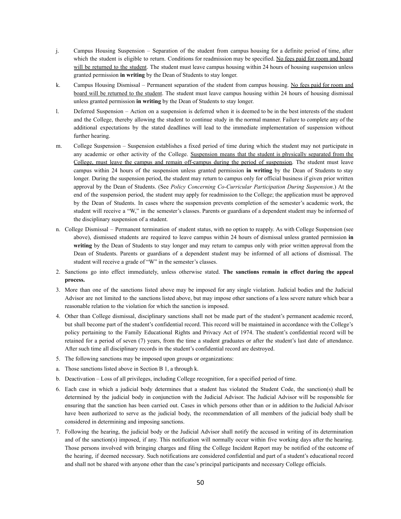- j. Campus Housing Suspension Separation of the student from campus housing for a definite period of time, after which the student is eligible to return. Conditions for readmission may be specified. No fees paid for room and board will be returned to the student. The student must leave campus housing within 24 hours of housing suspension unless granted permission **in writing** by the Dean of Students to stay longer.
- k. Campus Housing Dismissal Permanent separation of the student from campus housing. No fees paid for room and board will be returned to the student. The student must leave campus housing within 24 hours of housing dismissal unless granted permission **in writing** by the Dean of Students to stay longer.
- l. Deferred Suspension Action on a suspension is deferred when it is deemed to be in the best interests of the student and the College, thereby allowing the student to continue study in the normal manner. Failure to complete any of the additional expectations by the stated deadlines will lead to the immediate implementation of suspension without further hearing.
- m. College Suspension Suspension establishes a fixed period of time during which the student may not participate in any academic or other activity of the College. Suspension means that the student is physically separated from the College, must leave the campus and remain off-campus during the period of suspension. The student must leave campus within 24 hours of the suspension unless granted permission **in writing** by the Dean of Students to stay longer. During the suspension period, the student may return to campus only for official business if given prior written approval by the Dean of Students. (See *Policy Concerning Co-Curricular Participation During Suspension*.) At the end of the suspension period, the student may apply for readmission to the College; the application must be approved by the Dean of Students. In cases where the suspension prevents completion of the semester's academic work, the student will receive a "W," in the semester's classes. Parents or guardians of a dependent student may be informed of the disciplinary suspension of a student.
- n. College Dismissal Permanent termination of student status, with no option to reapply. As with College Suspension (see above), dismissed students are required to leave campus within 24 hours of dismissal unless granted permission **in writing** by the Dean of Students to stay longer and may return to campus only with prior written approval from the Dean of Students. Parents or guardians of a dependent student may be informed of all actions of dismissal. The student will receive a grade of "W" in the semester's classes.
- 2. Sanctions go into effect immediately, unless otherwise stated. **The sanctions remain in effect during the appeal process.**
- 3. More than one of the sanctions listed above may be imposed for any single violation. Judicial bodies and the Judicial Advisor are not limited to the sanctions listed above, but may impose other sanctions of a less severe nature which bear a reasonable relation to the violation for which the sanction is imposed.
- 4. Other than College dismissal, disciplinary sanctions shall not be made part of the student's permanent academic record, but shall become part of the student's confidential record. This record will be maintained in accordance with the College's policy pertaining to the Family Educational Rights and Privacy Act of 1974. The student's confidential record will be retained for a period of seven (7) years, from the time a student graduates or after the student's last date of attendance. After such time all disciplinary records in the student's confidential record are destroyed.
- 5. The following sanctions may be imposed upon groups or organizations:
- a. Those sanctions listed above in Section B 1, a through k.
- b. Deactivation Loss of all privileges, including College recognition, for a specified period of time.
- 6. Each case in which a judicial body determines that a student has violated the Student Code, the sanction(s) shall be determined by the judicial body in conjunction with the Judicial Advisor. The Judicial Advisor will be responsible for ensuring that the sanction has been carried out. Cases in which persons other than or in addition to the Judicial Advisor have been authorized to serve as the judicial body, the recommendation of all members of the judicial body shall be considered in determining and imposing sanctions.
- 7. Following the hearing, the judicial body or the Judicial Advisor shall notify the accused in writing of its determination and of the sanction(s) imposed, if any. This notification will normally occur within five working days after the hearing. Those persons involved with bringing charges and filing the College Incident Report may be notified of the outcome of the hearing, if deemed necessary. Such notifications are considered confidential and part of a student's educational record and shall not be shared with anyone other than the case's principal participants and necessary College officials.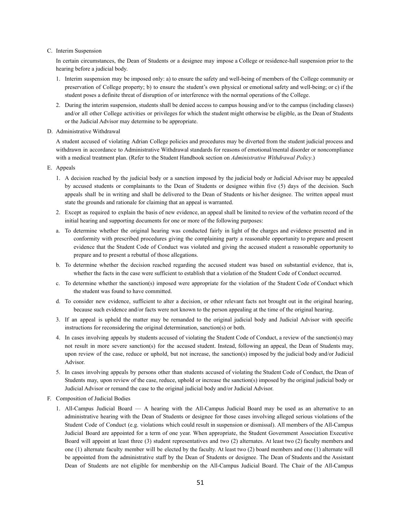#### C. Interim Suspension

In certain circumstances, the Dean of Students or a designee may impose a College or residence-hall suspension prior to the hearing before a judicial body.

- 1. Interim suspension may be imposed only: a) to ensure the safety and well-being of members of the College community or preservation of College property; b) to ensure the student's own physical or emotional safety and well-being; or c) if the student poses a definite threat of disruption of or interference with the normal operations of the College.
- 2. During the interim suspension, students shall be denied access to campus housing and/or to the campus (including classes) and/or all other College activities or privileges for which the student might otherwise be eligible, as the Dean of Students or the Judicial Advisor may determine to be appropriate.
- D. Administrative Withdrawal

A student accused of violating Adrian College policies and procedures may be diverted from the student judicial process and withdrawn in accordance to Administrative Withdrawal standards for reasons of emotional/mental disorder or noncompliance with a medical treatment plan. (Refer to the Student Handbook section on *Administrative Withdrawal Policy*.)

- E. Appeals
	- 1. A decision reached by the judicial body or a sanction imposed by the judicial body or Judicial Advisor may be appealed by accused students or complainants to the Dean of Students or designee within five (5) days of the decision. Such appeals shall be in writing and shall be delivered to the Dean of Students or his/her designee. The written appeal must state the grounds and rationale for claiming that an appeal is warranted.
	- 2. Except as required to explain the basis of new evidence, an appeal shall be limited to review of the verbatim record of the initial hearing and supporting documents for one or more of the following purposes:
	- a. To determine whether the original hearing was conducted fairly in light of the charges and evidence presented and in conformity with prescribed procedures giving the complaining party a reasonable opportunity to prepare and present evidence that the Student Code of Conduct was violated and giving the accused student a reasonable opportunity to prepare and to present a rebuttal of those allegations.
	- b. To determine whether the decision reached regarding the accused student was based on substantial evidence, that is, whether the facts in the case were sufficient to establish that a violation of the Student Code of Conduct occurred.
	- c. To determine whether the sanction(s) imposed were appropriate for the violation of the Student Code of Conduct which the student was found to have committed.
	- d. To consider new evidence, sufficient to alter a decision, or other relevant facts not brought out in the original hearing, because such evidence and/or facts were not known to the person appealing at the time of the original hearing.
	- 3. If an appeal is upheld the matter may be remanded to the original judicial body and Judicial Advisor with specific instructions for reconsidering the original determination, sanction(s) or both.
	- 4. In cases involving appeals by students accused of violating the Student Code of Conduct, a review of the sanction(s) may not result in more severe sanction(s) for the accused student. Instead, following an appeal, the Dean of Students may, upon review of the case, reduce or uphold, but not increase, the sanction(s) imposed by the judicial body and/or Judicial Advisor.
	- 5. In cases involving appeals by persons other than students accused of violating the Student Code of Conduct, the Dean of Students may, upon review of the case, reduce, uphold or increase the sanction(s) imposed by the original judicial body or Judicial Advisor or remand the case to the original judicial body and/or Judicial Advisor.
- F. Composition of Judicial Bodies
	- 1. All-Campus Judicial Board A hearing with the All-Campus Judicial Board may be used as an alternative to an administrative hearing with the Dean of Students or designee for those cases involving alleged serious violations of the Student Code of Conduct (e.g. violations which could result in suspension or dismissal). All members of the All-Campus Judicial Board are appointed for a term of one year. When appropriate, the Student Government Association Executive Board will appoint at least three (3) student representatives and two (2) alternates. At least two (2) faculty members and one (1) alternate faculty member will be elected by the faculty. At least two (2) board members and one (1) alternate will be appointed from the administrative staff by the Dean of Students or designee. The Dean of Students and the Assistant Dean of Students are not eligible for membership on the All-Campus Judicial Board. The Chair of the All-Campus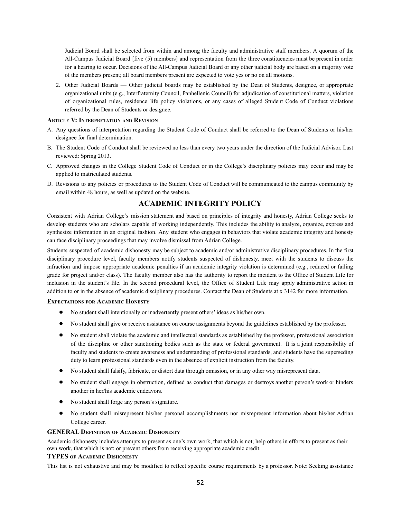Judicial Board shall be selected from within and among the faculty and administrative staff members. A quorum of the All-Campus Judicial Board [five (5) members] and representation from the three constituencies must be present in order for a hearing to occur. Decisions of the All-Campus Judicial Board or any other judicial body are based on a majority vote of the members present; all board members present are expected to vote yes or no on all motions.

2. Other Judicial Boards — Other judicial boards may be established by the Dean of Students, designee, or appropriate organizational units (e.g., Interfraternity Council, Panhellenic Council) for adjudication of constitutional matters, violation of organizational rules, residence life policy violations, or any cases of alleged Student Code of Conduct violations referred by the Dean of Students or designee.

#### **ARTICLE V: INTERPRETATION AND REVISION**

- A. Any questions of interpretation regarding the Student Code of Conduct shall be referred to the Dean of Students or his/her designee for final determination.
- B. The Student Code of Conduct shall be reviewed no less than every two years under the direction of the Judicial Advisor. Last reviewed: Spring 2013.
- C. Approved changes in the College Student Code of Conduct or in the College's disciplinary policies may occur and may be applied to matriculated students.
- D. Revisions to any policies or procedures to the Student Code of Conduct will be communicated to the campus community by email within 48 hours, as well as updated on the website.

## **ACADEMIC INTEGRITY POLICY**

Consistent with Adrian College's mission statement and based on principles of integrity and honesty, Adrian College seeks to develop students who are scholars capable of working independently. This includes the ability to analyze, organize, express and synthesize information in an original fashion. Any student who engages in behaviors that violate academic integrity and honesty can face disciplinary proceedings that may involve dismissal from Adrian College.

Students suspected of academic dishonesty may be subject to academic and/or administrative disciplinary procedures. In the first disciplinary procedure level, faculty members notify students suspected of dishonesty, meet with the students to discuss the infraction and impose appropriate academic penalties if an academic integrity violation is determined (e.g., reduced or failing grade for project and/or class). The faculty member also has the authority to report the incident to the Office of Student Life for inclusion in the student's file. In the second procedural level, the Office of Student Life may apply administrative action in addition to or in the absence of academic disciplinary procedures. Contact the Dean of Students at x 3142 for more information.

#### **EXPECTATIONS FOR ACADEMIC HONESTY**

- No student shall intentionally or inadvertently present others' ideas as his/her own.
- No student shall give or receive assistance on course assignments beyond the guidelines established by the professor.
- No student shall violate the academic and intellectual standards as established by the professor, professional association of the discipline or other sanctioning bodies such as the state or federal government. It is a joint responsibility of faculty and students to create awareness and understanding of professional standards, and students have the superseding duty to learn professional standards even in the absence of explicit instruction from the faculty.
- No student shall falsify, fabricate, or distort data through omission, or in any other way misrepresent data.
- No student shall engage in obstruction, defined as conduct that damages or destroys another person's work or hinders another in her/his academic endeavors.
- No student shall forge any person's signature.
- No student shall misrepresent his/her personal accomplishments nor misrepresent information about his/her Adrian College career.

#### **GENERAL DEFINITION OF ACADEMIC DISHONESTY**

Academic dishonesty includes attempts to present as one's own work, that which is not; help others in efforts to present as their own work, that which is not; or prevent others from receiving appropriate academic credit.

#### **TYPES OF ACADEMIC DISHONESTY**

This list is not exhaustive and may be modified to reflect specific course requirements by a professor. Note: Seeking assistance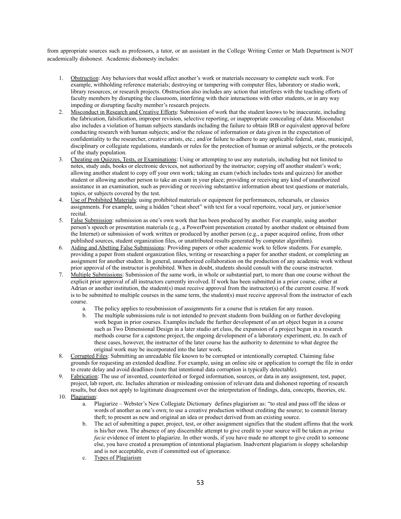from appropriate sources such as professors, a tutor, or an assistant in the College Writing Center or Math Department is NOT academically dishonest. Academic dishonesty includes:

- 1. Obstruction: Any behaviors that would affect another's work or materials necessary to complete such work. For example, withholding reference materials; destroying or tampering with computer files, laboratory or studio work, library resources, or research projects. Obstruction also includes any action that interferes with the teaching efforts of faculty members by disrupting the classroom, interfering with their interactions with other students, or in any way impeding or disrupting faculty member's research projects.
- 2. Misconduct in Research and Creative Efforts: Submission of work that the student knows to be inaccurate, including the fabrication, falsification, improper revision, selective reporting, or inappropriate concealing of data. Misconduct also includes a violation of human subjects standards including the failure to obtain IRB or equivalent approval before conducting research with human subjects; and/or the release of information or data given in the expectation of confidentiality to the researcher, creative artists, etc.; and/or failure to adhere to any applicable federal, state, municipal, disciplinary or collegiate regulations, standards or rules for the protection of human or animal subjects, or the protocols of the study population.
- 3. Cheating on Quizzes, Tests, or Examinations: Using or attempting to use any materials, including but not limited to notes, study aids, books or electronic devices, not authorized by the instructor; copying off another student's work; allowing another student to copy off your own work; taking an exam (which includes tests and quizzes) for another student or allowing another person to take an exam in your place; providing or receiving any kind of unauthorized assistance in an examination, such as providing or receiving substantive information about test questions or materials, topics, or subjects covered by the test.
- 4. Use of Prohibited Materials: using prohibited materials or equipment for performances, rehearsals, or classics assignments. For example, using a hidden "cheat sheet" with text for a vocal repertoire, vocal jury, or junior/senior recital.
- 5. False Submission: submission as one's own work that has been produced by another. For example, using another person's speech or presentation materials (e.g., a PowerPoint presentation created by another student or obtained from the Internet) or submission of work written or produced by another person (e.g., a paper acquired online, from other published sources, student organization files, or unattributed results generated by computer algorithm).
- 6. Aiding and Abetting False Submissions: Providing papers or other academic work to fellow students. For example, providing a paper from student organization files, writing or researching a paper for another student, or completing an assignment for another student. In general, unauthorized collaboration on the production of any academic work without prior approval of the instructor is prohibited. When in doubt, students should consult with the course instructor.
- 7. Multiple Submissions: Submission of the same work, in whole or substantial part, to more than one course without the explicit prior approval of all instructors currently involved. If work has been submitted in a prior course, either at Adrian or another institution, the student(s) must receive approval from the instructor(s) of the current course. If work is to be submitted to multiple courses in the same term, the student(s) must receive approval from the instructor of each course.
	- a. The policy applies to resubmission of assignments for a course that is retaken for any reason.
	- b. The multiple submissions rule is not intended to prevent students from building on or further developing work begun in prior courses. Examples include the further development of an art object begun in a course such as Two Dimensional Design in a later studio art class, the expansion of a project begun in a research methods course for a capstone project, the ongoing development of a laboratory experiment, etc. In each of these cases, however, the instructor of the later course has the authority to determine to what degree the original work may be incorporated into the later work.
- 8. Corrupted Files: Submitting an unreadable file known to be corrupted or intentionally corrupted. Claiming false grounds for requesting an extended deadline. For example, using an online site or application to corrupt the file in order to create delay and avoid deadlines (note that intentional data corruption is typically detectable).
- 9. Fabrication: The use of invented, counterfeited or forged information, sources, or data in any assignment, test, paper, project, lab report, etc. Includes alteration or misleading omission of relevant data and dishonest reporting of research results, but does not apply to legitimate disagreement over the interpretation of findings, data, concepts, theories, etc.
- 10. Plagiarism:
	- a. Plagiarize Webster's New Collegiate Dictionary defines plagiarism as: "to steal and pass off the ideas or words of another as one's own; to use a creative production without crediting the source; to commit literary theft; to present as new and original an idea or product derived from an existing source.
	- b. The act of submitting a paper, project, test, or other assignment signifies that the student affirms that the work is his/her own. The absence of any discernible attempt to give credit to your source will be taken as *prima facie* evidence of intent to plagiarize. In other words, if you have made no attempt to give credit to someone else, you have created a presumption of intentional plagiarism. Inadvertent plagiarism is sloppy scholarship and is not acceptable, even if committed out of ignorance.
	- c. Types of Plagiarism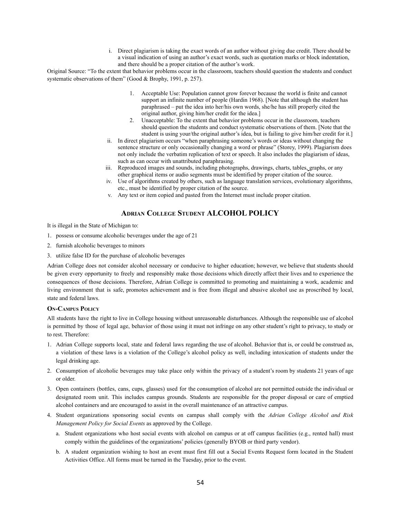i. Direct plagiarism is taking the exact words of an author without giving due credit. There should be a visual indication of using an author's exact words, such as quotation marks or block indentation, and there should be a proper citation of the author's work.

Original Source: "To the extent that behavior problems occur in the classroom, teachers should question the students and conduct systematic observations of them" (Good & Brophy, 1991, p. 257).

- 1. Acceptable Use: Population cannot grow forever because the world is finite and cannot support an infinite number of people (Hardin 1968). [Note that although the student has paraphrased – put the idea into her/his own words, she/he has still properly cited the original author, giving him/her credit for the idea.]
- 2. Unacceptable: To the extent that behavior problems occur in the classroom, teachers should question the students and conduct systematic observations of them. [Note that the student is using your/the original author's idea, but is failing to give him/her credit for it.]
- ii. In direct plagiarism occurs "when paraphrasing someone's words or ideas without changing the sentence structure or only occasionally changing a word or phrase" (Storey, 1999). Plagiarism does not only include the verbatim replication of text or speech. It also includes the plagiarism of ideas, such as can occur with unattributed paraphrasing.
- iii. Reproduced images and sounds, including photographs, drawings, charts, tables, graphs, or any other graphical items or audio segments must be identified by proper citation of the source.
- iv. Use of algorithms created by others, such as language translation services, evolutionary algorithms, etc., must be identified by proper citation of the source.
- v. Any text or item copied and pasted from the Internet must include proper citation.

## **ADRIAN COLLEGE STUDENT ALCOHOL POLICY**

It is illegal in the State of Michigan to:

- 1. possess or consume alcoholic beverages under the age of 21
- 2. furnish alcoholic beverages to minors
- 3. utilize false ID for the purchase of alcoholic beverages

Adrian College does not consider alcohol necessary or conducive to higher education; however, we believe that students should be given every opportunity to freely and responsibly make those decisions which directly affect their lives and to experience the consequences of those decisions. Therefore, Adrian College is committed to promoting and maintaining a work, academic and living environment that is safe, promotes achievement and is free from illegal and abusive alcohol use as proscribed by local, state and federal laws.

#### **ON-CAMPUS POLICY**

All students have the right to live in College housing without unreasonable disturbances. Although the responsible use of alcohol is permitted by those of legal age, behavior of those using it must not infringe on any other student's right to privacy, to study or to rest. Therefore:

- 1. Adrian College supports local, state and federal laws regarding the use of alcohol. Behavior that is, or could be construed as, a violation of these laws is a violation of the College's alcohol policy as well, including intoxication of students under the legal drinking age.
- 2. Consumption of alcoholic beverages may take place only within the privacy of a student's room by students 21 years of age or older.
- 3. Open containers (bottles, cans, cups, glasses) used for the consumption of alcohol are not permitted outside the individual or designated room unit. This includes campus grounds. Students are responsible for the proper disposal or care of emptied alcohol containers and are encouraged to assist in the overall maintenance of an attractive campus.
- 4. Student organizations sponsoring social events on campus shall comply with the *Adrian College Alcohol and Risk Management Policy for Social Events* as approved by the College.
	- a. Student organizations who host social events with alcohol on campus or at off campus facilities (e.g., rented hall) must comply within the guidelines of the organizations' policies (generally BYOB or third party vendor).
	- b. A student organization wishing to host an event must first fill out a Social Events Request form located in the Student Activities Office. All forms must be turned in the Tuesday, prior to the event.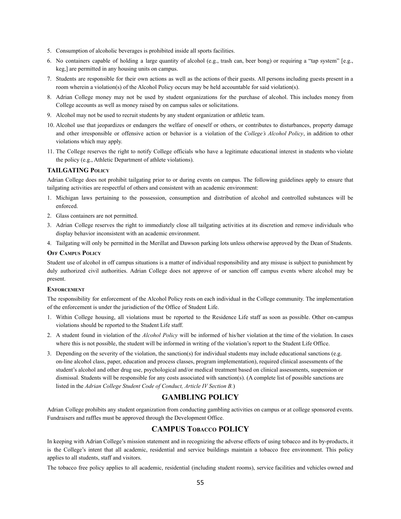- 5. Consumption of alcoholic beverages is prohibited inside all sports facilities.
- 6. No containers capable of holding a large quantity of alcohol (e.g., trash can, beer bong) or requiring a "tap system" [e.g., keg,] are permitted in any housing units on campus.
- 7. Students are responsible for their own actions as well as the actions of their guests. All persons including guests present in a room wherein a violation(s) of the Alcohol Policy occurs may be held accountable for said violation(s).
- 8. Adrian College money may not be used by student organizations for the purchase of alcohol. This includes money from College accounts as well as money raised by on campus sales or solicitations.
- 9. Alcohol may not be used to recruit students by any student organization or athletic team.
- 10. Alcohol use that jeopardizes or endangers the welfare of oneself or others, or contributes to disturbances, property damage and other irresponsible or offensive action or behavior is a violation of the *College's Alcohol Policy*, in addition to other violations which may apply.
- 11. The College reserves the right to notify College officials who have a legitimate educational interest in students who violate the policy (e.g., Athletic Department of athlete violations).

#### **TAILGATING POLICY**

Adrian College does not prohibit tailgating prior to or during events on campus. The following guidelines apply to ensure that tailgating activities are respectful of others and consistent with an academic environment:

- 1. Michigan laws pertaining to the possession, consumption and distribution of alcohol and controlled substances will be enforced.
- 2. Glass containers are not permitted.
- 3. Adrian College reserves the right to immediately close all tailgating activities at its discretion and remove individuals who display behavior inconsistent with an academic environment.
- 4. Tailgating will only be permitted in the Merillat and Dawson parking lots unless otherwise approved by the Dean of Students.

#### **OFF CAMPUS POLICY**

Student use of alcohol in off campus situations is a matter of individual responsibility and any misuse is subject to punishment by duly authorized civil authorities. Adrian College does not approve of or sanction off campus events where alcohol may be present.

#### **ENFORCEMENT**

The responsibility for enforcement of the Alcohol Policy rests on each individual in the College community. The implementation of the enforcement is under the jurisdiction of the Office of Student Life.

- 1. Within College housing, all violations must be reported to the Residence Life staff as soon as possible. Other on-campus violations should be reported to the Student Life staff.
- 2. A student found in violation of the *Alcohol Policy* will be informed of his/her violation at the time of the violation. In cases where this is not possible, the student will be informed in writing of the violation's report to the Student Life Office.
- 3. Depending on the severity of the violation, the sanction(s) for individual students may include educational sanctions (e.g. on-line alcohol class, paper, education and process classes, program implementation), required clinical assessments of the student's alcohol and other drug use, psychological and/or medical treatment based on clinical assessments, suspension or dismissal. Students will be responsible for any costs associated with sanction(s). (A complete list of possible sanctions are listed in the *Adrian College Student Code of Conduct, Article IV Section B.*)

## **GAMBLING POLICY**

Adrian College prohibits any student organization from conducting gambling activities on campus or at college sponsored events. Fundraisers and raffles must be approved through the Development Office.

## **CAMPUS TOBACCO POLICY**

In keeping with Adrian College's mission statement and in recognizing the adverse effects of using tobacco and its by-products, it is the College's intent that all academic, residential and service buildings maintain a tobacco free environment. This policy applies to all students, staff and visitors.

The tobacco free policy applies to all academic, residential (including student rooms), service facilities and vehicles owned and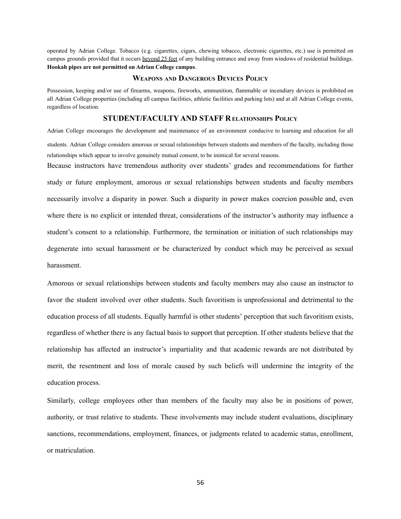operated by Adrian College. Tobacco (e.g. cigarettes, cigars, chewing tobacco, electronic cigarettes, etc.) use is permitted on campus grounds provided that it occurs beyond 25 feet of any building entrance and away from windows of residential buildings. **Hookah pipes are not permitted on Adrian College campus**.

## **WEAPONS AND DANGEROUS DEVICES POLICY**

Possession, keeping and/or use of firearms, weapons, fireworks, ammunition, flammable or incendiary devices is prohibited on all Adrian College properties (including all campus facilities, athletic facilities and parking lots) and at all Adrian College events, regardless of location.

## **STUDENT/FACULTY AND STAFF RELATIONSHIPS POLICY**

Adrian College encourages the development and maintenance of an environment conducive to learning and education for all students. Adrian College considers amorous or sexual relationships between students and members of the faculty, including those relationships which appear to involve genuinely mutual consent, to be inimical for several reasons.

Because instructors have tremendous authority over students' grades and recommendations for further study or future employment, amorous or sexual relationships between students and faculty members necessarily involve a disparity in power. Such a disparity in power makes coercion possible and, even where there is no explicit or intended threat, considerations of the instructor's authority may influence a student's consent to a relationship. Furthermore, the termination or initiation of such relationships may degenerate into sexual harassment or be characterized by conduct which may be perceived as sexual harassment.

Amorous or sexual relationships between students and faculty members may also cause an instructor to favor the student involved over other students. Such favoritism is unprofessional and detrimental to the education process of all students. Equally harmful is other students' perception that such favoritism exists, regardless of whether there is any factual basis to support that perception. If other students believe that the relationship has affected an instructor's impartiality and that academic rewards are not distributed by merit, the resentment and loss of morale caused by such beliefs will undermine the integrity of the education process.

Similarly, college employees other than members of the faculty may also be in positions of power, authority, or trust relative to students. These involvements may include student evaluations, disciplinary sanctions, recommendations, employment, finances, or judgments related to academic status, enrollment, or matriculation.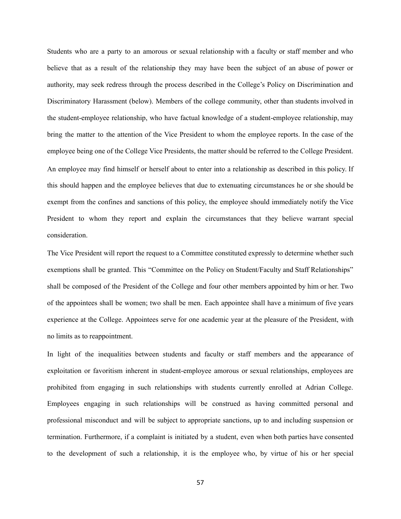Students who are a party to an amorous or sexual relationship with a faculty or staff member and who believe that as a result of the relationship they may have been the subject of an abuse of power or authority, may seek redress through the process described in the College's Policy on Discrimination and Discriminatory Harassment (below). Members of the college community, other than students involved in the student-employee relationship, who have factual knowledge of a student-employee relationship, may bring the matter to the attention of the Vice President to whom the employee reports. In the case of the employee being one of the College Vice Presidents, the matter should be referred to the College President. An employee may find himself or herself about to enter into a relationship as described in this policy. If this should happen and the employee believes that due to extenuating circumstances he or she should be exempt from the confines and sanctions of this policy, the employee should immediately notify the Vice President to whom they report and explain the circumstances that they believe warrant special consideration.

The Vice President will report the request to a Committee constituted expressly to determine whether such exemptions shall be granted. This "Committee on the Policy on Student/Faculty and Staff Relationships" shall be composed of the President of the College and four other members appointed by him or her. Two of the appointees shall be women; two shall be men. Each appointee shall have a minimum of five years experience at the College. Appointees serve for one academic year at the pleasure of the President, with no limits as to reappointment.

In light of the inequalities between students and faculty or staff members and the appearance of exploitation or favoritism inherent in student-employee amorous or sexual relationships, employees are prohibited from engaging in such relationships with students currently enrolled at Adrian College. Employees engaging in such relationships will be construed as having committed personal and professional misconduct and will be subject to appropriate sanctions, up to and including suspension or termination. Furthermore, if a complaint is initiated by a student, even when both parties have consented to the development of such a relationship, it is the employee who, by virtue of his or her special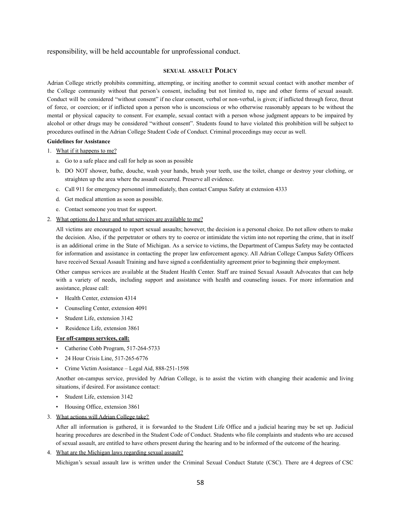responsibility, will be held accountable for unprofessional conduct.

#### **SEXUAL ASSAULT POLICY**

Adrian College strictly prohibits committing, attempting, or inciting another to commit sexual contact with another member of the College community without that person's consent, including but not limited to, rape and other forms of sexual assault. Conduct will be considered "without consent" if no clear consent, verbal or non-verbal, is given; if inflicted through force, threat of force, or coercion; or if inflicted upon a person who is unconscious or who otherwise reasonably appears to be without the mental or physical capacity to consent. For example, sexual contact with a person whose judgment appears to be impaired by alcohol or other drugs may be considered "without consent". Students found to have violated this prohibition will be subject to procedures outlined in the Adrian College Student Code of Conduct. Criminal proceedings may occur as well.

## **Guidelines for Assistance**

1. What if it happens to me?

- a. Go to a safe place and call for help as soon as possible
- b. DO NOT shower, bathe, douche, wash your hands, brush your teeth, use the toilet, change or destroy your clothing, or straighten up the area where the assault occurred. Preserve all evidence.
- c. Call 911 for emergency personnel immediately, then contact Campus Safety at extension 4333
- d. Get medical attention as soon as possible.
- e. Contact someone you trust for support.
- 2. What options do I have and what services are available to me?

All victims are encouraged to report sexual assaults; however, the decision is a personal choice. Do not allow others to make the decision. Also, if the perpetrator or others try to coerce or intimidate the victim into not reporting the crime, that in itself is an additional crime in the State of Michigan. As a service to victims, the Department of Campus Safety may be contacted for information and assistance in contacting the proper law enforcement agency. All Adrian College Campus Safety Officers have received Sexual Assault Training and have signed a confidentiality agreement prior to beginning their employment.

Other campus services are available at the Student Health Center. Staff are trained Sexual Assault Advocates that can help with a variety of needs, including support and assistance with health and counseling issues. For more information and assistance, please call:

- Health Center, extension 4314
- Counseling Center, extension 4091
- Student Life, extension 3142
- Residence Life, extension 3861

#### **For off-campus services, call:**

- Catherine Cobb Program, 517-264-5733
- 24 Hour Crisis Line, 517-265-6776
- Crime Victim Assistance Legal Aid, 888-251-1598

Another on-campus service, provided by Adrian College, is to assist the victim with changing their academic and living situations, if desired. For assistance contact:

- Student Life, extension 3142
- Housing Office, extension 3861
- 3. What actions will Adrian College take?

After all information is gathered, it is forwarded to the Student Life Office and a judicial hearing may be set up. Judicial hearing procedures are described in the Student Code of Conduct. Students who file complaints and students who are accused of sexual assault, are entitled to have others present during the hearing and to be informed of the outcome of the hearing.

4. What are the Michigan laws regarding sexual assault?

Michigan's sexual assault law is written under the Criminal Sexual Conduct Statute (CSC). There are 4 degrees of CSC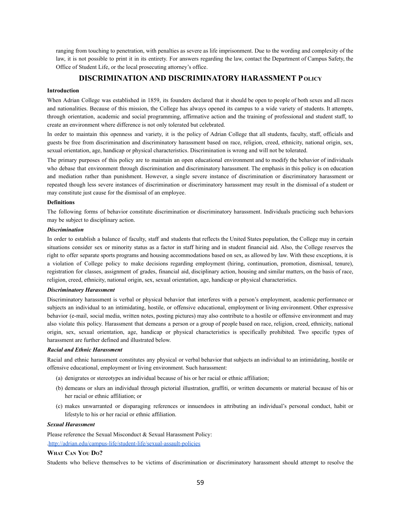ranging from touching to penetration, with penalties as severe as life imprisonment. Due to the wording and complexity of the law, it is not possible to print it in its entirety. For answers regarding the law, contact the Department of Campus Safety, the Office of Student Life, or the local prosecuting attorney's office.

## **DISCRIMINATION AND DISCRIMINATORY HARASSMENT P OLICY**

## **Introduction**

When Adrian College was established in 1859, its founders declared that it should be open to people of both sexes and all races and nationalities. Because of this mission, the College has always opened its campus to a wide variety of students. It attempts, through orientation, academic and social programming, affirmative action and the training of professional and student staff, to create an environment where difference is not only tolerated but celebrated.

In order to maintain this openness and variety, it is the policy of Adrian College that all students, faculty, staff, officials and guests be free from discrimination and discriminatory harassment based on race, religion, creed, ethnicity, national origin, sex, sexual orientation, age, handicap or physical characteristics. Discrimination is wrong and will not be tolerated.

The primary purposes of this policy are to maintain an open educational environment and to modify the behavior of individuals who debase that environment through discrimination and discriminatory harassment. The emphasis in this policy is on education and mediation rather than punishment. However, a single severe instance of discrimination or discriminatory harassment or repeated though less severe instances of discrimination or discriminatory harassment may result in the dismissal of a student or may constitute just cause for the dismissal of an employee.

#### **Definitions**

The following forms of behavior constitute discrimination or discriminatory harassment. Individuals practicing such behaviors may be subject to disciplinary action.

#### *Discrimination*

In order to establish a balance of faculty, staff and students that reflects the United States population, the College may in certain situations consider sex or minority status as a factor in staff hiring and in student financial aid. Also, the College reserves the right to offer separate sports programs and housing accommodations based on sex, as allowed by law. With these exceptions, it is a violation of College policy to make decisions regarding employment (hiring, continuation, promotion, dismissal, tenure), registration for classes, assignment of grades, financial aid, disciplinary action, housing and similar matters, on the basis of race, religion, creed, ethnicity, national origin, sex, sexual orientation, age, handicap or physical characteristics.

#### *Discriminatory Harassment*

Discriminatory harassment is verbal or physical behavior that interferes with a person's employment, academic performance or subjects an individual to an intimidating, hostile, or offensive educational, employment or living environment. Other expressive behavior (e-mail, social media, written notes, posting pictures) may also contribute to a hostile or offensive environment and may also violate this policy. Harassment that demeans a person or a group of people based on race, religion, creed, ethnicity, national origin, sex, sexual orientation, age, handicap or physical characteristics is specifically prohibited. Two specific types of harassment are further defined and illustrated below.

#### *Racial and Ethnic Harassment*

Racial and ethnic harassment constitutes any physical or verbal behavior that subjects an individual to an intimidating, hostile or offensive educational, employment or living environment. Such harassment:

- (a) denigrates or stereotypes an individual because of his or her racial or ethnic affiliation;
- (b) demeans or slurs an individual through pictorial illustration, graffiti, or written documents or material because of his or her racial or ethnic affiliation; or
- (c) makes unwarranted or disparaging references or innuendoes in attributing an individual's personal conduct, habit or lifestyle to his or her racial or ethnic affiliation.

#### *Sexual Harassment*

Please reference the Sexual Misconduct & Sexual Harassment Policy: [.http://adrian.edu/campus-life/student-life/sexual-assault-policies](http://adrian.edu/campus-life/student-life/sexual-assault-policies)

#### **WHAT CAN YOU DO?**

Students who believe themselves to be victims of discrimination or discriminatory harassment should attempt to resolve the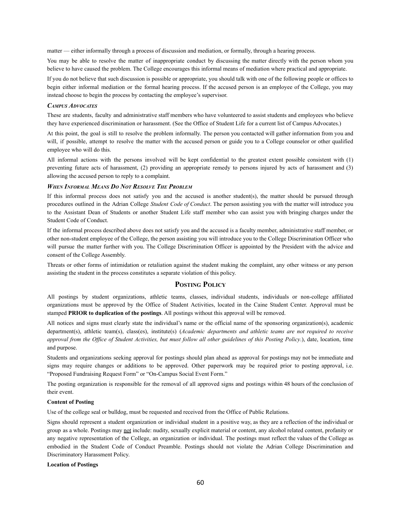matter — either informally through a process of discussion and mediation, or formally, through a hearing process.

You may be able to resolve the matter of inappropriate conduct by discussing the matter directly with the person whom you believe to have caused the problem. The College encourages this informal means of mediation where practical and appropriate.

If you do not believe that such discussion is possible or appropriate, you should talk with one of the following people or offices to begin either informal mediation or the formal hearing process. If the accused person is an employee of the College, you may instead choose to begin the process by contacting the employee's supervisor.

#### *CAMPUS ADVOCATES*

These are students, faculty and administrative staff members who have volunteered to assist students and employees who believe they have experienced discrimination or harassment. (See the Office of Student Life for a current list of Campus Advocates.)

At this point, the goal is still to resolve the problem informally. The person you contacted will gather information from you and will, if possible, attempt to resolve the matter with the accused person or guide you to a College counselor or other qualified employee who will do this.

All informal actions with the persons involved will be kept confidential to the greatest extent possible consistent with (1) preventing future acts of harassment, (2) providing an appropriate remedy to persons injured by acts of harassment and (3) allowing the accused person to reply to a complaint.

#### *WHEN INFORMAL MEANS D<sup>O</sup> NOT RESOLVE THE PROBLEM*

If this informal process does not satisfy you and the accused is another student(s), the matter should be pursued through procedures outlined in the Adrian College *Student Code of Conduct*. The person assisting you with the matter will introduce you to the Assistant Dean of Students or another Student Life staff member who can assist you with bringing charges under the Student Code of Conduct.

If the informal process described above does not satisfy you and the accused is a faculty member, administrative staff member, or other non-student employee of the College, the person assisting you will introduce you to the College Discrimination Officer who will pursue the matter further with you. The College Discrimination Officer is appointed by the President with the advice and consent of the College Assembly.

Threats or other forms of intimidation or retaliation against the student making the complaint, any other witness or any person assisting the student in the process constitutes a separate violation of this policy.

## **POSTING POLICY**

All postings by student organizations, athletic teams, classes, individual students, individuals or non-college affiliated organizations must be approved by the Office of Student Activities, located in the Caine Student Center. Approval must be stamped **PRIOR to duplication of the postings**. All postings without this approval will be removed.

All notices and signs must clearly state the individual's name or the official name of the sponsoring organization(s), academic department(s), athletic team(s), class(es), institute(s) (*Academic departments and athletic teams are not required to receive* approval from the Office of Student Activities, but must follow all other guidelines of this Posting Policy.), date, location, time and purpose.

Students and organizations seeking approval for postings should plan ahead as approval for postings may not be immediate and signs may require changes or additions to be approved. Other paperwork may be required prior to posting approval, i.e. "Proposed Fundraising Request Form" or "On-Campus Social Event Form."

The posting organization is responsible for the removal of all approved signs and postings within 48 hours of the conclusion of their event.

#### **Content of Posting**

Use of the college seal or bulldog, must be requested and received from the Office of Public Relations.

Signs should represent a student organization or individual student in a positive way, as they are a reflection of the individual or group as a whole. Postings may not include: nudity, sexually explicit material or content, any alcohol related content, profanity or any negative representation of the College, an organization or individual. The postings must reflect the values of the College as embodied in the Student Code of Conduct Preamble. Postings should not violate the Adrian College Discrimination and Discriminatory Harassment Policy.

#### **Location of Postings**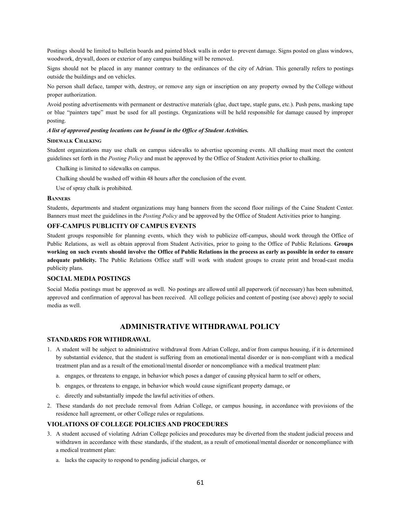Postings should be limited to bulletin boards and painted block walls in order to prevent damage. Signs posted on glass windows, woodwork, drywall, doors or exterior of any campus building will be removed.

Signs should not be placed in any manner contrary to the ordinances of the city of Adrian. This generally refers to postings outside the buildings and on vehicles.

No person shall deface, tamper with, destroy, or remove any sign or inscription on any property owned by the College without proper authorization.

Avoid posting advertisements with permanent or destructive materials (glue, duct tape, staple guns, etc.). Push pens, masking tape or blue "painters tape" must be used for all postings. Organizations will be held responsible for damage caused by improper posting.

#### *A list of approved posting locations can be found in the Office of Student Activities.*

#### **SIDEWALK CHALKING**

Student organizations may use chalk on campus sidewalks to advertise upcoming events. All chalking must meet the content guidelines set forth in the *Posting Policy* and must be approved by the Office of Student Activities prior to chalking.

Chalking is limited to sidewalks on campus.

Chalking should be washed off within 48 hours after the conclusion of the event.

Use of spray chalk is prohibited.

#### **BANNERS**

Students, departments and student organizations may hang banners from the second floor railings of the Caine Student Center. Banners must meet the guidelines in the *Posting Policy* and be approved by the Office of Student Activities prior to hanging.

#### **OFF-CAMPUS PUBLICITY OF CAMPUS EVENTS**

Student groups responsible for planning events, which they wish to publicize off-campus, should work through the Office of Public Relations, as well as obtain approval from Student Activities, prior to going to the Office of Public Relations. **Groups** working on such events should involve the Office of Public Relations in the process as early as possible in order to ensure **adequate publicity.** The Public Relations Office staff will work with student groups to create print and broad-cast media publicity plans.

#### **SOCIAL MEDIA POSTINGS**

Social Media postings must be approved as well. No postings are allowed until all paperwork (if necessary) has been submitted, approved and confirmation of approval has been received. All college policies and content of posting (see above) apply to social media as well.

## **ADMINISTRATIVE WITHDRAWAL POLICY**

## **STANDARDS FOR WITHDRAWAL**

- 1. A student will be subject to administrative withdrawal from Adrian College, and/or from campus housing, if it is determined by substantial evidence, that the student is suffering from an emotional/mental disorder or is non-compliant with a medical treatment plan and as a result of the emotional/mental disorder or noncompliance with a medical treatment plan:
	- a. engages, or threatens to engage, in behavior which poses a danger of causing physical harm to self or others,
	- b. engages, or threatens to engage, in behavior which would cause significant property damage, or
	- c. directly and substantially impede the lawful activities of others.
- 2. These standards do not preclude removal from Adrian College, or campus housing, in accordance with provisions of the residence hall agreement, or other College rules or regulations.

#### **VIOLATIONS OF COLLEGE POLICIES AND PROCEDURES**

- 3. A student accused of violating Adrian College policies and procedures may be diverted from the student judicial process and withdrawn in accordance with these standards, if the student, as a result of emotional/mental disorder or noncompliance with a medical treatment plan:
	- a. lacks the capacity to respond to pending judicial charges, or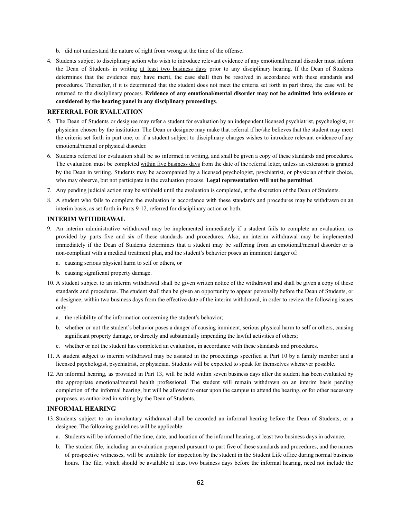- b. did not understand the nature of right from wrong at the time of the offense.
- 4. Students subject to disciplinary action who wish to introduce relevant evidence of any emotional/mental disorder must inform the Dean of Students in writing at least two business days prior to any disciplinary hearing. If the Dean of Students determines that the evidence may have merit, the case shall then be resolved in accordance with these standards and procedures. Thereafter, if it is determined that the student does not meet the criteria set forth in part three, the case will be returned to the disciplinary process. **Evidence of any emotional/mental disorder may not be admitted into evidence or considered by the hearing panel in any disciplinary proceedings**.

#### **REFERRAL FOR EVALUATION**

- 5. The Dean of Students or designee may refer a student for evaluation by an independent licensed psychiatrist, psychologist, or physician chosen by the institution. The Dean or designee may make that referral if he/she believes that the student may meet the criteria set forth in part one, or if a student subject to disciplinary charges wishes to introduce relevant evidence of any emotional/mental or physical disorder.
- 6. Students referred for evaluation shall be so informed in writing, and shall be given a copy of these standards and procedures. The evaluation must be completed within five business days from the date of the referral letter, unless an extension is granted by the Dean in writing. Students may be accompanied by a licensed psychologist, psychiatrist, or physician of their choice, who may observe, but not participate in the evaluation process. **Legal representation will not be permitted**.
- 7. Any pending judicial action may be withheld until the evaluation is completed, at the discretion of the Dean of Students.
- 8. A student who fails to complete the evaluation in accordance with these standards and procedures may be withdrawn on an interim basis, as set forth in Parts 9-12, referred for disciplinary action or both.

#### **INTERIM WITHDRAWAL**

- 9. An interim administrative withdrawal may be implemented immediately if a student fails to complete an evaluation, as provided by parts five and six of these standards and procedures. Also, an interim withdrawal may be implemented immediately if the Dean of Students determines that a student may be suffering from an emotional/mental disorder or is non-compliant with a medical treatment plan, and the student's behavior poses an imminent danger of:
	- a. causing serious physical harm to self or others, or
	- b. causing significant property damage.
- 10. A student subject to an interim withdrawal shall be given written notice of the withdrawal and shall be given a copy of these standards and procedures. The student shall then be given an opportunity to appear personally before the Dean of Students, or a designee, within two business days from the effective date of the interim withdrawal, in order to review the following issues only:
	- a. the reliability of the information concerning the student's behavior;
	- b. whether or not the student's behavior poses a danger of causing imminent, serious physical harm to self or others, causing significant property damage, or directly and substantially impending the lawful activities of others;
	- c. whether or not the student has completed an evaluation, in accordance with these standards and procedures.
- 11. A student subject to interim withdrawal may be assisted in the proceedings specified at Part 10 by a family member and a licensed psychologist, psychiatrist, or physician. Students will be expected to speak for themselves whenever possible.
- 12. An informal hearing, as provided in Part 13, will be held within seven business days after the student has been evaluated by the appropriate emotional/mental health professional. The student will remain withdrawn on an interim basis pending completion of the informal hearing, but will be allowed to enter upon the campus to attend the hearing, or for other necessary purposes, as authorized in writing by the Dean of Students.

## **INFORMAL HEARING**

- 13. Students subject to an involuntary withdrawal shall be accorded an informal hearing before the Dean of Students, or a designee. The following guidelines will be applicable:
	- a. Students will be informed of the time, date, and location of the informal hearing, at least two business days in advance.
	- b. The student file, including an evaluation prepared pursuant to part five of these standards and procedures, and the names of prospective witnesses, will be available for inspection by the student in the Student Life office during normal business hours. The file, which should be available at least two business days before the informal hearing, need not include the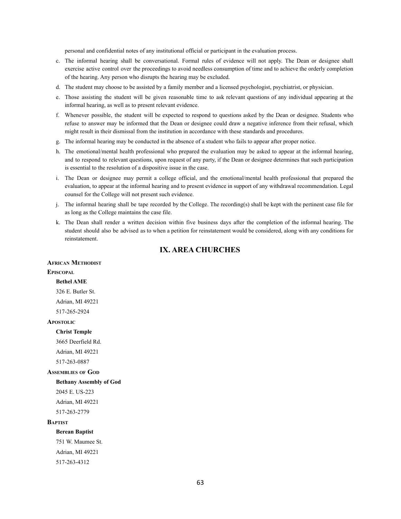personal and confidential notes of any institutional official or participant in the evaluation process.

- c. The informal hearing shall be conversational. Formal rules of evidence will not apply. The Dean or designee shall exercise active control over the proceedings to avoid needless consumption of time and to achieve the orderly completion of the hearing. Any person who disrupts the hearing may be excluded.
- d. The student may choose to be assisted by a family member and a licensed psychologist, psychiatrist, or physician.
- e. Those assisting the student will be given reasonable time to ask relevant questions of any individual appearing at the informal hearing, as well as to present relevant evidence.
- f. Whenever possible, the student will be expected to respond to questions asked by the Dean or designee. Students who refuse to answer may be informed that the Dean or designee could draw a negative inference from their refusal, which might result in their dismissal from the institution in accordance with these standards and procedures.
- g. The informal hearing may be conducted in the absence of a student who fails to appear after proper notice.
- h. The emotional/mental health professional who prepared the evaluation may be asked to appear at the informal hearing, and to respond to relevant questions, upon request of any party, if the Dean or designee determines that such participation is essential to the resolution of a dispositive issue in the case.
- i. The Dean or designee may permit a college official, and the emotional/mental health professional that prepared the evaluation, to appear at the informal hearing and to present evidence in support of any withdrawal recommendation. Legal counsel for the College will not present such evidence.
- j. The informal hearing shall be tape recorded by the College. The recording(s) shall be kept with the pertinent case file for as long as the College maintains the case file.
- k. The Dean shall render a written decision within five business days after the completion of the informal hearing. The student should also be advised as to when a petition for reinstatement would be considered, along with any conditions for reinstatement.

## **IX. AREA CHURCHES**

## **AFRICAN METHODIST**

## **EPISCOPAL**

#### **Bethel AME**

326 E. Butler St. Adrian, MI 49221 517-265-2924

#### **APOSTOLIC**

**Christ Temple**

3665 Deerfield Rd. Adrian, MI 49221 517-263-0887

#### **ASSEMBLIES OF GOD**

**Bethany Assembly of God**

2045 E. US-223 Adrian, MI 49221 517-263-2779

#### **BAPTIST**

**Berean Baptist**

751 W. Maumee St. Adrian, MI 49221 517-263-4312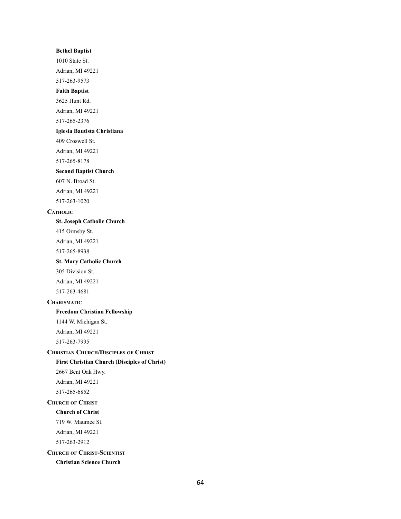## **Bethel Baptist**

1010 State St. Adrian, MI 49221 517-263-9573

## **Faith Baptist**

3625 Hunt Rd.

Adrian, MI 49221

517-265-2376

#### **Iglesia Bautista Christiana**

409 Croswell St.

Adrian, MI 49221

517-265-8178

#### **Second Baptist Church**

607 N. Broad St. Adrian, MI 49221

517-263-1020

## **CATHOLIC**

**St. Joseph Catholic Church**

415 Ormsby St.

Adrian, MI 49221

517-265-8938

## **St. Mary Catholic Church**

305 Division St.

Adrian, MI 49221 517-263-4681

## **CHARISMATIC**

#### **Freedom Christian Fellowship**

1144 W. Michigan St. Adrian, MI 49221

517-263-7995

## **CHRISTIAN CHURCH/DISCIPLES OF CHRIST First Christian Church (Disciples of Christ)**

2667 Bent Oak Hwy. Adrian, MI 49221

517-265-6852

# **CHURCH OF CHRIST Church of Christ** 719 W. Maumee St.

Adrian, MI 49221 517-263-2912

## **CHURCH OF CHRIST-SCIENTIST Christian Science Church**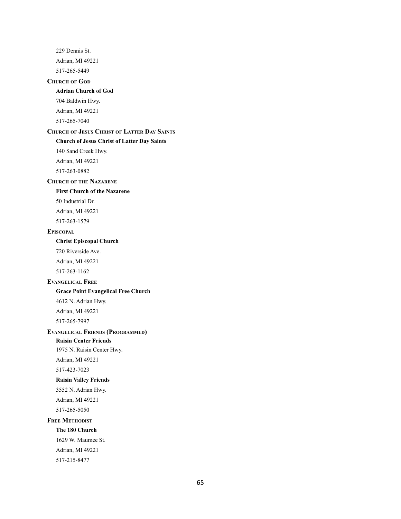229 Dennis St. Adrian, MI 49221 517-265-5449 **CHURCH OF GOD Adrian Church of God** 704 Baldwin Hwy. Adrian, MI 49221 517-265-7040 **CHURCH OF JESUS CHRIST OF LATTER DAY SAINTS Church of Jesus Christ of Latter Day Saints** 140 Sand Creek Hwy. Adrian, MI 49221 517-263-0882 **CHURCH OF THE NAZARENE First Church of the Nazarene** 50 Industrial Dr. Adrian, MI 49221 517-263-1579 **EPISCOPAL Christ Episcopal Church** 720 Riverside Ave. Adrian, MI 49221 517-263-1162 **EVANGELICAL FREE Grace Point Evangelical Free Church** 4612 N. Adrian Hwy. Adrian, MI 49221 517-265-7997 **EVANGELICAL FRIENDS (PROGRAMMED) Raisin Center Friends** 1975 N. Raisin Center Hwy. Adrian, MI 49221 517-423-7023 **Raisin Valley Friends** 3552 N. Adrian Hwy. Adrian, MI 49221 517-265-5050 **FREE METHODIST The 180 Church** 1629 W. Maumee St. Adrian, MI 49221 517-215-8477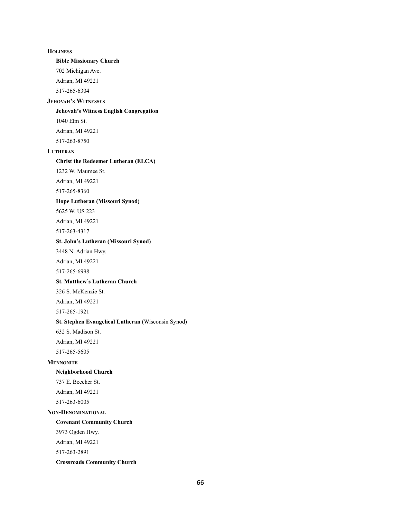**HOLINESS Bible Missionary Church** 702 Michigan Ave. Adrian, MI 49221 517-265-6304 **JEHOVAH'<sup>S</sup> WITNESSES Jehovah's Witness English Congregation** 1040 Elm St. Adrian, MI 49221 517-263-8750 **LUTHERAN Christ the Redeemer Lutheran (ELCA)** 1232 W. Maumee St. Adrian, MI 49221 517-265-8360 **Hope Lutheran (Missouri Synod)** 5625 W. US 223 Adrian, MI 49221 517-263-4317 **St. John's Lutheran (Missouri Synod)** 3448 N. Adrian Hwy. Adrian, MI 49221 517-265-6998 **St. Matthew's Lutheran Church** 326 S. McKenzie St. Adrian, MI 49221 517-265-1921 **St. Stephen Evangelical Lutheran** (Wisconsin Synod) 632 S. Madison St. Adrian, MI 49221 517-265-5605 **MENNONITE Neighborhood Church** 737 E. Beecher St. Adrian, MI 49221 517-263-6005 **NON-DENOMINATIONAL Covenant Community Church** 3973 Ogden Hwy. Adrian, MI 49221 517-263-2891 **Crossroads Community Church**